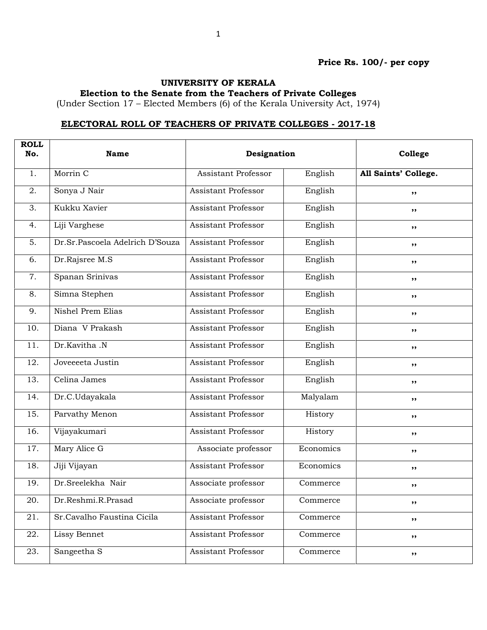## Price Rs. 100/- per copy

## UNIVERSITY OF KERALA

Election to the Senate from the Teachers of Private Colleges

(Under Section 17 – Elected Members (6) of the Kerala University Act, 1974)

## ELECTORAL ROLL OF TEACHERS OF PRIVATE COLLEGES - 2017-18

| <b>ROLL</b><br>No. | <b>Name</b>                     | Designation                |           | College              |
|--------------------|---------------------------------|----------------------------|-----------|----------------------|
| 1.                 | Morrin C                        | Assistant Professor        | English   | All Saints' College. |
| 2.                 | Sonya J Nair                    | Assistant Professor        | English   | $, \, \cdot$         |
| 3.                 | Kukku Xavier                    | <b>Assistant Professor</b> | English   | ,,                   |
| 4.                 | Liji Varghese                   | <b>Assistant Professor</b> | English   | ,,                   |
| 5.                 | Dr.Sr.Pascoela Adelrich D'Souza | Assistant Professor        | English   | $, \, \cdot$         |
| 6.                 | Dr.Rajsree M.S                  | Assistant Professor        | English   | ,,                   |
| 7.                 | Spanan Srinivas                 | <b>Assistant Professor</b> | English   | $, \, \cdot$         |
| 8.                 | Simna Stephen                   | <b>Assistant Professor</b> | English   | ,,                   |
| 9.                 | Nishel Prem Elias               | <b>Assistant Professor</b> | English   | ,,                   |
| 10.                | Diana V Prakash                 | Assistant Professor        | English   | $, \, \cdot$         |
| 11.                | Dr.Kavitha .N                   | Assistant Professor        | English   | ,,                   |
| 12.                | Joveeeeta Justin                | <b>Assistant Professor</b> | English   | $, \, \cdot$         |
| 13.                | Celina James                    | <b>Assistant Professor</b> | English   | ,,                   |
| 14.                | Dr.C.Udayakala                  | <b>Assistant Professor</b> | Malyalam  | ,,                   |
| 15.                | Parvathy Menon                  | <b>Assistant Professor</b> | History   | $, \, \cdot$         |
| 16.                | Vijayakumari                    | Assistant Professor        | History   | ,,                   |
| 17.                | Mary Alice G                    | Associate professor        | Economics | ,,                   |
| 18.                | Jiji Vijayan                    | <b>Assistant Professor</b> | Economics | ,,                   |
| 19.                | Dr.Sreelekha Nair               | Associate professor        | Commerce  | ,,                   |
| $\overline{20}$ .  | Dr.Reshmi.R.Prasad              | Associate professor        | Commerce  | $, \,$               |
| 21.                | Sr.Cavalho Faustina Cicila      | Assistant Professor        | Commerce  | ,,                   |
| 22.                | Lissy Bennet                    | Assistant Professor        | Commerce  | $, \, \cdot$         |
| 23.                | Sangeetha S                     | Assistant Professor        | Commerce  | ,,                   |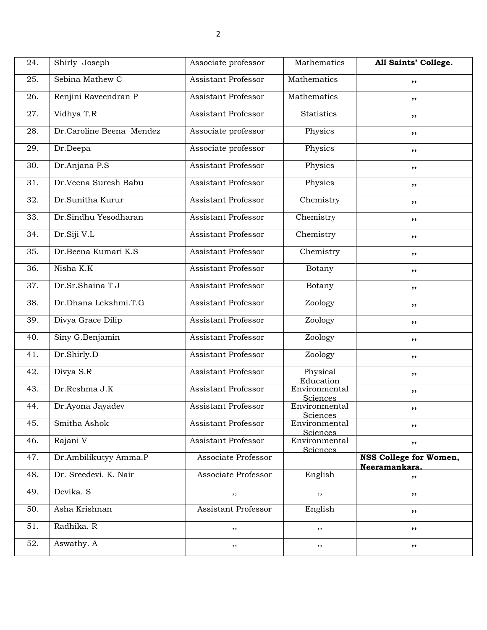| 24.               | Shirly Joseph            | Associate professor        | Mathematics                      | All Saints' College.                    |
|-------------------|--------------------------|----------------------------|----------------------------------|-----------------------------------------|
| 25.               | Sebina Mathew C          | <b>Assistant Professor</b> | Mathematics                      | ,,                                      |
| 26.               | Renjini Raveendran P     | <b>Assistant Professor</b> | Mathematics                      | ,,                                      |
| 27.               | Vidhya T.R               | <b>Assistant Professor</b> | <b>Statistics</b>                | ,,                                      |
| 28.               | Dr.Caroline Beena Mendez | Associate professor        | Physics                          | $, \, \,$                               |
| 29.               | Dr.Deepa                 | Associate professor        | Physics                          | ,,                                      |
| 30.               | Dr.Anjana P.S            | <b>Assistant Professor</b> | Physics                          | $, \, \,$                               |
| $\overline{31}$ . | Dr.Veena Suresh Babu     | <b>Assistant Professor</b> | Physics                          | ,,                                      |
| 32.               | Dr.Sunitha Kurur         | <b>Assistant Professor</b> | Chemistry                        | ,,                                      |
| 33.               | Dr.Sindhu Yesodharan     | <b>Assistant Professor</b> | Chemistry                        | $, \, \,$                               |
| 34.               | Dr.Siji V.L              | Assistant Professor        | Chemistry                        | ,,                                      |
| 35.               | Dr.Beena Kumari K.S      | <b>Assistant Professor</b> | Chemistry                        | $, \, \,$                               |
| 36.               | Nisha K.K                | <b>Assistant Professor</b> | Botany                           | ,,                                      |
| 37.               | Dr.Sr.Shaina T J         | <b>Assistant Professor</b> | Botany                           | ,,                                      |
| 38.               | Dr.Dhana Lekshmi.T.G     | Assistant Professor        | Zoology                          | $, \, \,$                               |
| 39.               | Divya Grace Dilip        | <b>Assistant Professor</b> | Zoology                          | ,,                                      |
| 40.               | Siny G.Benjamin          | <b>Assistant Professor</b> | Zoology                          | $, \, \,$                               |
| 41.               | Dr.Shirly.D              | <b>Assistant Professor</b> | Zoology                          | ,,                                      |
| 42.               | Divya S.R                | <b>Assistant Professor</b> | Physical<br>Education            | ,,                                      |
| 43.               | Dr.Reshma J.K            | <b>Assistant Professor</b> | Environmental<br>Sciences        | ,,                                      |
| 44.               | Dr.Ayona Jayadev         | Assistant Professor        | Environmental<br><u>Sciences</u> | ,,                                      |
| 45.               | Smitha Ashok             | Assistant Professor        | Environmental<br>Sciences        | $, \, \,$                               |
| 46.               | Rajani V                 | Assistant Professor        | Environmental<br>Sciences        | $, \,$                                  |
| 47.               | Dr.Ambilikutyy Amma.P    | Associate Professor        |                                  | NSS College for Women,<br>Neeramankara. |
| 48.               | Dr. Sreedevi. K. Nair    | Associate Professor        | English                          | ,,                                      |
| 49.               | Devika. S                | ,,                         | ,,                               | ,,                                      |
| 50.               | Asha Krishnan            | Assistant Professor        | English                          | $, \, \,$                               |
| 51.               | Radhika. R               | $, \,$                     | , ,                              | $, \, \,$                               |
| 52.               | Aswathy. A               | ,,                         | , ,                              | ,,                                      |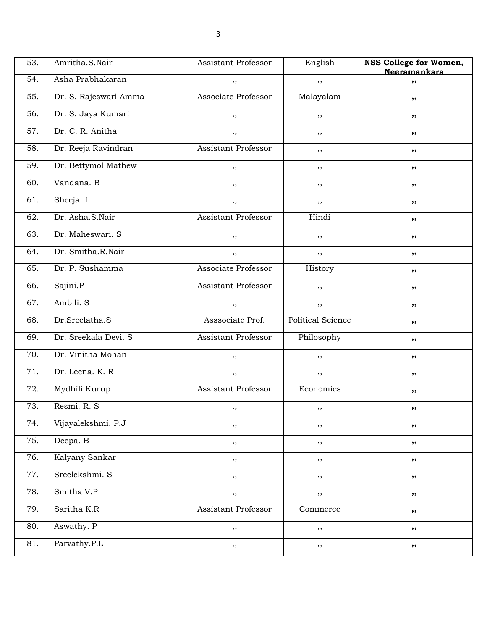| 53. | Amritha.S.Nair        | Assistant Professor | English           | NSS College for Women,<br>Neeramankara |
|-----|-----------------------|---------------------|-------------------|----------------------------------------|
| 54. | Asha Prabhakaran      | ,,                  | ,,                | ,,                                     |
| 55. | Dr. S. Rajeswari Amma | Associate Professor | Malayalam         | ,,                                     |
| 56. | Dr. S. Jaya Kumari    | ,,                  | ,,                | ,,                                     |
| 57. | Dr. C. R. Anitha      | $, \,$              | $, \,$            | ,,                                     |
| 58. | Dr. Reeja Ravindran   | Assistant Professor | ,,                | ,,                                     |
| 59. | Dr. Bettymol Mathew   | ,,                  | , ,               | $, \, \,$                              |
| 60. | Vandana. B            | ,,                  | ,,                | ,,                                     |
| 61. | Sheeja. I             | ,,                  | ,,                | ,,                                     |
| 62. | Dr. Asha.S.Nair       | Assistant Professor | Hindi             | ,,                                     |
| 63. | Dr. Maheswari. S      | ,,                  | ,,                | ,,                                     |
| 64. | Dr. Smitha.R.Nair     | $, \,$              | $, \,$            | $, \, \,$                              |
| 65. | Dr. P. Sushamma       | Associate Professor | History           | ,,                                     |
| 66. | Sajini.P              | Assistant Professor | ,,                | ,,                                     |
| 67. | Ambili. S             | ,,                  | ,,                | ,,                                     |
| 68. | Dr.Sreelatha.S        | Asssociate Prof.    | Political Science | ,,                                     |
| 69. | Dr. Sreekala Devi. S  | Assistant Professor | Philosophy        | $, \, \,$                              |
| 70. | Dr. Vinitha Mohan     | ,,                  | ,,                | ,,                                     |
| 71. | Dr. Leena. K. R.      | ,,                  | ,,                | ,,                                     |
| 72. | Mydhili Kurup         | Assistant Professor | Economics         | ,,                                     |
| 73. | Resmi. R. S           | ,,                  | ,,                | ,,                                     |
| 74. | Vijayalekshmi. P.J    | $, \,$              | $, \,$            | ,,                                     |
| 75. | Deepa. B              | ,,                  | ,,                | ,,                                     |
| 76. | Kalyany Sankar        | , ,                 | ,,                | ,,                                     |
| 77. | Sreelekshmi. S        | ,,                  | $, \,$            | ,,                                     |
| 78. | Smitha V.P            | ,,                  | ,,                | ,,                                     |
| 79. | Saritha K.R           | Assistant Professor | Commerce          | ,,                                     |
| 80. | Aswathy. P            | ,,                  | $, \,$            | ,,                                     |
| 81. | Parvathy.P.L          | $, \,$              | $, \,$            | ,,                                     |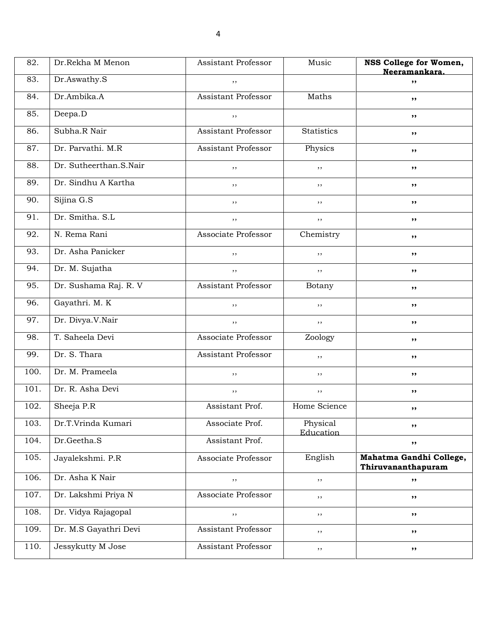| 82.  | Dr.Rekha M Menon       | <b>Assistant Professor</b> | Music                 | NSS College for Women,<br>Neeramankara.       |
|------|------------------------|----------------------------|-----------------------|-----------------------------------------------|
| 83.  | Dr.Aswathy.S           | ,,                         |                       | ,,                                            |
| 84.  | Dr.Ambika.A            | Assistant Professor        | Maths                 | ,,                                            |
| 85.  | Deepa.D                | , ,                        |                       | ,,                                            |
| 86.  | Subha.R Nair           | Assistant Professor        | <b>Statistics</b>     | ,,                                            |
| 87.  | Dr. Parvathi. M.R.     | <b>Assistant Professor</b> | Physics               | ,,                                            |
| 88.  | Dr. Sutheerthan.S.Nair | ,,                         | ,,                    | ,,                                            |
| 89.  | Dr. Sindhu A Kartha    | ,,                         | ,,                    | ,,                                            |
| 90.  | Sijina G.S             | , ,                        | ,,                    | ,,                                            |
| 91.  | Dr. Smitha. S.L        | ,,                         | ,,                    | ,,                                            |
| 92.  | N. Rema Rani           | Associate Professor        | Chemistry             | ,,                                            |
| 93.  | Dr. Asha Panicker      | ,,                         | ,,                    | ,,                                            |
| 94.  | Dr. M. Sujatha         | ,,                         | ,,                    | ,,                                            |
| 95.  | Dr. Sushama Raj. R. V  | <b>Assistant Professor</b> | Botany                | ,,                                            |
| 96.  | Gayathri. M. K         | ,,                         | $, \,$                | ,,                                            |
| 97.  | Dr. Divya.V.Nair       | ,,                         | ,,                    | ,,                                            |
| 98.  | T. Saheela Devi        | Associate Professor        | Zoology               | ,,                                            |
| 99.  | Dr. S. Thara           | Assistant Professor        | ,,                    | ,,                                            |
| 100. | Dr. M. Prameela        | , ,                        | $, \,$                | ,,                                            |
| 101. | Dr. R. Asha Devi       | , ,                        | $, \,$                | ,,                                            |
| 102. | Sheeja P.R             | Assistant Prof.            | Home Science          | ,,                                            |
| 103. | Dr.T.Vrinda Kumari     | Associate Prof.            | Physical<br>Education | ,,                                            |
| 104. | Dr.Geetha.S            | Assistant Prof.            |                       | ,,                                            |
| 105. | Jayalekshmi. P.R       | Associate Professor        | English               | Mahatma Gandhi College,<br>Thiruvananthapuram |
| 106. | Dr. Asha K Nair        | $, \,$                     | ,,                    | ,,                                            |
| 107. | Dr. Lakshmi Priya N    | Associate Professor        | , ,                   | ,,                                            |
| 108. | Dr. Vidya Rajagopal    | , ,                        | , ,                   | ,,                                            |
| 109. | Dr. M.S Gayathri Devi  | Assistant Professor        | $, \,$                | ,,                                            |
| 110. | Jessykutty M Jose      | Assistant Professor        | $, \,$                | ,,                                            |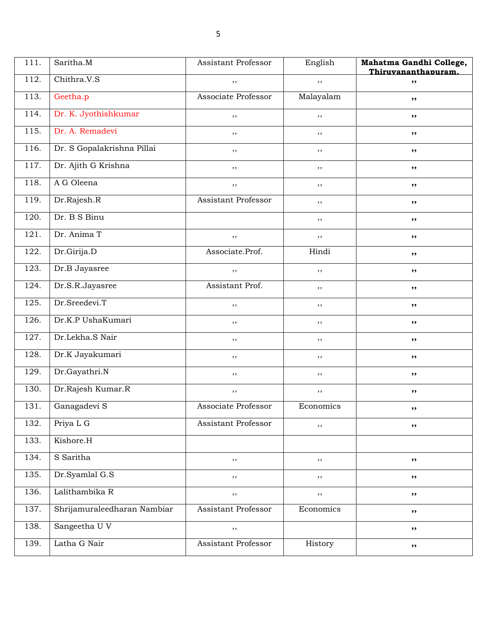| 111. | Saritha.M                   | Assistant Professor | English   | Mahatma Gandhi College,<br>Thiruvananthapuram. |
|------|-----------------------------|---------------------|-----------|------------------------------------------------|
| 112. | Chithra.V.S                 | ,,                  | ,,        | ,,                                             |
| 113. | Geetha.p                    | Associate Professor | Malayalam | ,,                                             |
| 114. | Dr. K. Jyothishkumar        | ,,                  | ,,        | ,,                                             |
| 115. | Dr. A. Remadevi             | $, \,$              | $, \,$    | ,,                                             |
| 116. | Dr. S Gopalakrishna Pillai  | $, \,$              | $, \,$    | ,,                                             |
| 117. | Dr. Ajith G Krishna         | ,,                  | $, \,$    | ,,                                             |
| 118. | A G Oleena                  | $, \,$              | ,,        | ,,                                             |
| 119. | Dr.Rajesh.R                 | Assistant Professor | ,,        | ,,                                             |
| 120. | Dr. B S Binu                |                     | $, \,$    | ,,                                             |
| 121. | Dr. Anima T                 | $, \,$              | $, \,$    | ,,                                             |
| 122. | Dr.Girija.D                 | Associate.Prof.     | Hindi     | ,,                                             |
| 123. | Dr.B Jayasree               | $, \,$              | $, \,$    | ,,                                             |
| 124. | Dr.S.R.Jayasree             | Assistant Prof.     | ,,        | ,,                                             |
| 125. | Dr.Sreedevi.T               | $, \,$              | $, \,$    | ,,                                             |
| 126. | Dr.K.P UshaKumari           | $, \,$              | $, \,$    | ,,                                             |
| 127. | Dr.Lekha.S Nair             | ,,                  | $, \,$    | ,,                                             |
| 128. | Dr.K Jayakumari             | $, \,$              | ,,        | ,,                                             |
| 129. | Dr.Gayathri.N               | $, \,$              | ,,        | ,,                                             |
| 130. | Dr.Rajesh Kumar.R           | $, \,$              | $, \,$    | ,,                                             |
| 131. | Ganagadevi S                | Associate Professor | Economics | ,,                                             |
| 132. | Priya L G                   | Assistant Professor | ,,        | ,,                                             |
| 133. | Kishore.H                   |                     |           |                                                |
| 134. | S Saritha                   | ,,                  | ,,        | ,,                                             |
| 135. | Dr.Syamlal G.S              | $, \,$              | $, \,$    | ,,                                             |
| 136. | Lalithambika R              | ,,                  | ,,        | ,,                                             |
| 137. | Shrijamuraleedharan Nambiar | Assistant Professor | Economics | ,,                                             |
| 138. | Sangeetha U V               | $, \, ,$            |           | ,,                                             |
| 139. | Latha G Nair                | Assistant Professor | History   | ,,                                             |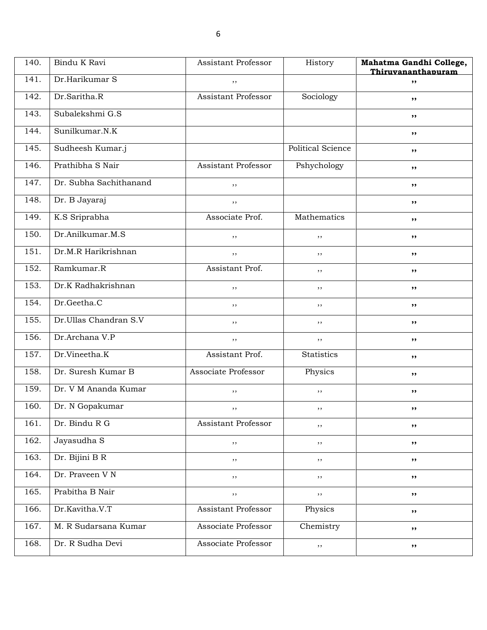| 140. | Bindu K Ravi           | Assistant Professor        | History           | Mahatma Gandhi College,<br>Thiruvananthapuram |
|------|------------------------|----------------------------|-------------------|-----------------------------------------------|
| 141. | Dr.Harikumar S         | ,,                         |                   | ,,                                            |
| 142. | Dr.Saritha.R           | <b>Assistant Professor</b> | Sociology         | ,,                                            |
| 143. | Subalekshmi G.S        |                            |                   | ,,                                            |
| 144. | Sunilkumar.N.K         |                            |                   | ,,                                            |
| 145. | Sudheesh Kumar.j       |                            | Political Science | ,,                                            |
| 146. | Prathibha S Nair       | Assistant Professor        | Pshychology       | ,,                                            |
| 147. | Dr. Subha Sachithanand | ,,                         |                   | ,,                                            |
| 148. | Dr. B Jayaraj          | ,,                         |                   | ,,                                            |
| 149. | K.S Sriprabha          | Associate Prof.            | Mathematics       | ,,                                            |
| 150. | Dr.Anilkumar.M.S       | , ,                        | ,,                | ,,                                            |
| 151. | Dr.M.R Harikrishnan    | , ,                        | $, \,$            | ,,                                            |
| 152. | Ramkumar.R             | Assistant Prof.            | $, \,$            | ,,                                            |
| 153. | Dr.K Radhakrishnan     | , ,                        | $, \,$            | ,,                                            |
| 154. | Dr.Geetha.C            | ,,                         | ,,                | ,,                                            |
| 155. | Dr.Ullas Chandran S.V  | ,,                         | ,,                | ,,                                            |
| 156. | Dr.Archana V.P         | , ,                        | ,,                | ,,                                            |
| 157. | Dr.Vineetha.K          | Assistant Prof.            | <b>Statistics</b> | ,,                                            |
| 158. | Dr. Suresh Kumar B     | <b>Associate Professor</b> | Physics           | ,,                                            |
| 159. | Dr. V M Ananda Kumar   | $, \,$                     | ,,                | ,,                                            |
| 160. | Dr. N Gopakumar        | $, \,$                     | , ,               | ,,                                            |
| 161. | Dr. Bindu R G          | Assistant Professor        | ,,                | ,,                                            |
| 162. | Jayasudha S            | $, \,$                     | ,,                | ,,                                            |
| 163. | Dr. Bijini B R         | $, \,$                     | ,,                | ,,                                            |
| 164. | Dr. Praveen V N        | ,,                         | ,,                | ,,                                            |
| 165. | Prabitha B Nair        | ,,                         | ,,                | ,,                                            |
| 166. | Dr.Kavitha.V.T         | Assistant Professor        | Physics           | ,,                                            |
| 167. | M. R Sudarsana Kumar   | Associate Professor        | Chemistry         | ,,                                            |
| 168. | Dr. R Sudha Devi       | Associate Professor        | ,,                | ,,                                            |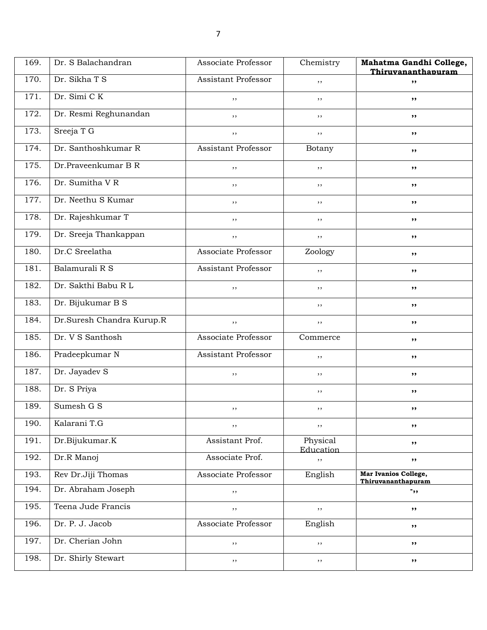| 169. | Dr. S Balachandran        | Associate Professor | Chemistry             | Mahatma Gandhi College,<br>Thiruvananthapuram |
|------|---------------------------|---------------------|-----------------------|-----------------------------------------------|
| 170. | Dr. Sikha T S             | Assistant Professor | ,,                    | ,,                                            |
| 171. | Dr. Simi CK               | , ,                 | ,,                    | ,,                                            |
| 172. | Dr. Resmi Reghunandan     | ,,                  | ,,                    | ,,                                            |
| 173. | Sreeja T G                | , ,                 | ,,                    | ,,                                            |
| 174. | Dr. Santhoshkumar R       | Assistant Professor | Botany                | ,,                                            |
| 175. | Dr.Praveenkumar B R       | ,,                  | ,,                    | ,,                                            |
| 176. | Dr. Sumitha VR            | $, \,$              | ,,                    | ,,                                            |
| 177. | Dr. Neethu S Kumar        | $, \,$              | ,,                    | ,,                                            |
| 178. | Dr. Rajeshkumar T         | , ,                 | ,,                    | ,,                                            |
| 179. | Dr. Sreeja Thankappan     | , ,                 | ,,                    | ,,                                            |
| 180. | Dr.C Sreelatha            | Associate Professor | Zoology               | ,,                                            |
| 181. | Balamurali R S            | Assistant Professor | ,,                    | ,,                                            |
| 182. | Dr. Sakthi Babu R L       | ,,                  | ,,                    | ,,                                            |
| 183. | Dr. Bijukumar B S         |                     | ,,                    | ,,                                            |
| 184. | Dr.Suresh Chandra Kurup.R | , ,                 | ,,                    | ,,                                            |
| 185. | Dr. V S Santhosh          | Associate Professor | Commerce              | ,,                                            |
| 186. | Pradeepkumar N            | Assistant Professor | ,,                    | ,,                                            |
| 187. | Dr. Jayadev S             | $, \,$              | ,,                    | ,,                                            |
| 188. | Dr. S Priya               |                     | ,,                    | ,,                                            |
| 189. | Sumesh G S                | ,,                  | ,,                    | ,,                                            |
| 190. | Kalarani T.G              | $, \, ,$            | ,,                    | ,,                                            |
| 191. | Dr.Bijukumar.K            | Assistant Prof.     | Physical<br>Education | ,,                                            |
| 192. | Dr.R Manoj                | Associate Prof.     | ,,                    | ,,                                            |
| 193. | Rev Dr.Jiji Thomas        | Associate Professor | English               | Mar Ivanios College,<br>Thiruvananthapuram    |
| 194. | Dr. Abraham Joseph        | , ,                 |                       | $\mathbf{F}$ ,                                |
| 195. | Teena Jude Francis        | ,,                  | $, \,$                | ,,                                            |
| 196. | Dr. P. J. Jacob           | Associate Professor | English               | ,,                                            |
| 197. | Dr. Cherian John          | ,,                  | ,,                    | ,,                                            |
| 198. | Dr. Shirly Stewart        | ,,                  | ,,                    | ,,                                            |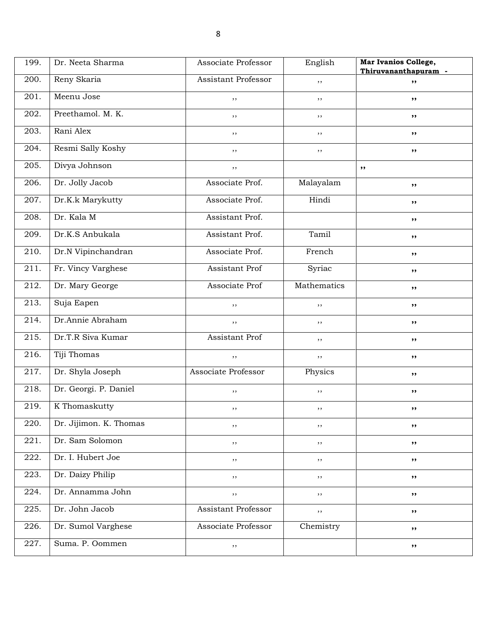| 199. | Dr. Neeta Sharma       | Associate Professor | English     | Mar Ivanios College,<br>Thiruvananthapuram - |
|------|------------------------|---------------------|-------------|----------------------------------------------|
| 200. | Reny Skaria            | Assistant Professor | ,,          | $, \,$                                       |
| 201. | Meenu Jose             | ,,                  | ,,          | ,,                                           |
| 202. | Preethamol. M. K.      | $, \,$              | ,,          | ,,                                           |
| 203. | Rani Alex              | ,,                  | ,,          | $, \, \,$                                    |
| 204. | Resmi Sally Koshy      | $, \,$              | ,,          | ,,                                           |
| 205. | Divya Johnson          | $, \,$              |             | ,,                                           |
| 206. | Dr. Jolly Jacob        | Associate Prof.     | Malayalam   | ,,                                           |
| 207. | Dr.K.k Marykutty       | Associate Prof.     | Hindi       | ,,                                           |
| 208. | Dr. Kala M             | Assistant Prof.     |             | $, \, \,$                                    |
| 209. | Dr.K.S Anbukala        | Assistant Prof.     | Tamil       | ,,                                           |
| 210. | Dr.N Vipinchandran     | Associate Prof.     | French      | ,,                                           |
| 211. | Fr. Vincy Varghese     | Assistant Prof      | Syriac      | ,,                                           |
| 212. | Dr. Mary George        | Associate Prof      | Mathematics | ,,                                           |
| 213. | Suja Eapen             | $, \,$              | $, \,$      | $, \, \,$                                    |
| 214. | Dr.Annie Abraham       | $, \,$              | ,,          | ,,                                           |
| 215. | Dr.T.R Siva Kumar      | Assistant Prof      | ,,          | ,,                                           |
| 216. | Tiji Thomas            | $, \,$              | ,,          | ,,                                           |
| 217. | Dr. Shyla Joseph       | Associate Professor | Physics     | ,,                                           |
| 218. | Dr. Georgi. P. Daniel  | ,,                  | ,,          | $, \, \,$                                    |
| 219. | K Thomaskutty          | , ,                 | ,,          | ,,                                           |
| 220. | Dr. Jijimon. K. Thomas | $, \,$              | ,,          | ,,                                           |
| 221. | Dr. Sam Solomon        | $, \,$              | , ,         | ,,                                           |
| 222. | Dr. I. Hubert Joe      | $, \,$              | ,,          | ,,                                           |
| 223. | Dr. Daizy Philip       | $, \,$              | , ,         | ,,                                           |
| 224. | Dr. Annamma John       | $, \,$              | , ,         | ,,                                           |
| 225. | Dr. John Jacob         | Assistant Professor | ,,          | ,,                                           |
| 226. | Dr. Sumol Varghese     | Associate Professor | Chemistry   | ,,                                           |
| 227. | Suma. P. Oommen        | $, \,$              |             | ,,                                           |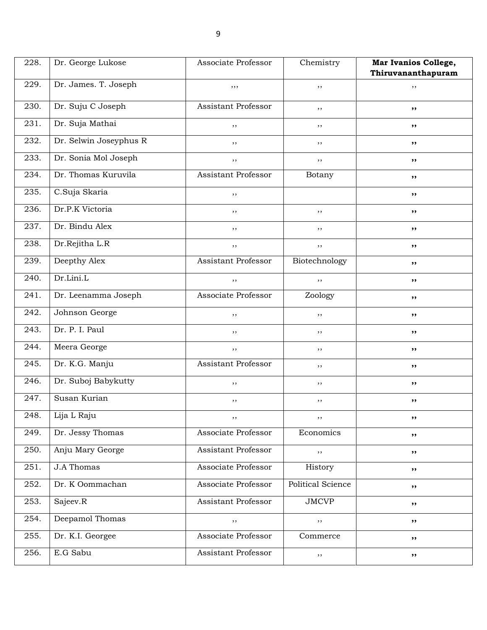| 228. | Dr. George Lukose      | Associate Professor | Chemistry         | Mar Ivanios College, |
|------|------------------------|---------------------|-------------------|----------------------|
|      |                        |                     |                   | Thiruvananthapuram   |
| 229. | Dr. James. T. Joseph   | , , ,               | , ,               | , ,                  |
| 230. | Dr. Suju C Joseph      | Assistant Professor | , ,               | ,,                   |
| 231. | Dr. Suja Mathai        | ,,                  | ,,                | ,,                   |
| 232. | Dr. Selwin Joseyphus R | $, \,$              | $, \,$            | ,,                   |
| 233. | Dr. Sonia Mol Joseph   | $, \,$              | ,,                | ,,                   |
| 234. | Dr. Thomas Kuruvila    | Assistant Professor | Botany            | ,,                   |
| 235. | C.Suja Skaria          | ,,                  |                   | ,,                   |
| 236. | Dr.P.K Victoria        | ,,                  | , ,               | ,,                   |
| 237. | Dr. Bindu Alex         | $, \,$              | , ,               | ,,                   |
| 238. | Dr.Rejitha L.R         | $, \,$              | ,,                | ,,                   |
| 239. | Deepthy Alex           | Assistant Professor | Biotechnology     | ,,                   |
| 240. | Dr.Lini.L              | $, \,$              | ,,                | ,,                   |
| 241. | Dr. Leenamma Joseph    | Associate Professor | Zoology           | ,,                   |
| 242. | Johnson George         | $, \,$              | , ,               | ,,                   |
| 243. | Dr. P. I. Paul         | ,,                  | ,,                | ,,                   |
| 244. | Meera George           | $, \,$              | $, \,$            | ,,                   |
| 245. | Dr. K.G. Manju         | Assistant Professor | ,,                | ,,                   |
| 246. | Dr. Suboj Babykutty    | $, \,$              | ,,                | ,,                   |
| 247. | Susan Kurian           | $, \,$              | , ,               | ,,                   |
| 248. | Lija L Raju            | $, \,$              | ,,                | ,,                   |
| 249. | Dr. Jessy Thomas       | Associate Professor | Economics         | ,,                   |
| 250. | Anju Mary George       | Assistant Professor | ,,                | ,,                   |
| 251. | <b>J.A Thomas</b>      | Associate Professor | History           | ,,                   |
| 252. | Dr. K Oommachan        | Associate Professor | Political Science | ,,                   |
| 253. | Sajeev.R               | Assistant Professor | <b>JMCVP</b>      | ,,                   |
| 254. | Deepamol Thomas        | $, \,$              | ,,                | ,,                   |
| 255. | Dr. K.I. Georgee       | Associate Professor | Commerce          | ,,                   |
| 256. | E.G Sabu               | Assistant Professor | $, \,$            | ,,                   |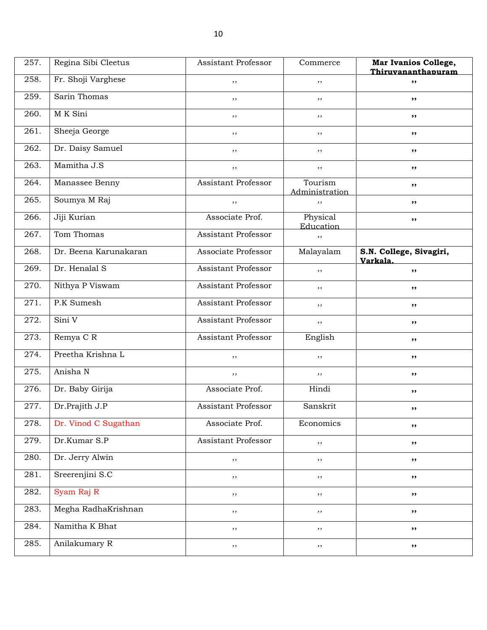| 257. | Regina Sibi Cleetus   | Assistant Professor        | Commerce                  | Mar Ivanios College,<br>Thiruvananthapuram |
|------|-----------------------|----------------------------|---------------------------|--------------------------------------------|
| 258. | Fr. Shoji Varghese    | ,,                         | ,,                        | ,,                                         |
| 259. | Sarin Thomas          | ,,                         | ,,                        | ,,                                         |
| 260. | M K Sini              | ,,                         | ,,                        | ,,                                         |
| 261. | Sheeja George         | ,,                         | ,,                        | ,,                                         |
| 262. | Dr. Daisy Samuel      | ,,                         | , ,                       | ,,                                         |
| 263. | Mamitha J.S           | ,,                         | , ,                       | ,,                                         |
| 264. | Manassee Benny        | <b>Assistant Professor</b> | Tourism<br>Administration | ,,                                         |
| 265. | Soumya M Raj          | ,,                         | ,,                        | ,,                                         |
| 266. | Jiji Kurian           | Associate Prof.            | Physical<br>Education     | ,,                                         |
| 267. | Tom Thomas            | Assistant Professor        | ,,                        |                                            |
| 268. | Dr. Beena Karunakaran | Associate Professor        | Malayalam                 | S.N. College, Sivagiri,<br>Varkala.        |
| 269. | Dr. Henalal S         | <b>Assistant Professor</b> | ,,                        | ,,                                         |
| 270. | Nithya P Viswam       | <b>Assistant Professor</b> | , ,                       | ,,                                         |
| 271. | P.K Sumesh            | Assistant Professor        | ,,                        | ,,                                         |
| 272. | Sini V                | Assistant Professor        | ,,                        | ,,                                         |
| 273. | Remya C R             | <b>Assistant Professor</b> | English                   | ,,                                         |
| 274. | Preetha Krishna L     | ,,                         | ,,                        | ,,                                         |
| 275. | Anisha N              | ,,                         | ,,                        | ,,                                         |
| 276. | Dr. Baby Girija       | Associate Prof.            | Hindi                     | ,,                                         |
| 277. | Dr.Prajith J.P        | Assistant Professor        | Sanskrit                  | ,,                                         |
| 278. | Dr. Vinod C Sugathan  | Associate Prof.            | Economics                 | ,,                                         |
| 279. | Dr.Kumar S.P          | Assistant Professor        | ,,                        | ,,                                         |
| 280. | Dr. Jerry Alwin       | $, \,$                     | $, \,$                    | ,,                                         |
| 281. | Sreerenjini S.C       | $, \,$                     | $, \,$                    | ,,                                         |
| 282. | Syam Raj R            | $, \,$                     | $, \,$                    | ,,                                         |
| 283. | Megha RadhaKrishnan   | $, \,$                     | $, \,$                    | ,,                                         |
| 284. | Namitha K Bhat        | $, \,$                     | $, \,$                    | ,,                                         |
| 285. | Anilakumary R         | $, \,$                     | , ,                       | ,,                                         |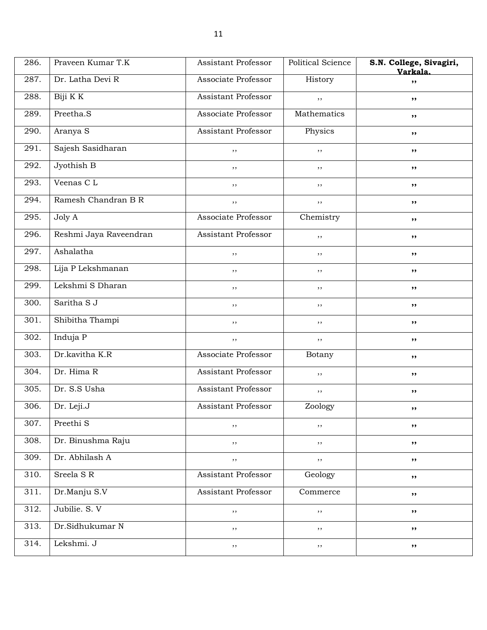| 286.              | Praveen Kumar T.K      | Assistant Professor        | <b>Political Science</b> | S.N. College, Sivagiri,<br>Varkala. |
|-------------------|------------------------|----------------------------|--------------------------|-------------------------------------|
| 287.              | Dr. Latha Devi R       | Associate Professor        | History                  | ,,                                  |
| 288.              | Biji K K               | <b>Assistant Professor</b> | ,,                       | ,,                                  |
| 289.              | Preetha.S              | Associate Professor        | Mathematics              | ,,                                  |
| 290.              | Aranya S               | Assistant Professor        | Physics                  | ,,                                  |
| 291.              | Sajesh Sasidharan      | $, \,$                     | ,,                       | ,,                                  |
| 292.              | Jyothish B             | $, \,$                     | , ,                      | ,,                                  |
| 293.              | Veenas CL              | ,,                         | $, \,$                   | ,,                                  |
| 294.              | Ramesh Chandran B R    | $, \,$                     | ,,                       | ,,                                  |
| 295.              | Joly A                 | Associate Professor        | Chemistry                | ,,                                  |
| 296.              | Reshmi Jaya Raveendran | Assistant Professor        | ,,                       | ,,                                  |
| 297.              | Ashalatha              | ,,                         | ,,                       | ,,                                  |
| 298.              | Lija P Lekshmanan      | ,,                         | $, \,$                   | ,,                                  |
| 299.              | Lekshmi S Dharan       | $, \,$                     | $, \,$                   | ,,                                  |
| 300.              | Saritha S J            | ,,                         | ,,                       | ,,                                  |
| $\overline{3}01.$ | Shibitha Thampi        | $, \,$                     | ,,                       | ,,                                  |
| 302.              | Induja P               | $, \,$                     | $, \,$                   | ,,                                  |
| 303.              | Dr.kavitha K.R         | Associate Professor        | Botany                   | ,,                                  |
| 304.              | Dr. Hima R             | Assistant Professor        | ,,                       | ,,                                  |
| 305.              | Dr. S.S Usha           | Assistant Professor        | ,,                       | ,,                                  |
| 306.              | Dr. Leji.J             | Assistant Professor        | Zoology                  | ,,                                  |
| 307.              | Preethi S              | $, \,$                     | ,,                       | ,,                                  |
| 308.              | Dr. Binushma Raju      | $, \,$                     | $, \,$                   | ,,                                  |
| 309.              | Dr. Abhilash A         | $, \,$                     | $, \, ,$                 | ,,                                  |
| 310.              | Sreela SR              | Assistant Professor        | Geology                  | ,,                                  |
| 311.              | Dr.Manju S.V           | Assistant Professor        | Commerce                 | ,,                                  |
| 312.              | Jubilie. S. V          | $, \,$                     | ,,                       | ,,                                  |
| 313.              | Dr.Sidhukumar N        | $, \,$                     | $, \,$                   | ,,                                  |
| 314.              | Lekshmi. J             | $, \,$                     | $, \,$                   | ,,                                  |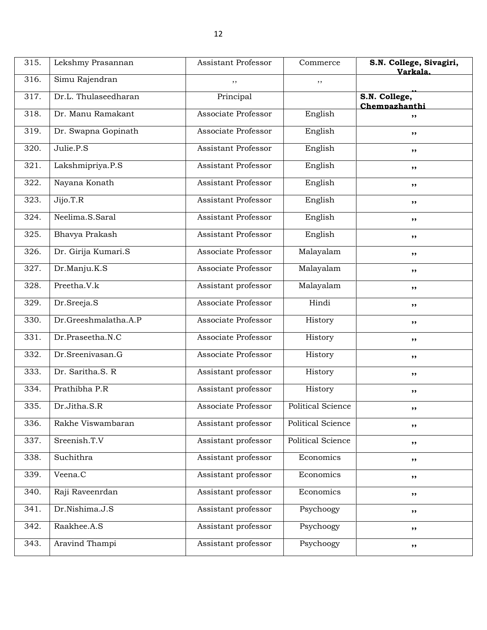| 315. | Lekshmy Prasannan    | <b>Assistant Professor</b> | Commerce                 | S.N. College, Sivagiri,<br>Varkala. |
|------|----------------------|----------------------------|--------------------------|-------------------------------------|
| 316. | Simu Rajendran       | ,,                         | ,,                       |                                     |
| 317. | Dr.L. Thulaseedharan | Principal                  |                          | S.N. College,<br>Chempazhanthi      |
| 318. | Dr. Manu Ramakant    | Associate Professor        | English                  | ,,                                  |
| 319. | Dr. Swapna Gopinath  | Associate Professor        | English                  | ,,                                  |
| 320. | Julie.P.S            | Assistant Professor        | English                  | ,,                                  |
| 321. | Lakshmipriya.P.S     | <b>Assistant Professor</b> | English                  | ,,                                  |
| 322. | Nayana Konath        | <b>Assistant Professor</b> | English                  | ,,                                  |
| 323. | Jijo.T.R             | Assistant Professor        | English                  | ,,                                  |
| 324. | Neelima.S.Saral      | <b>Assistant Professor</b> | English                  | ,,                                  |
| 325. | Bhavya Prakash       | <b>Assistant Professor</b> | English                  | ,,                                  |
| 326. | Dr. Girija Kumari.S  | Associate Professor        | Malayalam                | $, \, \,$                           |
| 327. | Dr.Manju.K.S         | Associate Professor        | Malayalam                | ,,                                  |
| 328. | Preetha.V.k          | Assistant professor        | Malayalam                | ,,                                  |
| 329. | Dr.Sreeja.S          | Associate Professor        | Hindi                    | ,,                                  |
| 330. | Dr.Greeshmalatha.A.P | Associate Professor        | History                  | ,,                                  |
| 331. | Dr.Praseetha.N.C     | Associate Professor        | History                  | $, \, \,$                           |
| 332. | Dr.Sreenivasan.G     | Associate Professor        | History                  | ,,                                  |
| 333. | Dr. Saritha.S. R     | Assistant professor        | History                  | ,,                                  |
| 334. | Prathibha P.R        | Assistant professor        | History                  | ,,                                  |
| 335. | Dr.Jitha.S.R         | Associate Professor        | <b>Political Science</b> | ,,                                  |
| 336. | Rakhe Viswambaran    | Assistant professor        | Political Science        | $, \, \,$                           |
| 337. | Sreenish.T.V         | Assistant professor        | Political Science        | ,,                                  |
| 338. | Suchithra            | Assistant professor        | Economics                | ,,                                  |
| 339. | Veena.C              | Assistant professor        | Economics                | ,,                                  |
| 340. | Raji Raveenrdan      | Assistant professor        | Economics                | ,,                                  |
| 341. | Dr.Nishima.J.S       | Assistant professor        | Psychoogy                | ,,                                  |
| 342. | Raakhee.A.S          | Assistant professor        | Psychoogy                | ,,                                  |
| 343. | Aravind Thampi       | Assistant professor        | Psychoogy                | ,,                                  |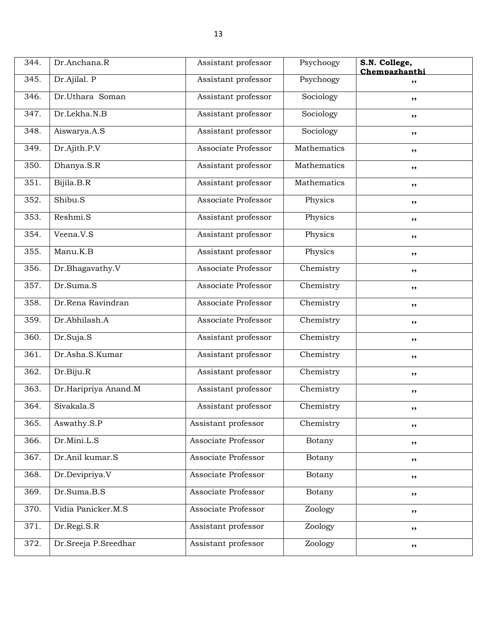| 344. | Dr.Anchana.R         | Assistant professor | Psychoogy   | S.N. College,<br>Chempazhanthi |
|------|----------------------|---------------------|-------------|--------------------------------|
| 345. | Dr.Ajilal. P         | Assistant professor | Psychoogy   | ,,                             |
| 346. | Dr.Uthara Soman      | Assistant professor | Sociology   | ,,                             |
| 347. | Dr.Lekha.N.B         | Assistant professor | Sociology   | ,,                             |
| 348. | Aiswarya.A.S         | Assistant professor | Sociology   | ,,                             |
| 349. | Dr.Ajith.P.V         | Associate Professor | Mathematics | ,,                             |
| 350. | Dhanya.S.R           | Assistant professor | Mathematics | $, \, \cdot$                   |
| 351. | Bijila.B.R           | Assistant professor | Mathematics | ,,                             |
| 352. | Shibu.S              | Associate Professor | Physics     | $, \,$                         |
| 353. | Reshmi.S             | Assistant professor | Physics     | ,,                             |
| 354. | Veena.V.S            | Assistant professor | Physics     | ,,                             |
| 355. | Manu.K.B             | Assistant professor | Physics     | ,,                             |
| 356. | Dr.Bhagavathy.V      | Associate Professor | Chemistry   | ,,                             |
| 357. | Dr.Suma.S            | Associate Professor | Chemistry   | ,,                             |
| 358. | Dr.Rena Ravindran    | Associate Professor | Chemistry   | ,,                             |
| 359. | Dr.Abhilash.A        | Associate Professor | Chemistry   | ,,                             |
| 360. | Dr.Suja.S            | Assistant professor | Chemistry   | $, \, \cdot$                   |
| 361. | Dr.Asha.S.Kumar      | Assistant professor | Chemistry   | ,,                             |
| 362. | Dr.Biju.R            | Assistant professor | Chemistry   | ,,                             |
| 363. | Dr.Haripriya Anand.M | Assistant professor | Chemistry   | ,,                             |
| 364. | Sivakala.S           | Assistant professor | Chemistry   | ,,                             |
| 365. | Aswathy.S.P          | Assistant professor | Chemistry   | ,,                             |
| 366. | Dr.Mini.L.S          | Associate Professor | Botany      | ,,                             |
| 367. | Dr.Anil kumar.S      | Associate Professor | Botany      | ,,                             |
| 368. | Dr.Devipriya.V       | Associate Professor | Botany      | ,,                             |
| 369. | Dr.Suma.B.S          | Associate Professor | Botany      | $, \,$                         |
| 370. | Vidia Panicker.M.S   | Associate Professor | Zoology     | ,,                             |
| 371. | Dr.Regi.S.R          | Assistant professor | Zoology     | ,,                             |
| 372. | Dr.Sreeja P.Sreedhar | Assistant professor | Zoology     | ,,                             |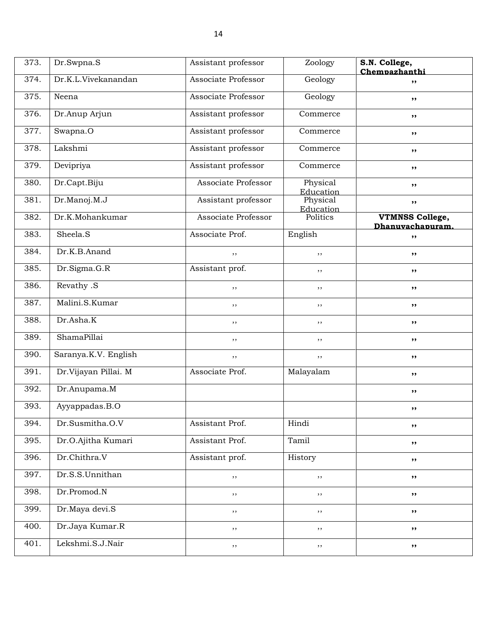| 373. | Dr.Swpna.S           | Assistant professor | Zoology               | S.N. College,<br>Chempazhanthi             |
|------|----------------------|---------------------|-----------------------|--------------------------------------------|
| 374. | Dr.K.L.Vivekanandan  | Associate Professor | Geology               | ,,                                         |
| 375. | Neena                | Associate Professor | Geology               | ,,                                         |
| 376. | Dr.Anup Arjun        | Assistant professor | Commerce              | ,,                                         |
| 377. | Swapna.O             | Assistant professor | Commerce              | ,,                                         |
| 378. | Lakshmi              | Assistant professor | Commerce              | ,,                                         |
| 379. | Devipriya            | Assistant professor | Commerce              | ,,                                         |
| 380. | Dr.Capt.Biju         | Associate Professor | Physical<br>Education | ,,                                         |
| 381. | Dr.Manoj.M.J         | Assistant professor | Physical<br>Education | ,,                                         |
| 382. | Dr.K.Mohankumar      | Associate Professor | Politics              | <b>VTMNSS College,</b><br>Dhanuvachapuram. |
| 383. | Sheela.S             | Associate Prof.     | English               | ,,                                         |
| 384. | Dr.K.B.Anand         | ,,                  | ,,                    | ,,                                         |
| 385. | Dr.Sigma.G.R         | Assistant prof.     | $, \,$                | ,,                                         |
| 386. | Revathy .S           | ,,                  | $, \,$                | ,,                                         |
| 387. | Malini.S.Kumar       | , ,                 | $, \,$                | ,,                                         |
| 388. | Dr.Asha.K            | $, \,$              | ,,                    | ,,                                         |
| 389. | ShamaPillai          | ,,                  | ,,                    | ,,                                         |
| 390. | Saranya.K.V. English | $, \,$              | ,,                    | ,,                                         |
| 391. | Dr.Vijayan Pillai. M | Associate Prof.     | Malayalam             | ,,                                         |
| 392. | Dr.Anupama.M         |                     |                       | ,,                                         |
| 393. | Ayyappadas.B.O       |                     |                       | ,,                                         |
| 394. | Dr.Susmitha.O.V      | Assistant Prof.     | Hindi                 | ,,                                         |
| 395. | Dr.O.Ajitha Kumari   | Assistant Prof.     | Tamil                 | ,,                                         |
| 396. | Dr.Chithra.V         | Assistant prof.     | History               | ,,                                         |
| 397. | Dr.S.S.Unnithan      | ,,                  | , ,                   | ,,                                         |
| 398. | Dr.Promod.N          | ,,                  | ,,                    | ,,                                         |
| 399. | Dr.Maya devi.S       | , ,                 | , ,                   | ,,                                         |
| 400. | Dr.Jaya Kumar.R      | , ,                 | ,,                    | ,,                                         |
| 401. | Lekshmi.S.J.Nair     | $, \,$              | ,,                    | ,,                                         |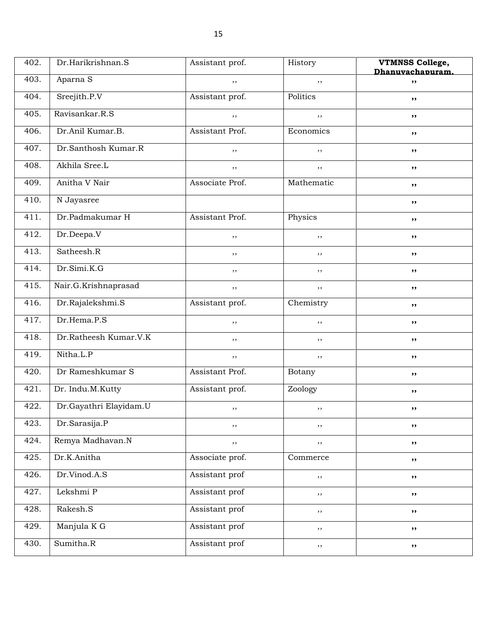| 402. | Dr.Harikrishnan.S      | Assistant prof. | History    | <b>VTMNSS College,</b> |
|------|------------------------|-----------------|------------|------------------------|
| 403. | Aparna S               | ,,              | ,,         | Dhanuvachapuram.<br>,, |
| 404. | Sreejith.P.V           | Assistant prof. | Politics   |                        |
|      |                        |                 |            | ,,                     |
| 405. | Ravisankar.R.S         | ,,              | ,,         | ,,                     |
| 406. | Dr.Anil Kumar.B.       | Assistant Prof. | Economics  | ,,                     |
| 407. | Dr.Santhosh Kumar.R    | ,,              | ,,         | ,,                     |
| 408. | Akhila Sree.L          | $, \,$          | ,,         | $, \, \,$              |
| 409. | Anitha V Nair          | Associate Prof. | Mathematic | ,,                     |
| 410. | N Jayasree             |                 |            | ,,                     |
| 411. | Dr.Padmakumar H        | Assistant Prof. | Physics    | ,,                     |
| 412. | Dr.Deepa.V             | ,,              | $, \,$     | ,,                     |
| 413. | Satheesh.R             | ,,              | , ,        | $, \, \,$              |
| 414. | Dr.Simi.K.G            | ,,              | $, \,$     | ,,                     |
| 415. | Nair.G.Krishnaprasad   | ,,              | , ,        | ,,                     |
| 416. | Dr.Rajalekshmi.S       | Assistant prof. | Chemistry  | ,,                     |
| 417. | Dr.Hema.P.S            | ,,              | $, \,$     | ,,                     |
| 418. | Dr.Ratheesh Kumar.V.K  | , ,             | , ,        | $, \, \,$              |
| 419. | Nitha.L.P              | ,,              | ,,         | ,,                     |
| 420. | Dr Rameshkumar S       | Assistant Prof. | Botany     | ,,                     |
| 421. | Dr. Indu.M.Kutty       | Assistant prof. | Zoology    | ,,                     |
| 422. | Dr.Gayathri Elayidam.U | ,,              | , ,        | ,,                     |
| 423. | Dr.Sarasija.P          | $, \,$          | $, \, ,$   | ,,                     |
| 424. | Remya Madhavan.N       | $, \, ,$        | $, \, ,$   | ,,                     |
| 425. | Dr.K.Anitha            | Associate prof. | Commerce   | ,,                     |
| 426. | Dr.Vinod.A.S           | Assistant prof  | $, \,$     | ,,                     |
| 427. | Lekshmi P              | Assistant prof  | $, \,$     | ,,                     |
| 428. | Rakesh.S               | Assistant prof  | $, \,$     | ,,                     |
| 429. | Manjula K G            | Assistant prof  | ,,         | ,,                     |
| 430. | Sumitha.R              | Assistant prof  | $, \,$     | ,,                     |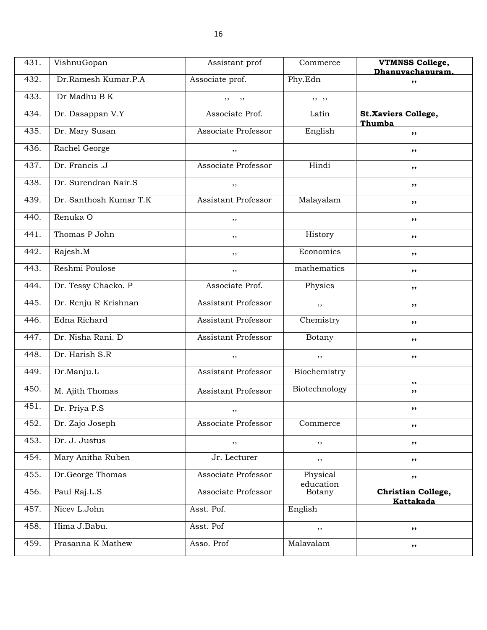| 431. | VishnuGopan            | Assistant prof             | Commerce              | <b>VTMNSS College,</b><br>Dhanuvachapuram. |
|------|------------------------|----------------------------|-----------------------|--------------------------------------------|
| 432. | Dr.Ramesh Kumar.P.A    | Associate prof.            | Phy.Edn               | ,,                                         |
| 433. | Dr Madhu B K           | $, \,$<br>, ,              | , , ,                 |                                            |
| 434. | Dr. Dasappan V.Y       | Associate Prof.            | Latin                 | <b>St.Xaviers College,</b><br>Thumba       |
| 435. | Dr. Mary Susan         | Associate Professor        | English               | ,,                                         |
| 436. | Rachel George          | ,,                         |                       | ,,                                         |
| 437. | Dr. Francis .J         | Associate Professor        | Hindi                 | ,,                                         |
| 438. | Dr. Surendran Nair.S   | ,,                         |                       | ,,                                         |
| 439. | Dr. Santhosh Kumar T.K | <b>Assistant Professor</b> | Malayalam             | ,,                                         |
| 440. | Renuka O               | ,,                         |                       | ,,                                         |
| 441. | Thomas P John          | ,,                         | History               | ,,                                         |
| 442. | Rajesh.M               | ,,                         | Economics             | ,,                                         |
| 443. | Reshmi Poulose         | ,,                         | mathematics           | ,,                                         |
| 444. | Dr. Tessy Chacko. P    | Associate Prof.            | Physics               | ,,                                         |
| 445. | Dr. Renju R Krishnan   | <b>Assistant Professor</b> | ,,                    | ,,                                         |
| 446. | Edna Richard           | Assistant Professor        | Chemistry             | ,,                                         |
| 447. | Dr. Nisha Rani. D      | Assistant Professor        | Botany                | ,,                                         |
| 448. | Dr. Harish S.R         | ,,                         | ,,                    | ,,                                         |
| 449. | Dr.Manju.L             | <b>Assistant Professor</b> | Biochemistry          |                                            |
| 450. | M. Ajith Thomas        | Assistant Professor        | Biotechnology         | ,,                                         |
| 451. | Dr. Priya P.S          | $, \,$                     |                       | ,,                                         |
| 452. | Dr. Zajo Joseph        | Associate Professor        | Commerce              | ,,                                         |
| 453. | Dr. J. Justus          | $, \,$                     | $, \,$                | ,,                                         |
| 454. | Mary Anitha Ruben      | Jr. Lecturer               | ,,                    | ,,                                         |
| 455. | Dr.George Thomas       | Associate Professor        | Physical<br>education | ,,                                         |
| 456. | Paul Raj.L.S           | Associate Professor        | Botany                | Christian College,<br>Kattakada            |
| 457. | Nicev L.John           | Asst. Pof.                 | English               |                                            |
| 458. | Hima J.Babu.           | Asst. Pof                  | $, \,$                | ,,                                         |
| 459. | Prasanna K Mathew      | Asso. Prof                 | Malavalam             | ,,                                         |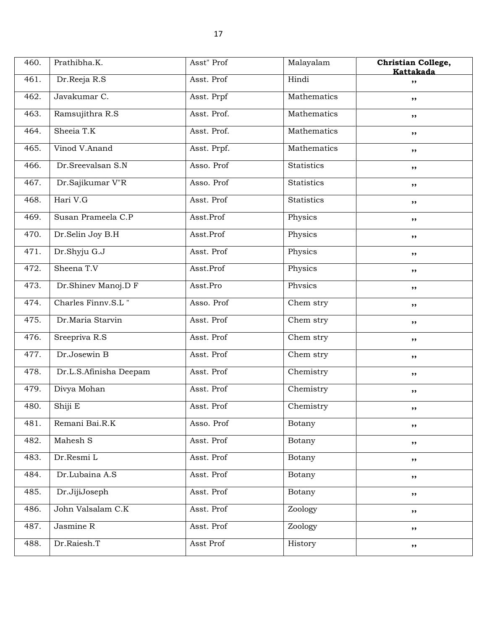| 460. | Prathibha.K.           | Asst" Prof  | Malayalam         | Christian College,<br>Kattakada |
|------|------------------------|-------------|-------------------|---------------------------------|
| 461. | Dr.Reeja R.S           | Asst. Prof  | Hindi             | ,,                              |
| 462. | Javakumar C.           | Asst. Prpf  | Mathematics       | ,,                              |
| 463. | Ramsujithra R.S        | Asst. Prof. | Mathematics       | ,,                              |
| 464. | Sheeia T.K             | Asst. Prof. | Mathematics       | ,,                              |
| 465. | Vinod V.Anand          | Asst. Prpf. | Mathematics       | ,,                              |
| 466. | Dr.Sreevalsan S.N      | Asso. Prof  | <b>Statistics</b> | ,,                              |
| 467. | Dr.Sajikumar V"R       | Asso. Prof  | Statistics        | ,,                              |
| 468. | Hari V.G               | Asst. Prof  | <b>Statistics</b> | ,,                              |
| 469. | Susan Prameela C.P     | Asst.Prof   | Physics           | ,,                              |
| 470. | Dr.Selin Joy B.H       | Asst.Prof   | Physics           | ,,                              |
| 471. | Dr.Shyju G.J           | Asst. Prof  | Physics           | ,,                              |
| 472. | Sheena T.V             | Asst.Prof   | Physics           | ,,                              |
| 473. | Dr.Shinev Manoj.D F    | Asst.Pro    | Physics           | ,,                              |
| 474. | Charles Finny.S.L"     | Asso. Prof  | Chem stry         | ,,                              |
| 475. | Dr.Maria Starvin       | Asst. Prof  | Chem stry         | ,,                              |
| 476. | Sreepriva R.S          | Asst. Prof  | Chem stry         | ,,                              |
| 477. | Dr.Josewin B           | Asst. Prof  | Chem stry         | ,,                              |
| 478. | Dr.L.S.Afinisha Deepam | Asst. Prof  | Chemistry         | ,,                              |
| 479. | Divya Mohan            | Asst. Prof  | Chemistry         | ,,                              |
| 480. | Shiji E                | Asst. Prof  | Chemistry         | ,,                              |
| 481. | Remani Bai.R.K         | Asso. Prof  | Botany            | ,,                              |
| 482. | Mahesh S               | Asst. Prof  | Botany            | ,,                              |
| 483. | Dr.Resmi L             | Asst. Prof  | Botany            | ,,                              |
| 484. | Dr.Lubaina A.S         | Asst. Prof  | Botany            | ,,                              |
| 485. | Dr.JijiJoseph          | Asst. Prof  | Botany            | ,,                              |
| 486. | John Valsalam C.K      | Asst. Prof  | Zoology           | ,,                              |
| 487. | Jasmine R              | Asst. Prof  | Zoology           | ,,                              |
| 488. | Dr.Raiesh.T            | Asst Prof   | History           | ,,                              |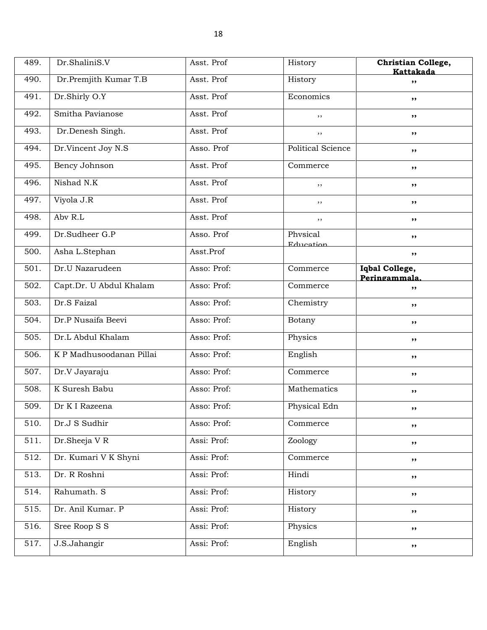| 489. | Dr.ShaliniS.V            | Asst. Prof  | History                  | Christian College,              |
|------|--------------------------|-------------|--------------------------|---------------------------------|
| 490. | Dr.Premjith Kumar T.B    | Asst. Prof  | History                  | Kattakada<br>,,                 |
| 491. | Dr.Shirly O.Y            | Asst. Prof  | Economics                | ,,                              |
| 492. | Smitha Pavianose         | Asst. Prof  | ,,                       | ,,                              |
| 493. | Dr.Denesh Singh.         | Asst. Prof  | ,,                       | ,,                              |
| 494. | Dr.Vincent Joy N.S       | Asso. Prof  | <b>Political Science</b> | ,,                              |
| 495. | Bency Johnson            | Asst. Prof  | Commerce                 | ,,                              |
| 496. | Nishad N.K               | Asst. Prof  | ,,                       | ,,                              |
| 497. | Viyola J.R               | Asst. Prof  | ,,                       | ,,                              |
| 498. | Abv R.L                  | Asst. Prof  | ,,                       | ,,                              |
| 499. | Dr.Sudheer G.P           | Asso. Prof  | Physical<br>Education    | ,,                              |
| 500. | Asha L.Stephan           | Asst.Prof   |                          | ,,                              |
| 501. | Dr.U Nazarudeen          | Asso: Prof: | Commerce                 | Iqbal College,<br>Peringammala. |
| 502. | Capt.Dr. U Abdul Khalam  | Asso: Prof: | Commerce                 | ,,                              |
| 503. | Dr.S Faizal              | Asso: Prof: | Chemistry                | ,,                              |
| 504. | Dr.P Nusaifa Beevi       | Asso: Prof: | Botany                   | ,,                              |
| 505. | Dr.L Abdul Khalam        | Asso: Prof: | Physics                  | ,,                              |
| 506. | K P Madhusoodanan Pillai | Asso: Prof: | English                  | ,,                              |
| 507. | Dr.V Jayaraju            | Asso: Prof: | Commerce                 | ,,                              |
| 508. | K Suresh Babu            | Asso: Prof: | Mathematics              | ,,                              |
| 509. | Dr K I Razeena           | Asso: Prof: | Physical Edn             | ,,                              |
| 510. | Dr.J S Sudhir            | Asso: Prof: | Commerce                 | ,,                              |
| 511. | Dr.Sheeja VR             | Assi: Prof: | Zoology                  | ,,                              |
| 512. | Dr. Kumari V K Shyni     | Assi: Prof: | Commerce                 | ,,                              |
| 513. | Dr. R Roshni             | Assi: Prof: | Hindi                    | ,,                              |
| 514. | Rahumath. S              | Assi: Prof: | History                  | ,,                              |
| 515. | Dr. Anil Kumar. P        | Assi: Prof: | History                  | ,,                              |
| 516. | Sree Roop S S            | Assi: Prof: | Physics                  | ,,                              |
| 517. | J.S.Jahangir             | Assi: Prof: | English                  | ,,                              |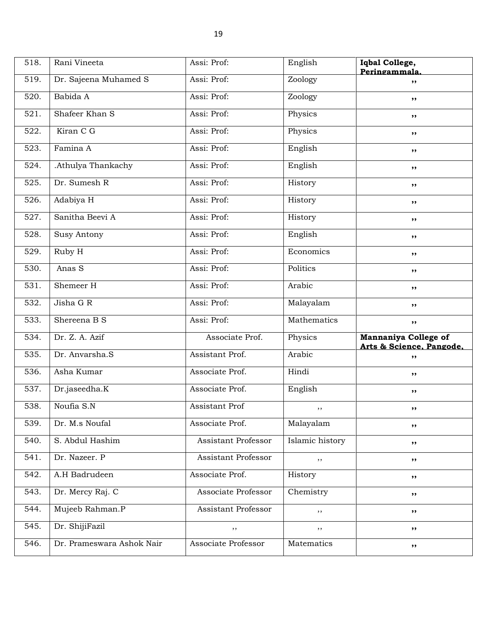| 518. | Rani Vineeta          | Assi: Prof:                | English         | Iqbal College,<br>Peringammala.                  |
|------|-----------------------|----------------------------|-----------------|--------------------------------------------------|
| 519. | Dr. Sajeena Muhamed S | Assi: Prof:                | Zoology         | ,,                                               |
| 520. | Babida A              | Assi: Prof:                | Zoology         | ,,                                               |
| 521. | Shafeer Khan S        | Assi: Prof:                | Physics         | ,,                                               |
| 522. | Kiran C G             | Assi: Prof:                | Physics         | ,,                                               |
| 523. | Famina A              | Assi: Prof:                | English         | ,,                                               |
| 524. | .Athulya Thankachy    | Assi: Prof:                | English         | ,,                                               |
| 525. | Dr. Sumesh R          | Assi: Prof:                | History         | ,,                                               |
| 526. | Adabiya H             | Assi: Prof:                | History         | ,,                                               |
| 527. | Sanitha Beevi A       | Assi: Prof:                | History         | ,,                                               |
| 528. | <b>Susy Antony</b>    | Assi: Prof:                | English         | ,,                                               |
| 529. | Ruby H                | Assi: Prof:                | Economics       | ,,                                               |
| 530. | Anas S                | Assi: Prof:                | Politics        | ,,                                               |
| 531. | Shemeer H             | Assi: Prof:                | Arabic          | ,,                                               |
| 532. | Jisha G R             | Assi: Prof:                | Malayalam       | ,,                                               |
| 533. | Shereena B S          | Assi: Prof:                | Mathematics     | $, \,$                                           |
| 534. | Dr. Z. A. Azif        | Associate Prof.            | Physics         | Mannaniya College of<br>Arts & Science. Pangode. |
| 535. | Dr. Anvarsha.S        | Assistant Prof.            | Arabic          | ,,                                               |
| 536. | Asha Kumar            | Associate Prof.            | Hindi           | ,,                                               |
| 537. | Dr.jaseedha.K         | Associate Prof.            | English         | ,,                                               |
| 538. | Noufia S.N            | <b>Assistant Prof</b>      | ,,              | ,,                                               |
| 539. | Dr. M.s Noufal        | Associate Prof.            | Malayalam       | ,,                                               |
| 540. | S. Abdul Hashim       | <b>Assistant Professor</b> | Islamic history | ,,                                               |
| 541. |                       |                            |                 |                                                  |
|      | Dr. Nazeer. P         | <b>Assistant Professor</b> | ,,              | ,,                                               |
| 542. | A.H Badrudeen         | Associate Prof.            | History         | ,,                                               |
| 543. | Dr. Mercy Raj. C      | Associate Professor        | Chemistry       | ,,                                               |
| 544. | Mujeeb Rahman.P       | Assistant Professor        | ,,              | ,,                                               |
| 545. | Dr. ShijiFazil        | $, \,$                     | ,,              | ,,                                               |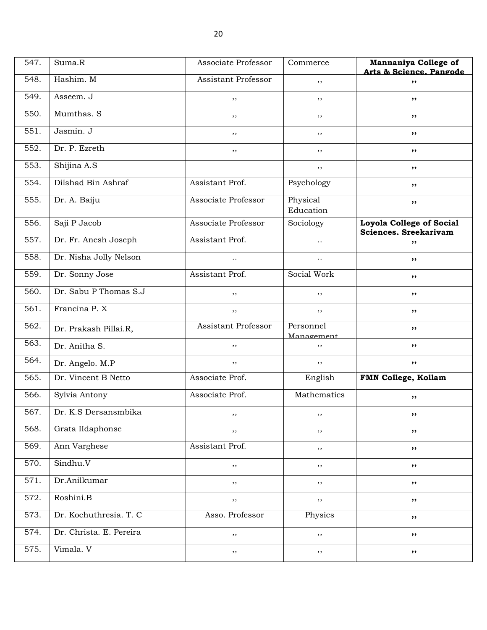| 547. | Suma.R                  | Associate Professor        | Commerce                | Mannaniya College of<br>Arts & Science, Pangode   |
|------|-------------------------|----------------------------|-------------------------|---------------------------------------------------|
| 548. | Hashim. M               | Assistant Professor        | ,,                      | ,,                                                |
| 549. | Asseem. J               | ,,                         | $, \,$                  | ,,                                                |
| 550. | Mumthas. S              | ,,                         | ,,                      | ,,                                                |
| 551. | Jasmin. J               | $, \,$                     | ,,                      | ,,                                                |
| 552. | Dr. P. Ezreth           | ,,                         | ,,                      | ,,                                                |
| 553. | Shijina A.S             |                            | ,,                      | ,,                                                |
| 554. | Dilshad Bin Ashraf      | Assistant Prof.            | Psychology              | ,,                                                |
| 555. | Dr. A. Baiju            | Associate Professor        | Physical<br>Education   | ,,                                                |
| 556. | Saji P Jacob            | Associate Professor        | Sociology               | Loyola College of Social<br>Sciences. Sreekarivam |
| 557. | Dr. Fr. Anesh Joseph    | Assistant Prof.            | $\ldots$                | ,,                                                |
| 558. | Dr. Nisha Jolly Nelson  | $\ddot{\phantom{a}}$ .     | $\ddot{\phantom{a}}$ .  | ,,                                                |
| 559. | Dr. Sonny Jose          | Assistant Prof.            | Social Work             | ,,                                                |
| 560. | Dr. Sabu P Thomas S.J   | ,,                         | ,,                      | ,,                                                |
| 561. | Francina P.X            | $, \,$                     | ,,                      | ,,                                                |
| 562. | Dr. Prakash Pillai.R,   | <b>Assistant Professor</b> | Personnel<br>Management | ,,                                                |
| 563. | Dr. Anitha S.           | ,,                         | ,,                      | ,,                                                |
| 564. | Dr. Angelo. M.P         | $, \,$                     | , ,                     | ,,                                                |
| 565. | Dr. Vincent B Netto     | Associate Prof.            | English                 | FMN College, Kollam                               |
| 566. | Sylvia Antony           | Associate Prof.            | Mathematics             | ,,                                                |
| 567. | Dr. K.S Dersansmbika    |                            | ,,                      |                                                   |
| 568. | Grata IIdaphonse        | $, \, ,$                   | ,,                      | ,,                                                |
| 569. | Ann Varghese            | Assistant Prof.            | $, \,$                  | ,,                                                |
| 570. | Sindhu.V                | ,,                         | ,,                      | ,,                                                |
| 571. | Dr.Anilkumar            | , ,                        | , ,                     | ,,                                                |
| 572. | Roshini.B               | $, \,$                     | $, \,$                  | ,,                                                |
| 573. | Dr. Kochuthresia. T. C  | Asso. Professor            | Physics                 | ,,                                                |
| 574. | Dr. Christa. E. Pereira | ,,                         | $, \,$                  | ,,                                                |
| 575. | Vimala. V               | $, \,$                     | ,,                      | ,,                                                |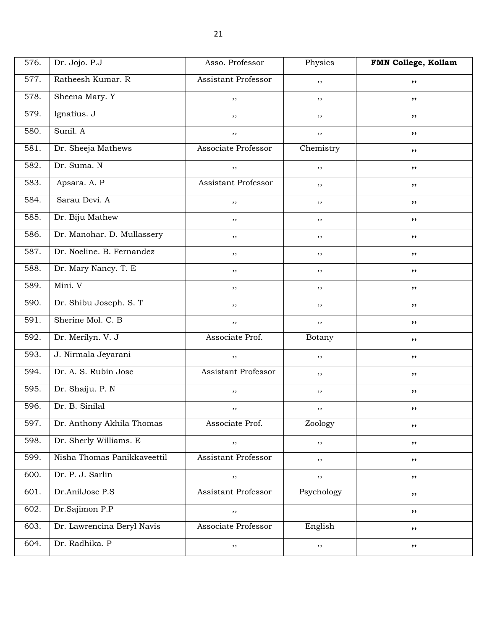| 576. | Dr. Jojo. P.J               | Asso. Professor     | Physics    | FMN College, Kollam |
|------|-----------------------------|---------------------|------------|---------------------|
| 577. | Ratheesh Kumar. R           | Assistant Professor | ,,         | ,,                  |
| 578. | Sheena Mary. Y              | ,,                  | , ,        | ,,                  |
| 579. | Ignatius. J                 | $, \,$              | ,,         | ,,                  |
| 580. | Sunil. A                    | $, \,$              | ,,         | ,,                  |
| 581. | Dr. Sheeja Mathews          | Associate Professor | Chemistry  | ,,                  |
| 582. | Dr. Suma. N                 | $, \,$              | ,,         | ,,                  |
| 583. | Apsara. A. P                | Assistant Professor | ,,         | ,,                  |
| 584. | Sarau Devi. A               | $, \,$              | ,,         | ,,                  |
| 585. | Dr. Biju Mathew             | ,,                  | ,,         | ,,                  |
| 586. | Dr. Manohar. D. Mullassery  | $, \,$              | ,,         | ,,                  |
| 587. | Dr. Noeline. B. Fernandez   | $, \,$              | ,,         | ,,                  |
| 588. | Dr. Mary Nancy. T. E        | $, \,$              | , ,        | ,,                  |
| 589. | Mini. V                     | $, \,$              | $, \,$     | ,,                  |
| 590. | Dr. Shibu Joseph. S. T      | ,,                  | ,,         | ,,                  |
| 591. | Sherine Mol. C. B           | $, \,$              | ,,         | ,,                  |
| 592. | Dr. Merilyn. V. J           | Associate Prof.     | Botany     | ,,                  |
| 593. | J. Nirmala Jeyarani         | $, \,$              | ,,         | ,,                  |
| 594. | Dr. A. S. Rubin Jose        | Assistant Professor | ,,         | ,,                  |
| 595. | Dr. Shaiju. P. N            | ,,                  | ,,         | ,,                  |
| 596. | Dr. B. Sinilal              | , ,                 | ,,         | ,,                  |
| 597. | Dr. Anthony Akhila Thomas   | Associate Prof.     | Zoology    | ,,                  |
| 598. | Dr. Sherly Williams. E      | $, \,$              | ,,         | ,,                  |
| 599. | Nisha Thomas Panikkaveettil | Assistant Professor | $, \,$     | ,,                  |
| 600. | Dr. P. J. Sarlin            | $, \,$              | , ,        | ,,                  |
| 601. | Dr.AnilJose P.S             | Assistant Professor | Psychology | ,,                  |
| 602. | Dr.Sajimon P.P              | $, \,$              |            | ,,                  |
| 603. | Dr. Lawrencina Beryl Navis  | Associate Professor | English    | ,,                  |
| 604. | Dr. Radhika. P              | $, \,$              | $, \,$     | ,,                  |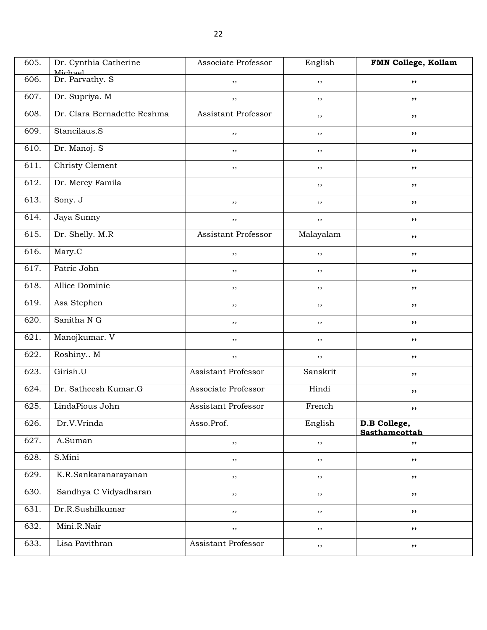| 605. | Dr. Cynthia Catherine<br>Michael | Associate Professor        | English   | FMN College, Kollam           |
|------|----------------------------------|----------------------------|-----------|-------------------------------|
| 606. | Dr. Parvathy. S                  | ,,                         | , ,       | ,,                            |
| 607. | Dr. Supriya. M                   | $, \,$                     | $, \,$    | ,,                            |
| 608. | Dr. Clara Bernadette Reshma      | Assistant Professor        | , ,       | ,,                            |
| 609. | Stancilaus.S                     | $, \,$                     | $, \,$    | ,,                            |
| 610. | Dr. Manoj. S                     | $, \,$                     | , ,       | ,,                            |
| 611. | Christy Clement                  | $, \,$                     | , ,       | ,,                            |
| 612. | Dr. Mercy Famila                 |                            | $, \,$    | ,,                            |
| 613. | Sony. J                          | ,,                         | ,,        | ,,                            |
| 614. | Jaya Sunny                       | $, \,$                     | ,,        | ,,                            |
| 615. | Dr. Shelly. M.R                  | Assistant Professor        | Malayalam | ,,                            |
| 616. | Mary.C                           | ,,                         | ,,        | ,,                            |
| 617. | Patric John                      | ,,                         | $, \,$    | ,,                            |
| 618. | Allice Dominic                   | ,,                         | , ,       | ,,                            |
| 619. | Asa Stephen                      | $, \,$                     | $, \,$    | ,,                            |
| 620. | Sanitha N G                      | $, \,$                     | , ,       | ,,                            |
| 621. | Manojkumar. V                    | $, \,$                     | , ,       | ,,                            |
| 622. | Roshiny M                        | $, \,$                     | ,,        | ,,                            |
| 623. | Girish.U                         | Assistant Professor        | Sanskrit  | ,,                            |
| 624. | Dr. Satheesh Kumar.G             | Associate Professor        | Hindi     | ,,                            |
| 625. | LindaPious John                  | <b>Assistant Professor</b> | French    | ,,                            |
| 626. | Dr.V.Vrinda                      | Asso.Prof.                 | English   | D.B College,<br>Sasthamcottah |
| 627. | A.Suman                          | ,,                         | $, \,$    | ,,                            |
| 628. | S.Mini                           | , ,                        | ,,        | ,,                            |
| 629. | K.R.Sankaranarayanan             | $, \,$                     | $, \,$    | ,,                            |
| 630. | Sandhya C Vidyadharan            | ,,                         | , ,       | ,,                            |
| 631. | Dr.R.Sushilkumar                 | ,,                         | ,,        | ,,                            |
| 632. | Mini.R.Nair                      | $, \, ,$                   | $, \,$    | ,,                            |
| 633. | Lisa Pavithran                   | Assistant Professor        | ,,        | ,,                            |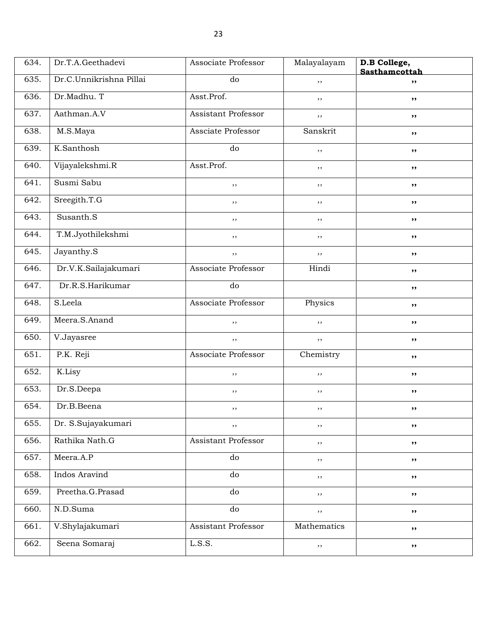| 634. | Dr.T.A.Geethadevi       | Associate Professor        | Malayalayam | D.B College,<br>Sasthamcottah |
|------|-------------------------|----------------------------|-------------|-------------------------------|
| 635. | Dr.C.Unnikrishna Pillai | do                         | ,,          | ,,                            |
| 636. | Dr.Madhu. T             | Asst.Prof.                 | ,,          | ,,                            |
| 637. | Aathman.A.V             | <b>Assistant Professor</b> | ,,          | ,,                            |
| 638. | M.S.Maya                | Assciate Professor         | Sanskrit    | ,,                            |
| 639. | K.Santhosh              | do                         | ,,          | $, \,$                        |
| 640. | Vijayalekshmi.R         | Asst.Prof.                 | ,,          | ,,                            |
| 641. | Susmi Sabu              | $, \,$                     | ,,          | ,,                            |
| 642. | Sreegith.T.G            | $, \,$                     | ,,          | ,,                            |
| 643. | Susanth.S               | ,,                         | ,,          | ,,                            |
| 644. | T.M.Jyothilekshmi       | ,,                         | ,,          | $, \,$                        |
| 645. | Jayanthy.S              | $, \,$                     | ,,          | ,,                            |
| 646. | Dr.V.K.Sailajakumari    | Associate Professor        | Hindi       | ,,                            |
| 647. | Dr.R.S.Harikumar        | do                         |             | ,,                            |
| 648. | S.Leela                 | Associate Professor        | Physics     | ,,                            |
| 649. | Meera.S.Anand           | ,,                         | ,,          | ,,                            |
| 650. | V.Jayasree              | $, \,$                     | $, \,$      | ,,                            |
| 651. | P.K. Reji               | Associate Professor        | Chemistry   | ,,                            |
| 652. | K.Lisy                  | $, \,$                     | $, \,$      | ,,                            |
| 653. | Dr.S.Deepa              | $, \,$                     | , ,         | ,,                            |
| 654. | Dr.B.Beena              | $, \,$                     | ,,          | ,,                            |
| 655. | Dr. S.Sujayakumari      | $, \,$                     | $, \, ,$    | ,,                            |
| 656. | Rathika Nath.G          | Assistant Professor        | ,,          | $, \,$                        |
| 657. | Meera.A.P               | do                         | $, \,$      | ,,                            |
| 658. | Indos Aravind           | ${\rm do}$                 | $, \,$      | ,,                            |
| 659. | Preetha.G.Prasad        | d <sub>o</sub>             | $, \,$      | ,,                            |
| 660. | N.D.Suma                | ${\rm do}$                 | $, \, ,$    | ,,                            |
| 661. | V.Shylajakumari         | Assistant Professor        | Mathematics | ,,                            |
| 662. | Seena Somaraj           | L.S.S.                     | $, \,$      | ,,                            |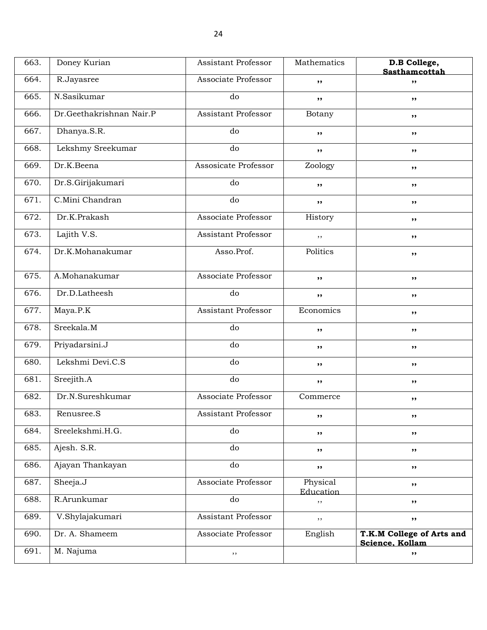| 663. | Doney Kurian             | <b>Assistant Professor</b> | Mathematics           | D.B College,<br>Sasthamcottah                |
|------|--------------------------|----------------------------|-----------------------|----------------------------------------------|
| 664. | R.Jayasree               | Associate Professor        | ,,                    | ,,                                           |
| 665. | N.Sasikumar              | do                         | ,,                    | $, \,$                                       |
| 666. | Dr.Geethakrishnan Nair.P | <b>Assistant Professor</b> | Botany                | ,,                                           |
| 667. | Dhanya.S.R.              | do                         | ,,                    | ,,                                           |
| 668. | Lekshmy Sreekumar        | do                         | ,,                    | ,,                                           |
| 669. | Dr.K.Beena               | Assosicate Professor       | Zoology               | ,,                                           |
| 670. | Dr.S.Girijakumari        | do                         | ,,                    | $, \,$                                       |
| 671. | C.Mini Chandran          | do                         | ,,                    | ,,                                           |
| 672. | Dr.K.Prakash             | Associate Professor        | History               | ,,                                           |
| 673. | Lajith V.S.              | <b>Assistant Professor</b> | ,,                    | ,,                                           |
| 674. | Dr.K.Mohanakumar         | Asso.Prof.                 | Politics              | ,,                                           |
| 675. | A.Mohanakumar            | Associate Professor        | ,,                    | ,,                                           |
| 676. | Dr.D.Latheesh            | do                         | ,,                    | ,,                                           |
| 677. | Maya.P.K                 | Assistant Professor        | Economics             | ,,                                           |
| 678. | Sreekala.M               | do                         | ,,                    | ,,                                           |
| 679. | Priyadarsini.J           | do                         | ,,                    | ,,                                           |
| 680. | Lekshmi Devi.C.S         | do                         | ,,                    | ,,                                           |
| 681. | Sreejith.A               | do                         | ,,                    | ,,                                           |
| 682. | Dr.N.Sureshkumar         | Associate Professor        | Commerce              | ,,                                           |
| 683. | Renusree.S               | Assistant Professor        | ,,                    | ,,                                           |
| 684. | Sreelekshmi.H.G.         | do                         | ,,                    | ,,                                           |
| 685. | Ajesh. S.R.              | do                         | ,,                    | ,,                                           |
| 686. | Ajayan Thankayan         | do                         | ,,                    | ,,                                           |
| 687. | Sheeja.J                 | Associate Professor        | Physical<br>Education | ,,                                           |
| 688. | R.Arunkumar              | do                         | ,,                    | ,,                                           |
| 689. | V.Shylajakumari          | Assistant Professor        | ,,                    | ,,                                           |
| 690. | Dr. A. Shameem           | Associate Professor        | English               | T.K.M College of Arts and<br>Science. Kollam |
| 691. | M. Najuma                | $, \,$                     |                       | ,,                                           |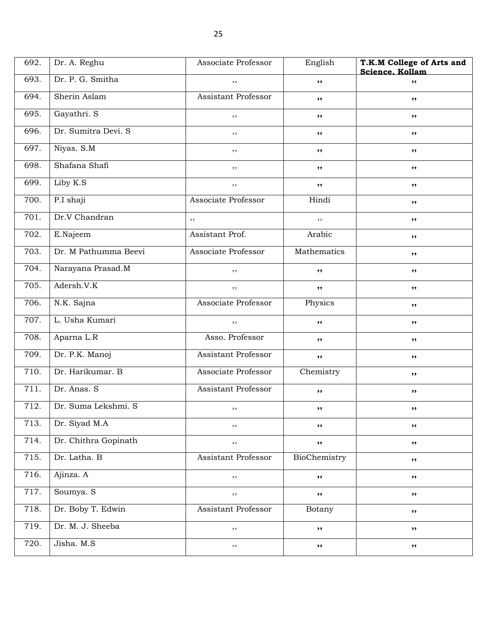| 692. | Dr. A. Reghu         | Associate Professor | English      | T.K.M College of Arts and<br>Science. Kollam |
|------|----------------------|---------------------|--------------|----------------------------------------------|
| 693. | Dr. P. G. Smitha     | ,,                  | , ,          | ,,                                           |
| 694. | Sherin Aslam         | Assistant Professor | $, \,$       | ,,                                           |
| 695. | Gayathri. S          | $, \,$              | ,,           | ,,                                           |
| 696. | Dr. Sumitra Devi. S  | $, \,$              | $, \,$       | $, \, \,$                                    |
| 697. | Niyas. S.M           | ,,                  | ,,           | ,,                                           |
| 698. | Shafana Shafi        | ,,                  | ,,           | ,,                                           |
| 699. | Liby K.S             | ,,                  | $, \,$       | ,,                                           |
| 700. | P.I shaji            | Associate Professor | Hindi        | ,,                                           |
| 701. | Dr.V Chandran        | ,,                  | ,,           | $, \, \,$                                    |
| 702. | E.Najeem             | Assistant Prof.     | Arabic       | ,,                                           |
| 703. | Dr. M Pathumma Beevi | Associate Professor | Mathematics  | ,,                                           |
| 704. | Narayana Prasad.M    | ,,                  | ,,           | ,,                                           |
| 705. | Adersh.V.K           | ,,                  | ,,           | ,,                                           |
| 706. | N.K. Sajna           | Associate Professor | Physics      | $, \, \,$                                    |
| 707. | L. Usha Kumari       | ,,                  | ,,           | ,,                                           |
| 708. | Aparna L.R           | Asso. Professor     | , ,          | ,,                                           |
| 709. | Dr. P.K. Manoj       | Assistant Professor | $, \,$       | ,,                                           |
| 710. | Dr. Harikumar. B     | Associate Professor | Chemistry    | ,,                                           |
| 711. | Dr. Anas. S          | Assistant Professor | ,,           | $, \, \,$                                    |
| 712. | Dr. Suma Lekshmi. S  | , ,                 | ,,           | ,,                                           |
| 713. | Dr. Siyad M.A        | $, \,$              | ,,           | ,,                                           |
| 714. | Dr. Chithra Gopinath | $, \,$              | $, \,$       | ,,                                           |
| 715. | Dr. Latha. B         | Assistant Professor | BioChemistry | ,,                                           |
| 716. | Ajinza. A            | $, \,$              | ,,           | ,,                                           |
| 717. | Soumya. S            | ,,                  | $, \,$       | ,,                                           |
| 718. | Dr. Boby T. Edwin    | Assistant Professor | Botany       | ,,                                           |
| 719. | Dr. M. J. Sheeba     | $, \,$              | $, \,$       | ,,                                           |
| 720. | Jisha. M.S           | $, \,$              | $, \,$       | ,,                                           |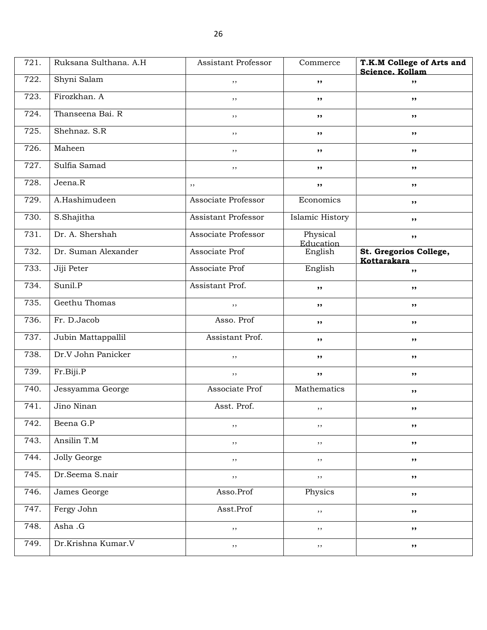| 721. | Ruksana Sulthana. A.H. | <b>Assistant Professor</b> | Commerce              | T.K.M College of Arts and<br>Science. Kollam |
|------|------------------------|----------------------------|-----------------------|----------------------------------------------|
| 722. | Shyni Salam            | ,,                         | ,,                    | ,,                                           |
| 723. | Firozkhan. A           | ,,                         | $, \, \,$             | ,,                                           |
| 724. | Thanseena Bai. R       | $, \,$                     | , ,                   | ,,                                           |
| 725. | Shehnaz. S.R           | , ,                        | ,,                    | $, \, \,$                                    |
| 726. | Maheen                 | ,,                         | , ,                   | ,,                                           |
| 727. | Sulfia Samad           | ,,                         | ,,                    | ,,                                           |
| 728. | Jeena.R                | ,,                         | ,,                    | ,,                                           |
| 729. | A.Hashimudeen          | Associate Professor        | Economics             | ,,                                           |
| 730. | S.Shajitha             | Assistant Professor        | Islamic History       | ,,                                           |
| 731. | Dr. A. Shershah        | Associate Professor        | Physical<br>Education | ,,                                           |
| 732. | Dr. Suman Alexander    | Associate Prof             | English               | St. Gregorios College,<br>Kottarakara        |
| 733. | Jiji Peter             | Associate Prof             | English               | ,,                                           |
| 734. | Sunil.P                | Assistant Prof.            | , ,                   | ,,                                           |
| 735. | Geethu Thomas          | $, \, ,$                   | $, \, \,$             | $, \, \,$                                    |
| 736. | Fr. D.Jacob            | Asso. Prof                 | , ,                   | ,,                                           |
| 737. | Jubin Mattappallil     | Assistant Prof.            | ,,                    | ,,                                           |
| 738. | Dr.V John Panicker     | ,,                         | ,,                    | ,,                                           |
| 739. | Fr.Biji.P              | , ,                        | , ,                   | $, \, \,$                                    |
| 740. | Jessyamma George       | Associate Prof             | Mathematics           | $, \, \,$                                    |
| 741. | Jino Ninan             | Asst. Prof.                | ,,                    | ,,                                           |
| 742. | Beena G.P              | ,,                         | ,,                    | ,,                                           |
| 743. | Ansilin T.M            | $, \,$                     | ,,                    | ,,                                           |
| 744. | Jolly George           | ,,                         | $, \, ,$              | $, \, \cdot$                                 |
| 745. | Dr.Seema S.nair        | $, \,$                     | $, \,$                | ,,                                           |
| 746. | James George           | Asso.Prof                  | Physics               | ,,                                           |
| 747. | Fergy John             | Asst.Prof                  | ,,                    | ,,                                           |
| 748. | Asha .G                | $, \,$                     | $, \,$                | ,,                                           |
| 749. | Dr.Krishna Kumar.V     | $, \,$                     | $, \,$                | $\pmb{\mathfrak{H}}$                         |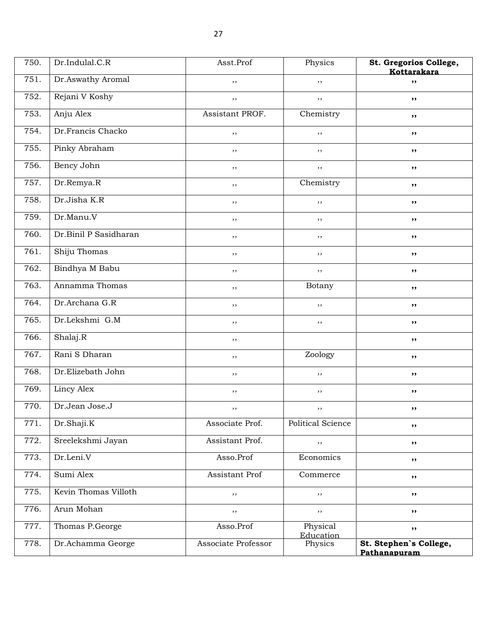| 750. | Dr.Indulal.C.R        | Asst.Prof           | Physics               | St. Gregorios College,<br>Kottarakara  |
|------|-----------------------|---------------------|-----------------------|----------------------------------------|
| 751. | Dr.Aswathy Aromal     | ,,                  | ,,                    | , ,                                    |
| 752. | Rejani V Koshy        | ,,                  | ,,                    | ,,                                     |
| 753. | Anju Alex             | Assistant PROF.     | Chemistry             | ,,                                     |
| 754. | Dr.Francis Chacko     | $, \,$              | ,,                    | ,,                                     |
| 755. | Pinky Abraham         | ,,                  | ,,                    | ,,                                     |
| 756. | Bency John            | ,,                  | ,,                    | ,,                                     |
| 757. | Dr.Remya.R            | ,,                  | Chemistry             | ,,                                     |
| 758. | Dr.Jisha K.R          | $, \,$              | ,,                    | $, \,$                                 |
| 759. | Dr.Manu.V             | $, \,$              | ,,                    | ,,                                     |
| 760. | Dr.Binil P Sasidharan | $, \,$              | ,,                    | $, \,$                                 |
| 761. | Shiju Thomas          | ,,                  | $, \,$                | ,,                                     |
| 762. | Bindhya M Babu        | $, \,$              | ,,                    | ,,                                     |
| 763. | Annamma Thomas        | $, \,$              | Botany                | ,,                                     |
| 764. | Dr.Archana G.R        | $, \,$              | ,,                    | ,,                                     |
| 765. | Dr.Lekshmi G.M        | ,,                  | ,,                    | ,,                                     |
| 766. | Shalaj.R              | ,,                  |                       | ,,                                     |
| 767. | Rani S Dharan         | $, \,$              | Zoology               | ,,                                     |
| 768. | Dr.Elizebath John     | $, \,$              | ,,                    | $, \,$                                 |
| 769. | Lincy Alex            | $, \,$              | ,,                    | ,,                                     |
| 770. | Dr.Jean Jose.J        | $, \,$              | $, \,$                | ,,                                     |
| 771. | Dr.Shaji.K            | Associate Prof.     | Political Science     | $, \, \cdot$                           |
| 772. | Sreelekshmi Jayan     | Assistant Prof.     | ,,                    | ,,                                     |
| 773. | Dr.Leni.V             | Asso.Prof           | Economics             | $, \,$                                 |
| 774. | Sumi Alex             | Assistant Prof      | Commerce              | ,,                                     |
| 775. | Kevin Thomas Villoth  | $, \,$              | ,,                    | $, \,$                                 |
| 776. | Arun Mohan            | ,,                  | $, \,$                | $, \,$                                 |
| 777. | Thomas P.George       | Asso.Prof           | Physical<br>Education | $, \,$                                 |
| 778. | Dr.Achamma George     | Associate Professor | Physics               | St. Stephen's College,<br>Pathanapuram |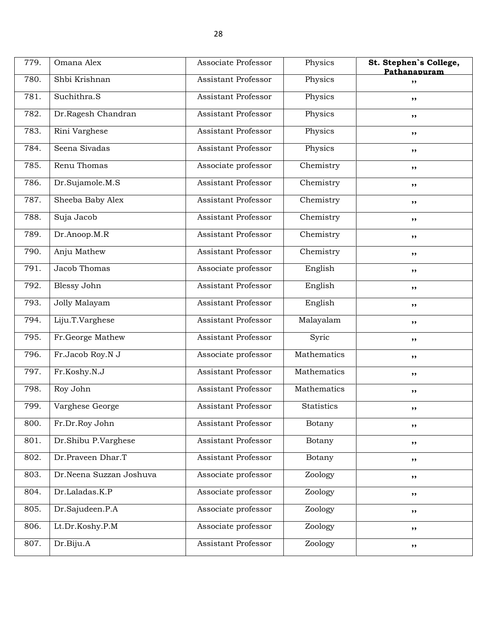| 779. | Omana Alex              | Associate Professor        | Physics           | St. Stephen's College,<br>Pathanapuram |
|------|-------------------------|----------------------------|-------------------|----------------------------------------|
| 780. | Shbi Krishnan           | Assistant Professor        | Physics           | ,,                                     |
| 781. | Suchithra.S             | Assistant Professor        | Physics           | ,,                                     |
| 782. | Dr.Ragesh Chandran      | <b>Assistant Professor</b> | Physics           | ,,                                     |
| 783. | Rini Varghese           | <b>Assistant Professor</b> | Physics           | ,,                                     |
| 784. | Seena Sivadas           | <b>Assistant Professor</b> | Physics           | ,,                                     |
| 785. | Renu Thomas             | Associate professor        | Chemistry         | ,,                                     |
| 786. | Dr.Sujamole.M.S         | <b>Assistant Professor</b> | Chemistry         | $, \, \cdot$                           |
| 787. | Sheeba Baby Alex        | <b>Assistant Professor</b> | Chemistry         | ,,                                     |
| 788. | Suja Jacob              | <b>Assistant Professor</b> | Chemistry         | $, \, \cdot$                           |
| 789. | Dr.Anoop.M.R            | <b>Assistant Professor</b> | Chemistry         | ,,                                     |
| 790. | Anju Mathew             | Assistant Professor        | Chemistry         | ,,                                     |
| 791. | Jacob Thomas            | Associate professor        | English           | ,,                                     |
| 792. | <b>Blessy John</b>      | <b>Assistant Professor</b> | English           | ,,                                     |
| 793. | Jolly Malayam           | <b>Assistant Professor</b> | English           | ,,                                     |
| 794. | Liju.T.Varghese         | <b>Assistant Professor</b> | Malayalam         | ,,                                     |
| 795. | Fr.George Mathew        | <b>Assistant Professor</b> | Syric             | ,,                                     |
| 796. | Fr.Jacob Roy.N J        | Associate professor        | Mathematics       | ,,                                     |
| 797. | Fr.Koshy.N.J            | <b>Assistant Professor</b> | Mathematics       | ,,                                     |
| 798. | Roy John                | <b>Assistant Professor</b> | Mathematics       | $, \, \cdot$                           |
| 799. | Varghese George         | <b>Assistant Professor</b> | <b>Statistics</b> | ,,                                     |
| 800. | Fr.Dr.Roy John          | <b>Assistant Professor</b> | Botany            | ,,                                     |
| 801. | Dr.Shibu P.Varghese     | Assistant Professor        | Botany            | ,,                                     |
| 802. | Dr.Praveen Dhar.T       | Assistant Professor        | Botany            | ,,                                     |
| 803. | Dr.Neena Suzzan Joshuva | Associate professor        | Zoology           | ,,                                     |
| 804. | Dr.Laladas.K.P          | Associate professor        | Zoology           | $, \,$                                 |
| 805. | Dr.Sajudeen.P.A         | Associate professor        | Zoology           | ,,                                     |
| 806. | Lt.Dr.Koshy.P.M         | Associate professor        | Zoology           | ,,                                     |
| 807. | Dr.Biju.A               | Assistant Professor        | Zoology           | ,,                                     |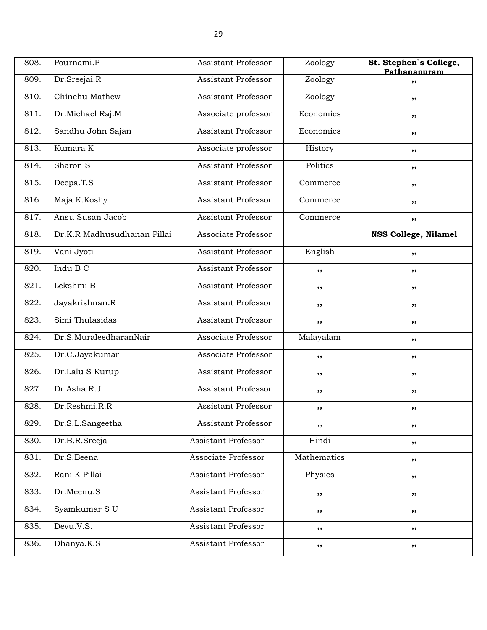| 808. | Pournami.P                  | Assistant Professor        | Zoology     | St. Stephen's College,<br>Pathanapuram |
|------|-----------------------------|----------------------------|-------------|----------------------------------------|
| 809. | Dr.Sreejai.R                | <b>Assistant Professor</b> | Zoology     | ,,                                     |
| 810. | Chinchu Mathew              | Assistant Professor        | Zoology     | ,,                                     |
| 811. | Dr.Michael Raj.M            | Associate professor        | Economics   | ,,                                     |
| 812. | Sandhu John Sajan           | Assistant Professor        | Economics   | ,,                                     |
| 813. | Kumara K                    | Associate professor        | History     | ,,                                     |
| 814. | Sharon S                    | Assistant Professor        | Politics    | ,,                                     |
| 815. | Deepa.T.S                   | Assistant Professor        | Commerce    | ,,                                     |
| 816. | Maja.K.Koshy                | <b>Assistant Professor</b> | Commerce    | ,,                                     |
| 817. | Ansu Susan Jacob            | Assistant Professor        | Commerce    | ,,                                     |
| 818. | Dr.K.R Madhusudhanan Pillai | Associate Professor        |             | NSS College, Nilamel                   |
| 819. | Vani Jyoti                  | Assistant Professor        | English     | ,,                                     |
| 820. | Indu B C                    | Assistant Professor        | ,,          | ,,                                     |
| 821. | Lekshmi B                   | <b>Assistant Professor</b> | ,,          | ,,                                     |
| 822. | Jayakrishnan.R              | Assistant Professor        | ,,          | ,,                                     |
| 823. | Simi Thulasidas             | <b>Assistant Professor</b> | ,,          | ,,                                     |
| 824. | Dr.S.MuraleedharanNair      | Associate Professor        | Malayalam   | ,,                                     |
| 825. | Dr.C.Jayakumar              | Associate Professor        | ,,          | ,,                                     |
| 826. | Dr.Lalu S Kurup             | <b>Assistant Professor</b> | ,,          | ,,                                     |
| 827. | Dr.Asha.R.J                 | Assistant Professor        | ,,          | ,,                                     |
| 828. | Dr.Reshmi.R.R               | <b>Assistant Professor</b> | ,,          | ,,                                     |
| 829. | Dr.S.L.Sangeetha            | Assistant Professor        | ,,          | ,,                                     |
| 830. | Dr.B.R.Sreeja               | Assistant Professor        | Hindi       | ,,                                     |
| 831. | Dr.S.Beena                  | Associate Professor        | Mathematics | ,,                                     |
| 832. | Rani K Pillai               | Assistant Professor        | Physics     | ,,                                     |
| 833. | Dr.Meenu.S                  | <b>Assistant Professor</b> | ,,          | ,,                                     |
| 834. | Syamkumar S U               | Assistant Professor        | ,,          | ,,                                     |
| 835. | Devu.V.S.                   | <b>Assistant Professor</b> | ,,          | ,,                                     |
| 836. | Dhanya.K.S                  | <b>Assistant Professor</b> | ,,          | ,,                                     |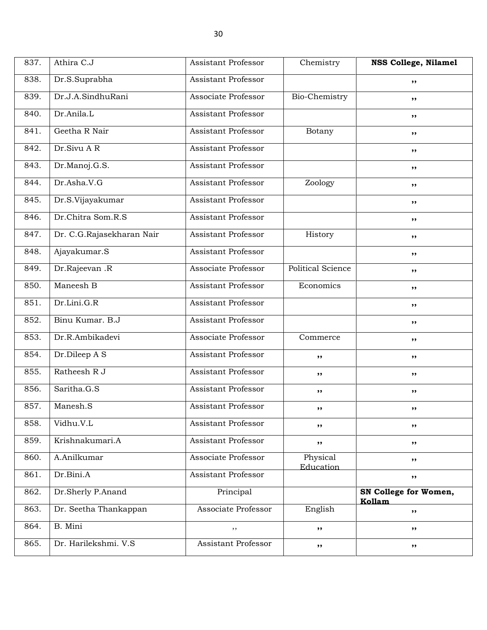| 837. | Athira C.J                | Assistant Professor        | Chemistry                | <b>NSS College, Nilamel</b>     |
|------|---------------------------|----------------------------|--------------------------|---------------------------------|
| 838. | Dr.S.Suprabha             | <b>Assistant Professor</b> |                          | ,,                              |
| 839. | Dr.J.A.SindhuRani         | Associate Professor        | Bio-Chemistry            | ,,                              |
| 840. | Dr.Anila.L                | <b>Assistant Professor</b> |                          | ,,                              |
| 841. | Geetha R Nair             | <b>Assistant Professor</b> | Botany                   | $, \, \,$                       |
| 842. | Dr.Sivu AR                | <b>Assistant Professor</b> |                          | ,,                              |
| 843. | Dr.Manoj.G.S.             | <b>Assistant Professor</b> |                          | ,,                              |
| 844. | Dr.Asha.V.G               | Assistant Professor        | Zoology                  | ,,                              |
| 845. | Dr.S.Vijayakumar          | Assistant Professor        |                          | ,,                              |
| 846. | Dr.Chitra Som.R.S         | <b>Assistant Professor</b> |                          | $, \, \,$                       |
| 847. | Dr. C.G.Rajasekharan Nair | <b>Assistant Professor</b> | History                  | ,,                              |
| 848. | Ajayakumar.S              | <b>Assistant Professor</b> |                          | ,,                              |
| 849. | Dr.Rajeevan .R            | Associate Professor        | <b>Political Science</b> | ,,                              |
| 850. | Maneesh B                 | <b>Assistant Professor</b> | Economics                | ,,                              |
| 851. | Dr.Lini.G.R               | <b>Assistant Professor</b> |                          | $, \, \,$                       |
| 852. | Binu Kumar. B.J           | <b>Assistant Professor</b> |                          | ,,                              |
| 853. | Dr.R.Ambikadevi           | Associate Professor        | Commerce                 | ,,                              |
| 854. | Dr.Dileep A S             | Assistant Professor        | ,,                       | ,,                              |
| 855. | Ratheesh R J              | Assistant Professor        | ,,                       | ,,                              |
| 856. | Saritha.G.S               | <b>Assistant Professor</b> | ,,                       | ,,                              |
| 857. | Manesh.S                  | Assistant Professor        | ,,                       | ,,                              |
| 858. | Vidhu.V.L                 | Assistant Professor        | ,,                       | ,,                              |
| 859. | Krishnakumari.A           | Assistant Professor        | ,,                       | $, \, \,$                       |
| 860. | A.Anilkumar               | Associate Professor        | Physical<br>Education    | ,,                              |
| 861. | Dr.Bini.A                 | Assistant Professor        |                          | ,,                              |
| 862. | Dr.Sherly P.Anand         | Principal                  |                          | SN College for Women,<br>Kollam |
| 863. | Dr. Seetha Thankappan     | Associate Professor        | English                  | ,,                              |
| 864. | B. Mini                   | $, \,$                     | ,,                       | $, \, \,$                       |
| 865. | Dr. Harilekshmi. V.S      | Assistant Professor        | ,,                       | ,,                              |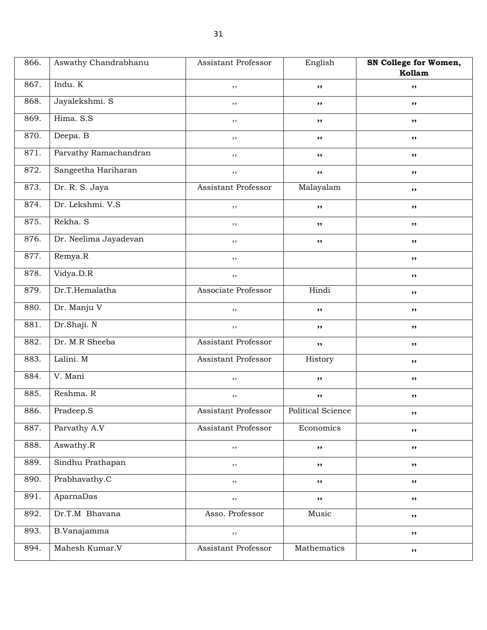| 866. | Aswathy Chandrabhanu  | <b>Assistant Professor</b> | English           | SN College for Women,<br>Kollam |
|------|-----------------------|----------------------------|-------------------|---------------------------------|
| 867. | Indu. K               | $, \,$                     | ,,                | ,,                              |
| 868. | Jayalekshmi. S        | $, \,$                     | $, \,$            | ,,                              |
| 869. | Hima. S.S             | $, \,$                     | $, \,$            | ,,                              |
| 870. | Deepa. B              | ,,                         | ,,                | ,,                              |
| 871. | Parvathy Ramachandran | ,,                         | $, \,$            | ,,                              |
| 872. | Sangeetha Hariharan   | $, \,$                     | $, \,$            | ,,                              |
| 873. | Dr. R. S. Jaya        | Assistant Professor        | Malayalam         | ,,                              |
| 874. | Dr. Lekshmi. V.S      | ,,                         | ,,                | ,,                              |
| 875. | Rekha. S              | ,,                         | ,,                | ,,                              |
| 876. | Dr. Neelima Jayadevan | $, \,$                     | $, \,$            | ,,                              |
| 877. | Remya.R               | ,,                         |                   | ,,                              |
| 878. | Vidya.D.R             | $, \,$                     |                   | ,,                              |
| 879. | Dr.T.Hemalatha        | Associate Professor        | Hindi             | ,,                              |
| 880. | Dr. Manju V           | ,,                         | ,,                | ,,                              |
| 881. | Dr.Shaji. N           | $, \,$                     | $, \,$            | ,,                              |
| 882. | Dr. M.R Sheeba        | Assistant Professor        | ,,                | ,,                              |
| 883. | Lalini. M             | Assistant Professor        | History           | ,,                              |
| 884. | V. Mani               | $, \,$                     | $, \,$            | ,,                              |
| 885. | Reshma. R             | $, \,$                     | ,,                | ,,                              |
| 886. | Pradeep.S             | Assistant Professor        | Political Science | $, \, \,$                       |
| 887. | Parvathy A.V          | Assistant Professor        | Economics         | ,,                              |
| 888. | Aswathy.R             | $, \,$                     | $, \,$            | ,,                              |
| 889. | Sindhu Prathapan      | ,,                         | $, \,$            | ,,                              |
| 890. | Prabhavathy.C         | ,,                         | ,,                | ,,                              |
| 891. | AparnaDas             | $, \, ,$                   | $, \,$            | ,,                              |
| 892. | Dr.T.M Bhavana        | Asso. Professor            | Music             | ,,                              |
| 893. | B.Vanajamma           | $, \,$                     |                   | ,,                              |
| 894. | Mahesh Kumar.V        | Assistant Professor        | Mathematics       | ,,                              |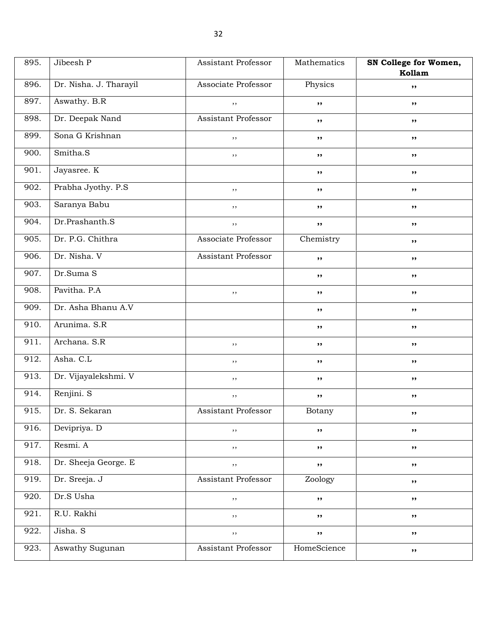| 895. | Jibeesh P              | Assistant Professor        | Mathematics | SN College for Women, |
|------|------------------------|----------------------------|-------------|-----------------------|
|      |                        |                            |             | Kollam                |
| 896. | Dr. Nisha. J. Tharayil | Associate Professor        | Physics     | ,,                    |
| 897. | Aswathy. B.R           | ,,                         | ,,          | ,,                    |
| 898. | Dr. Deepak Nand        | Assistant Professor        | ,,          | ,,                    |
| 899. | Sona G Krishnan        | ,,                         | ,,          | ,,                    |
| 900. | Smitha.S               | ,,                         | ,,          | ,,                    |
| 901. | Jayasree. K            |                            | ,,          | ,,                    |
| 902. | Prabha Jyothy. P.S.    | ,,                         | ,,          | ,,                    |
| 903. | Saranya Babu           | $, \,$                     | ,,          | ,,                    |
| 904. | Dr.Prashanth.S         | $, \,$                     | $, \,$      | ,,                    |
| 905. | Dr. P.G. Chithra       | Associate Professor        | Chemistry   | ,,                    |
| 906. | Dr. Nisha. V           | Assistant Professor        | $, \,$      | ,,                    |
| 907. | Dr.Suma S              |                            | ,,          | ,,                    |
| 908. | Pavitha. P.A           | $, \,$                     | ,,          | ,,                    |
| 909. | Dr. Asha Bhanu A.V     |                            | ,,          | ,,                    |
| 910. | Arunima. S.R           |                            | ,,          | ,,                    |
| 911. | Archana. S.R           | $, \,$                     | ,,          | ,,                    |
| 912. | Asha. C.L              | ,,                         | ,,          | ,,                    |
| 913. | Dr. Vijayalekshmi. V   | $, \,$                     | ,,          | ,,                    |
| 914. | Renjini. S             | $, \,$                     | $, \,$      | ,,                    |
| 915. | Dr. S. Sekaran         | <b>Assistant Professor</b> | Botany      | $, \, \,$             |
| 916. | Devipriya. D           | ,,                         | ,,          | ,,                    |
| 917. | Resmi. A               | $, \,$                     | ,,          | $\pmb{\mathfrak{H}}$  |
| 918. | Dr. Sheeja George. E   | $, \,$                     | ,,          | ,,                    |
| 919. | Dr. Sreeja. J          | Assistant Professor        | Zoology     | ,,                    |
| 920. | Dr.S Usha              | $, \,$                     | $, \,$      | ,,                    |
| 921. | R.U. Rakhi             | $, \,$                     | ,,          | ,,                    |
| 922. | Jisha. S               | $, \,$                     | ,,          | $\pmb{\mathfrak{H}}$  |
| 923. | Aswathy Sugunan        | Assistant Professor        | HomeScience | ,,                    |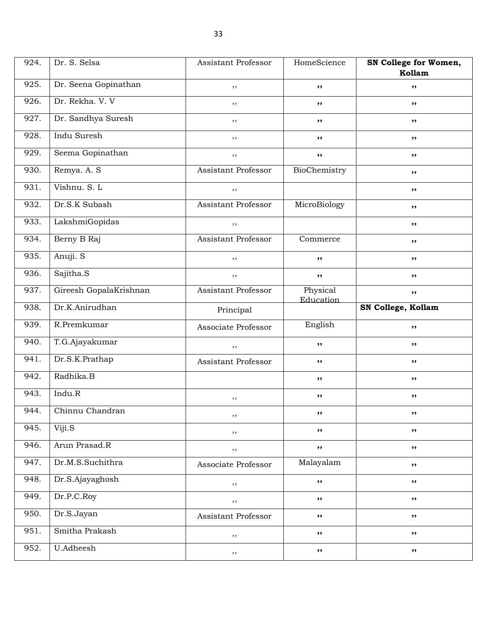| 924. | Dr. S. Selsa           | <b>Assistant Professor</b> | HomeScience           | SN College for Women,<br>Kollam |
|------|------------------------|----------------------------|-----------------------|---------------------------------|
| 925. | Dr. Seena Gopinathan   | ,,                         | ,,                    | ,,                              |
| 926. | Dr. Rekha. V. V        | $, \,$                     | $, \,$                | ,,                              |
| 927. | Dr. Sandhya Suresh     | ,,                         | ,,                    | ,,                              |
| 928. | Indu Suresh            | ,,                         | ,,                    | ,,                              |
| 929. | Seema Gopinathan       | $, \,$                     | ,,                    | ,,                              |
| 930. | Remya. A. S            | Assistant Professor        | BioChemistry          | ,,                              |
| 931. | Vishnu. S. L           | $, \,$                     |                       | ,,                              |
| 932. | Dr.S.K Subash          | Assistant Professor        | MicroBiology          | ,,                              |
| 933. | LakshmiGopidas         | ,,                         |                       | ,,                              |
| 934. | Berny B Raj            | <b>Assistant Professor</b> | Commerce              | ,,                              |
| 935. | Anuji. S               | ,,                         | ,,                    | ,,                              |
| 936. | Sajitha.S              | $, \,$                     | $, \, \cdot$          | ,,                              |
| 937. | Gireesh GopalaKrishnan | Assistant Professor        | Physical<br>Education | ,,                              |
| 938. | Dr.K.Anirudhan         | Principal                  |                       | SN College, Kollam              |
| 939. | R.Premkumar            | Associate Professor        | English               | ,,                              |
| 940. | T.G.Ajayakumar         | $, \,$                     | ,,                    | ,,                              |
| 941. | Dr.S.K.Prathap         | Assistant Professor        | ,,                    | ,,                              |
| 942. | Radhika.B              |                            | ,,                    | ,,                              |
| 943. | Indu.R                 | $, \,$                     | ,,                    | ,,                              |
| 944. | Chinnu Chandran        | ,,                         | ,,                    | $, \, \,$                       |
| 945. | Viji.S                 | $, \,$                     | ,,                    | ,,                              |
| 946. | Arun Prasad.R          | $, \,$                     | ,,                    | ,,                              |
| 947. | Dr.M.S.Suchithra       | Associate Professor        | Malayalam             | ,,                              |
| 948. | Dr.S.Ajayaghosh        | $, \,$                     | ,,                    | ,,                              |
| 949. | Dr.P.C.Roy             | $, \, ,$                   | $, \, \cdot$          | ,,                              |
| 950. | Dr.S.Jayan             | Assistant Professor        | ,,                    | ,,                              |
| 951. | Smitha Prakash         | $, \,$                     | ,,                    | ,,                              |
| 952. | <b>U.Adheesh</b>       | $, \,$                     | ,,                    | ,,                              |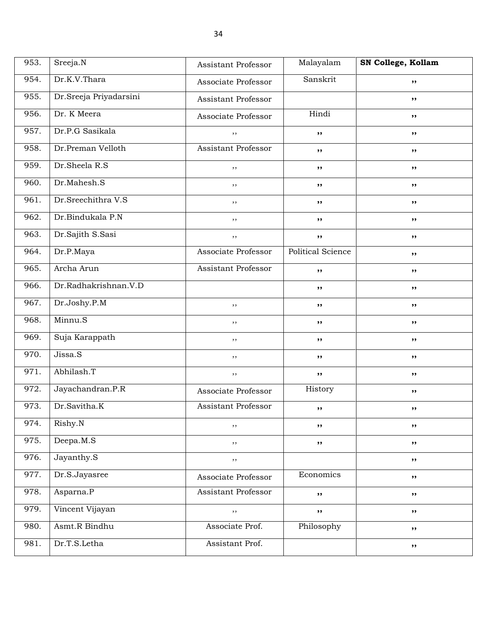| 953. | Sreeja.N               | Assistant Professor        | Malayalam         | SN College, Kollam |
|------|------------------------|----------------------------|-------------------|--------------------|
| 954. | Dr.K.V.Thara           | Associate Professor        | Sanskrit          | ,,                 |
| 955. | Dr.Sreeja Priyadarsini | Assistant Professor        |                   | ,,                 |
| 956. | Dr. K Meera            | Associate Professor        | Hindi             | ,,                 |
| 957. | Dr.P.G Sasikala        | $, \,$                     | $, \,$            | ,,                 |
| 958. | Dr.Preman Velloth      | <b>Assistant Professor</b> | ,,                | ,,                 |
| 959. | Dr.Sheela R.S          | ,,                         | ,,                | ,,                 |
| 960. | Dr.Mahesh.S            | ,,                         | ,,                | ,,                 |
| 961. | Dr.Sreechithra V.S     | $, \,$                     | ,,                | ,,                 |
| 962. | Dr.Bindukala P.N       | $, \,$                     | ,,                | ,,                 |
| 963. | Dr.Sajith S.Sasi       | $, \,$                     | ,,                | ,,                 |
| 964. | Dr.P.Maya              | Associate Professor        | Political Science | ,,                 |
| 965. | Archa Arun             | Assistant Professor        | $, \,$            | ,,                 |
| 966. | Dr.Radhakrishnan.V.D   |                            | ,,                | ,,                 |
| 967. | Dr.Joshy.P.M           | ,,                         | ,,                | ,,                 |
| 968. | Minnu.S                | $, \,$                     | ,,                | ,,                 |
| 969. | Suja Karappath         | ,,                         | ,,                | ,,                 |
| 970. | Jissa.S                | ,,                         | ,,                | ,,                 |
| 971. | Abhilash.T             | $, \,$                     | $, \,$            | ,,                 |
| 972. | Jayachandran.P.R       | Associate Professor        | History           | ,,                 |
| 973. | Dr.Savitha.K           | Assistant Professor        | ,,                | ,,                 |
| 974. | Rishy.N                | $, \,$                     | ,,                | ,,                 |
| 975. | Deepa.M.S              | $, \,$                     | $, \,$            | ,,                 |
| 976. | Jayanthy.S             | $, \,$                     |                   | $, \, \cdot$       |
| 977. | Dr.S.Jayasree          | Associate Professor        | Economics         | ,,                 |
| 978. | Asparna.P              | <b>Assistant Professor</b> | $, \,$            | ,,                 |
| 979. | Vincent Vijayan        | $, \,$                     | $, \, \cdot$      | ,,                 |
| 980. | Asmt.R Bindhu          | Associate Prof.            | Philosophy        | ,,                 |
| 981. | Dr.T.S.Letha           | Assistant Prof.            |                   | $, \,$             |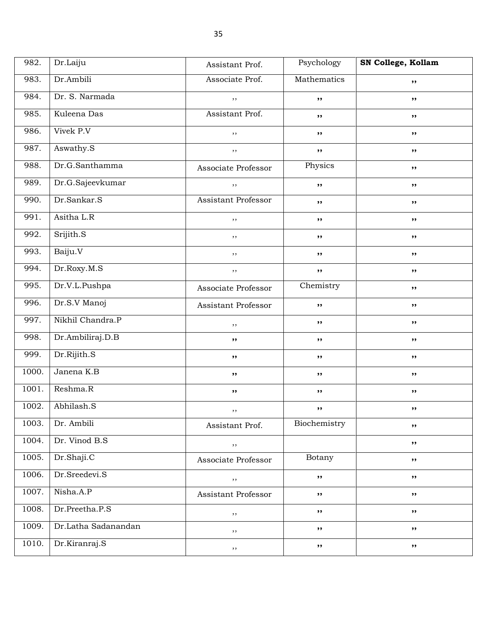| 982.  | Dr.Laiju            | Assistant Prof.     | Psychology   | SN College, Kollam |
|-------|---------------------|---------------------|--------------|--------------------|
| 983.  | Dr.Ambili           | Associate Prof.     | Mathematics  | ,,                 |
| 984.  | Dr. S. Narmada      | $, \,$              | ,,           | ,,                 |
| 985.  | Kuleena Das         | Assistant Prof.     | ,,           | ,,                 |
| 986.  | Vivek P.V           | ,,                  | $, \, \,$    | ,,                 |
| 987.  | Aswathy.S           | $, \,$              | $, \, \cdot$ | ,,                 |
| 988.  | Dr.G.Santhamma      | Associate Professor | Physics      | ,,                 |
| 989.  | Dr.G.Sajeevkumar    | $, \,$              | ,,           | ,,                 |
| 990.  | Dr.Sankar.S         | Assistant Professor | ,,           | ,,                 |
| 991.  | Asitha L.R          | ,,                  | $, \, \,$    | ,,                 |
| 992.  | Srijith.S           | ,,                  | $, \, \cdot$ | ,,                 |
| 993.  | Baiju.V             | ,,                  | ,,           | ,,                 |
| 994.  | Dr.Roxy.M.S         | ,,                  | $, \, \cdot$ | ,,                 |
| 995.  | Dr.V.L.Pushpa       | Associate Professor | Chemistry    | ,,                 |
| 996.  | Dr.S.V Manoj        | Assistant Professor | ,,           | ,,                 |
| 997.  | Nikhil Chandra.P    | ,,                  | $, \, \cdot$ | ,,                 |
| 998.  | Dr.Ambiliraj.D.B    | ,,                  | $, \,$       | ,,                 |
| 999.  | Dr.Rijith.S         | ,,                  | $, \, \cdot$ | ,,                 |
| 1000. | Janena K.B          | ,,                  | $, \, \cdot$ | ,,                 |
| 1001. | Reshma.R            | ,,                  | ,,           | ,,                 |
| 1002. | Abhilash.S          | , ,                 | ,,           | ,,                 |
| 1003. | Dr. Ambili          | Assistant Prof.     | Biochemistry | ,,                 |
| 1004. | Dr. Vinod B.S       | $, \,$              |              | ,,                 |
| 1005. | Dr.Shaji.C          | Associate Professor | Botany       | ,,                 |
| 1006. | Dr.Sreedevi.S       | $, \,$              | $, \,$       | ,,                 |
| 1007. | Nisha.A.P           | Assistant Professor | $, \,$       | ,,                 |
| 1008. | Dr.Preetha.P.S      | $, \,$              | ,,           | ,,                 |
| 1009. | Dr.Latha Sadanandan | ,,                  | ,,           | ,,                 |
| 1010. | Dr.Kiranraj.S       | $, \,$              | ,,           | ,,                 |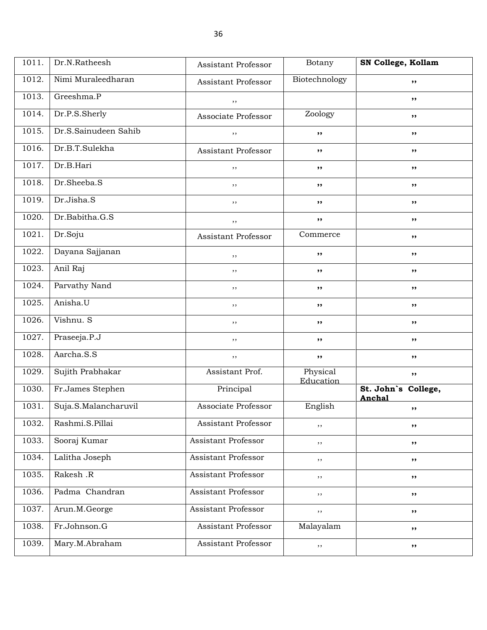| 1011. | Dr.N.Ratheesh        | Assistant Professor        | Botany                | SN College, Kollam            |
|-------|----------------------|----------------------------|-----------------------|-------------------------------|
| 1012. | Nimi Muraleedharan   | Assistant Professor        | Biotechnology         | ,,                            |
| 1013. | Greeshma.P           | ,,                         |                       | ,,                            |
| 1014. | Dr.P.S.Sherly        | Associate Professor        | Zoology               | ,,                            |
| 1015. | Dr.S.Sainudeen Sahib | , ,                        | ,,                    | ,,                            |
| 1016. | Dr.B.T.Sulekha       | Assistant Professor        | ,,                    | ,,                            |
| 1017. | Dr.B.Hari            | ,,                         | ,,                    | ,,                            |
| 1018. | Dr.Sheeba.S          | , ,                        | ,,                    | ,,                            |
| 1019. | Dr.Jisha.S           | , ,                        | ,,                    | ,,                            |
| 1020. | Dr.Babitha.G.S       | , ,                        | ,,                    | ,,                            |
| 1021. | Dr.Soju              | Assistant Professor        | Commerce              | ,,                            |
| 1022. | Dayana Sajjanan      | ,,                         | ,,                    | ,,                            |
| 1023. | Anil Raj             | , ,                        | ,,                    | ,,                            |
| 1024. | Parvathy Nand        | $, \,$                     | ,,                    | ,,                            |
| 1025. | Anisha.U             | , ,                        | ,,                    | ,,                            |
| 1026. | Vishnu. S            | $, \,$                     | ,,                    | ,,                            |
| 1027. | Praseeja.P.J         | ,,                         | ,,                    | ,,                            |
| 1028. | Aarcha.S.S           | , ,                        | ,,                    | ,,                            |
| 1029. | Sujith Prabhakar     | Assistant Prof.            | Physical<br>Education | ,,                            |
| 1030. | Fr.James Stephen     | Principal                  |                       | St. John's College,<br>Anchal |
| 1031. | Suja.S.Malancharuvil | Associate Professor        | English               | ,,                            |
| 1032. | Rashmi.S.Pillai      | Assistant Professor        | ,,                    | ,,                            |
| 1033. | Sooraj Kumar         | Assistant Professor        | ,,                    | ,,                            |
| 1034. | Lalitha Joseph       | Assistant Professor        | ,,                    | ,,                            |
| 1035. | Rakesh .R            | Assistant Professor        | $, \,$                | ,,                            |
| 1036. | Padma Chandran       | Assistant Professor        | $, \,$                | ,,                            |
| 1037. | Arun.M.George        | <b>Assistant Professor</b> | $, \,$                | ,,                            |
| 1038. | Fr.Johnson.G         | Assistant Professor        | Malayalam             | ,,                            |
| 1039. | Mary.M.Abraham       | Assistant Professor        | ,,                    | ,,                            |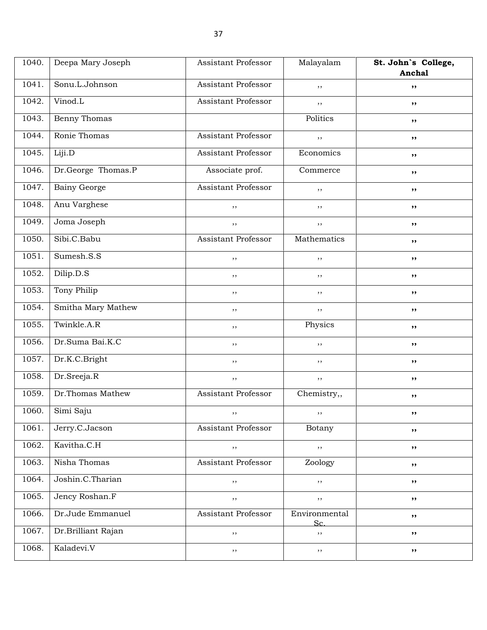| 1040. | Deepa Mary Joseph   | <b>Assistant Professor</b> | Malayalam            | St. John's College, |
|-------|---------------------|----------------------------|----------------------|---------------------|
|       |                     |                            |                      | Anchal              |
| 1041. | Sonu.L.Johnson      | Assistant Professor        | ,,                   | ,,                  |
| 1042. | Vinod.L             | Assistant Professor        | $, \,$               | ,,                  |
| 1043. | Benny Thomas        |                            | Politics             | $, \, \,$           |
| 1044. | Ronie Thomas        | <b>Assistant Professor</b> | ,,                   | ,,                  |
| 1045. | Liji.D              | <b>Assistant Professor</b> | Economics            | ,,                  |
| 1046. | Dr.George Thomas.P  | Associate prof.            | Commerce             | ,,                  |
| 1047. | <b>Bainy George</b> | <b>Assistant Professor</b> | ,,                   | ,,                  |
| 1048. | Anu Varghese        | ,,                         | ,,                   | ,,                  |
| 1049. | Joma Joseph         | ,,                         | $, \,$               | ,,                  |
| 1050. | Sibi.C.Babu         | <b>Assistant Professor</b> | Mathematics          | ,,                  |
| 1051. | Sumesh.S.S          | ,,                         | ,,                   | ,,                  |
| 1052. | Dilip.D.S           | ,,                         | ,,                   | ,,                  |
| 1053. | Tony Philip         | $, \,$                     | $, \,$               | $, \, \,$           |
| 1054. | Smitha Mary Mathew  | ,,                         | ,,                   | ,,                  |
| 1055. | Twinkle.A.R         | $, \,$                     | Physics              | ,,                  |
| 1056. | Dr.Suma Bai.K.C     | ,,                         | ,,                   | ,,                  |
| 1057. | Dr.K.C.Bright       | $, \,$                     | ,,                   | ,,                  |
| 1058. | Dr.Sreeja.R         | $, \,$                     | ,,                   | ,,                  |
| 1059. | Dr.Thomas Mathew    | <b>Assistant Professor</b> | Chemistry,,          | ,,                  |
| 1060. | Simi Saju           | , ,                        | , , ,                | ,,                  |
| 1061. | Jerry.C.Jacson      | Assistant Professor        | Botany               | ,,                  |
| 1062. | Kavitha.C.H         | $, \,$                     | $, \,$               | ,,                  |
| 1063. | Nisha Thomas        | <b>Assistant Professor</b> | Zoology              | ,,                  |
| 1064. | Joshin.C.Tharian    | $, \,$                     | ,,                   | ,,                  |
| 1065. | Jency Roshan.F      | $, \,$                     | $, \, ,$             | ,,                  |
| 1066. | Dr.Jude Emmanuel    | Assistant Professor        | Environmental<br>Sc. | ,,                  |
| 1067. | Dr.Brilliant Rajan  | $, \,$                     | $, \,$               | ,,                  |
| 1068. | Kaladevi.V          | $, \,$                     | $, \,$               | ,,                  |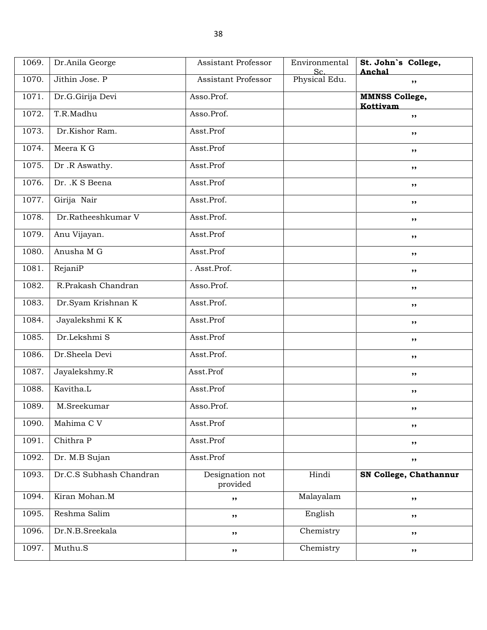| 1069. | Dr.Anila George         | <b>Assistant Professor</b>  | Environmental<br>Sc. | St. John's College,<br>Anchal     |
|-------|-------------------------|-----------------------------|----------------------|-----------------------------------|
| 1070. | Jithin Jose. P          | Assistant Professor         | Physical Edu.        | ,,                                |
| 1071. | Dr.G.Girija Devi        | Asso.Prof.                  |                      | <b>MMNSS College,</b><br>Kottivam |
| 1072. | T.R.Madhu               | Asso.Prof.                  |                      | ,,                                |
| 1073. | Dr.Kishor Ram.          | Asst.Prof                   |                      | ,,                                |
| 1074. | Meera K G               | Asst.Prof                   |                      | ,,                                |
| 1075. | Dr.R Aswathy.           | Asst.Prof                   |                      | ,,                                |
| 1076. | Dr. K S Beena           | Asst.Prof                   |                      | ,,                                |
| 1077. | Girija Nair             | Asst.Prof.                  |                      | ,,                                |
| 1078. | Dr.Ratheeshkumar V      | Asst.Prof.                  |                      | ,,                                |
| 1079. | Anu Vijayan.            | Asst.Prof                   |                      | ,,                                |
| 1080. | Anusha M G              | Asst.Prof                   |                      | ,,                                |
| 1081. | RejaniP                 | . Asst.Prof.                |                      | ,,                                |
| 1082. | R.Prakash Chandran      | Asso.Prof.                  |                      | ,,                                |
| 1083. | Dr.Syam Krishnan K      | Asst.Prof.                  |                      | ,,                                |
| 1084. | Jayalekshmi K K         | Asst.Prof                   |                      | ,,                                |
| 1085. | Dr.Lekshmi S            | Asst.Prof                   |                      | ,,                                |
| 1086. | Dr.Sheela Devi          | Asst.Prof.                  |                      | ,,                                |
| 1087. | Jayalekshmy.R           | Asst.Prof                   |                      | ,,                                |
| 1088. | Kavitha.L               | Asst.Prof                   |                      | ,,                                |
| 1089. | M.Sreekumar             | Asso.Prof.                  |                      | ,,                                |
| 1090. | Mahima CV               | Asst.Prof                   |                      | ,,                                |
| 1091. | Chithra P               | Asst.Prof                   |                      | ,,                                |
| 1092. | Dr. M.B Sujan           | Asst.Prof                   |                      | ,,                                |
| 1093. | Dr.C.S Subhash Chandran | Designation not<br>provided | Hindi                | SN College, Chathannur            |
| 1094. | Kiran Mohan.M           | ,,                          | Malayalam            | ,,                                |
| 1095. | Reshma Salim            | ,,                          | English              | ,,                                |
| 1096. | Dr.N.B.Sreekala         | ,,                          | Chemistry            | ,,                                |
| 1097. | Muthu.S                 | ,,                          | Chemistry            | ,,                                |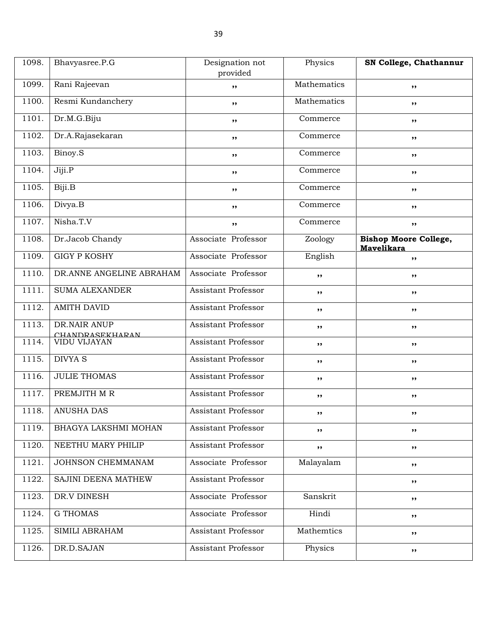| 1098. | Bhavyasree.P.G                  | Designation not<br>provided | Physics     | SN College, Chathannur                     |
|-------|---------------------------------|-----------------------------|-------------|--------------------------------------------|
| 1099. | Rani Rajeevan                   | ,,                          | Mathematics | ,,                                         |
| 1100. | Resmi Kundanchery               | ,,                          | Mathematics | ,,                                         |
| 1101. | Dr.M.G.Biju                     | $, \,$                      | Commerce    | ,,                                         |
| 1102. | Dr.A.Rajasekaran                | ,,                          | Commerce    | ,,                                         |
| 1103. | Binoy.S                         | ,,                          | Commerce    | $, \, \,$                                  |
| 1104. | Jiji.P                          | ,,                          | Commerce    | ,,                                         |
| 1105. | Biji.B                          | ,,                          | Commerce    | ,,                                         |
| 1106. | Divya.B                         | ,,                          | Commerce    | ,,                                         |
| 1107. | Nisha.T.V                       | ,,                          | Commerce    | ,,                                         |
| 1108. | Dr.Jacob Chandy                 | Associate Professor         | Zoology     | <b>Bishop Moore College,</b><br>Mavelikara |
| 1109. | <b>GIGY P KOSHY</b>             | Associate Professor         | English     | $, \, \,$                                  |
| 1110. | DR.ANNE ANGELINE ABRAHAM        | Associate Professor         | ,,          | $, \, \,$                                  |
| 1111. | <b>SUMA ALEXANDER</b>           | Assistant Professor         | $, \,$      | ,,                                         |
| 1112. | <b>AMITH DAVID</b>              | Assistant Professor         | ,,          | ,,                                         |
| 1113. | DR.NAIR ANUP<br>CHANDRASEKHARAN | Assistant Professor         | ,,          | ,,                                         |
| 1114. | VIDU VIJAYAN                    | Assistant Professor         | ,,          | ,,                                         |
| 1115. | <b>DIVYA S</b>                  | <b>Assistant Professor</b>  | ,,          | $, \, \,$                                  |
| 1116. | <b>JULIE THOMAS</b>             | <b>Assistant Professor</b>  | $, \,$      | ,,                                         |
| 1117. | PREMJITH M R                    | <b>Assistant Professor</b>  | ,,          | ,,                                         |
| 1118. | ANUSHA DAS                      | Assistant Professor         |             |                                            |
| 1119. | BHAGYA LAKSHMI MOHAN            | <b>Assistant Professor</b>  | $, \,$      | ,,                                         |
| 1120. | NEETHU MARY PHILIP              | <b>Assistant Professor</b>  | ,,          | ,,                                         |
| 1121. | JOHNSON CHEMMANAM               | Associate Professor         | Malayalam   | ,,                                         |
| 1122. | SAJINI DEENA MATHEW             | <b>Assistant Professor</b>  |             | ,,                                         |
| 1123. | DR.V DINESH                     | Associate Professor         | Sanskrit    | ,,                                         |
| 1124. | <b>G THOMAS</b>                 | Associate Professor         | Hindi       | ,,                                         |
| 1125. | SIMILI ABRAHAM                  | Assistant Professor         | Mathemtics  | ,,                                         |
| 1126. | DR.D.SAJAN                      | <b>Assistant Professor</b>  | Physics     | ,,                                         |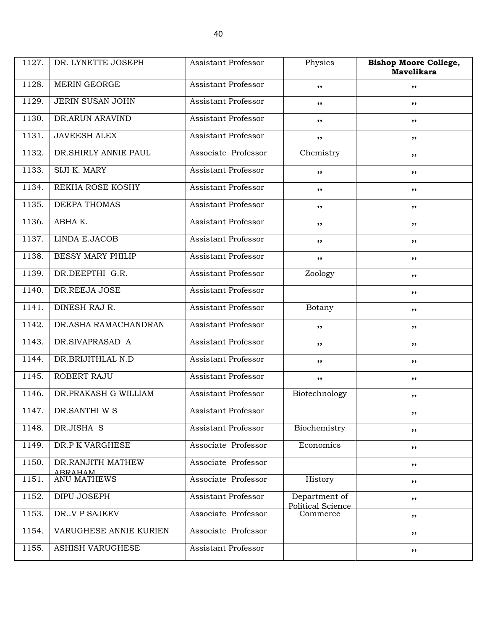| 1127. | DR. LYNETTE JOSEPH                  | Assistant Professor        | Physics                            | <b>Bishop Moore College,</b><br><b>Mavelikara</b> |
|-------|-------------------------------------|----------------------------|------------------------------------|---------------------------------------------------|
| 1128. | <b>MERIN GEORGE</b>                 | Assistant Professor        | ,,                                 | ,,                                                |
| 1129. | JERIN SUSAN JOHN                    | Assistant Professor        | ,,                                 | ,,                                                |
| 1130. | DR.ARUN ARAVIND                     | <b>Assistant Professor</b> | ,,                                 | ,,                                                |
| 1131. | <b>JAVEESH ALEX</b>                 | <b>Assistant Professor</b> | ,,                                 | ,,                                                |
| 1132. | DR.SHIRLY ANNIE PAUL                | Associate Professor        | Chemistry                          | ,,                                                |
| 1133. | SIJI K. MARY                        | Assistant Professor        | ,,                                 | ,,                                                |
| 1134. | REKHA ROSE KOSHY                    | <b>Assistant Professor</b> | ,,                                 | ,,                                                |
| 1135. | DEEPA THOMAS                        | <b>Assistant Professor</b> | ,,                                 | ,,                                                |
| 1136. | ABHAK.                              | <b>Assistant Professor</b> | ,,                                 | ,,                                                |
| 1137. | LINDA E.JACOB                       | <b>Assistant Professor</b> | ,,                                 | ,,                                                |
| 1138. | <b>BESSY MARY PHILIP</b>            | Assistant Professor        | ,,                                 | ,,                                                |
| 1139. | DR.DEEPTHI G.R.                     | <b>Assistant Professor</b> | Zoology                            | ,,                                                |
| 1140. | DR.REEJA JOSE                       | Assistant Professor        |                                    | ,,                                                |
| 1141. | DINESH RAJ R.                       | Assistant Professor        | Botany                             | ,,                                                |
| 1142. | <b>DR.ASHA RAMACHANDRAN</b>         | Assistant Professor        | ,,                                 | ,,                                                |
| 1143. | DR.SIVAPRASAD A                     | <b>Assistant Professor</b> | ,,                                 | ,,                                                |
| 1144. | DR.BRIJITHLAL N.D                   | <b>Assistant Professor</b> | ,,                                 | ,,                                                |
| 1145. | ROBERT RAJU                         | <b>Assistant Professor</b> | ,,                                 | ,,                                                |
| 1146. | DR.PRAKASH G WILLIAM                | Assistant Professor        | Biotechnology                      | ,,                                                |
| 1147. | DR.SANTHI W S                       | Assistant Professor        |                                    | $, \bullet$                                       |
| 1148. | DR.JISHA S                          | Assistant Professor        | Biochemistry                       | ,,                                                |
| 1149. | DR.P K VARGHESE                     | Associate Professor        | Economics                          | ,,                                                |
| 1150. | DR.RANJITH MATHEW<br><b>ARRAHAM</b> | Associate Professor        |                                    | ,,                                                |
| 1151. | <b>ANU MATHEWS</b>                  | Associate Professor        | History                            | ,,                                                |
| 1152. | DIPU JOSEPH                         | Assistant Professor        | Department of<br>Political Science | ,,                                                |
| 1153. | DR. V P SAJEEV                      | Associate Professor        | Commerce                           | ,,                                                |
| 1154. | VARUGHESE ANNIE KURIEN              | Associate Professor        |                                    | ,,                                                |
| 1155. | ASHISH VARUGHESE                    | Assistant Professor        |                                    | ,,                                                |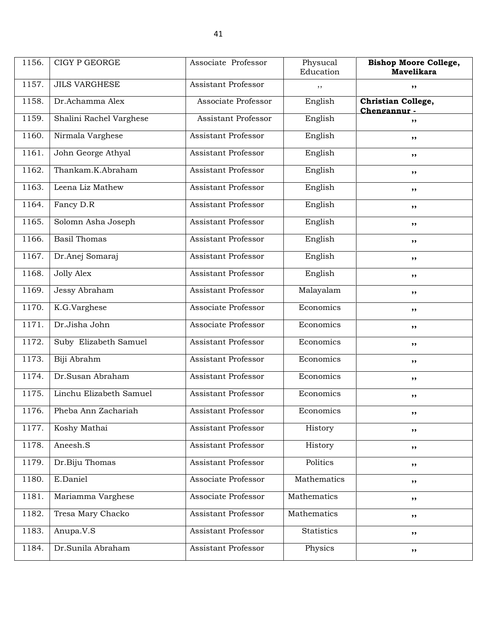| 1156. | <b>CIGY P GEORGE</b>    | Associate Professor        | Physucal<br>Education | <b>Bishop Moore College,</b><br><b>Mavelikara</b> |
|-------|-------------------------|----------------------------|-----------------------|---------------------------------------------------|
| 1157. | <b>JILS VARGHESE</b>    | <b>Assistant Professor</b> | ,,                    | ,,                                                |
| 1158. | Dr.Achamma Alex         | Associate Professor        | English               | Christian College,<br>Chengannur -                |
| 1159. | Shalini Rachel Varghese | Assistant Professor        | English               | ,,                                                |
| 1160. | Nirmala Varghese        | <b>Assistant Professor</b> | English               | ,,                                                |
| 1161. | John George Athyal      | <b>Assistant Professor</b> | English               | ,,                                                |
| 1162. | Thankam.K.Abraham       | <b>Assistant Professor</b> | English               | ,,                                                |
| 1163. | Leena Liz Mathew        | Assistant Professor        | English               | ,,                                                |
| 1164. | Fancy D.R               | <b>Assistant Professor</b> | English               | $, \, \cdot$                                      |
| 1165. | Solomn Asha Joseph      | <b>Assistant Professor</b> | English               | ,,                                                |
| 1166. | <b>Basil Thomas</b>     | <b>Assistant Professor</b> | English               | ,,                                                |
| 1167. | Dr.Anej Somaraj         | <b>Assistant Professor</b> | English               | ,,                                                |
| 1168. | <b>Jolly Alex</b>       | <b>Assistant Professor</b> | English               | ,,                                                |
| 1169. | Jessy Abraham           | Assistant Professor        | Malayalam             | $, \, \cdot$                                      |
| 1170. | K.G.Varghese            | Associate Professor        | Economics             | ,,                                                |
| 1171. | Dr.Jisha John           | Associate Professor        | Economics             | ,,                                                |
| 1172. | Suby Elizabeth Samuel   | <b>Assistant Professor</b> | Economics             | ,,                                                |
| 1173. | Biji Abrahm             | Assistant Professor        | Economics             | ,,                                                |
| 1174. | Dr.Susan Abraham        | Assistant Professor        | Economics             | $, \, \cdot$                                      |
| 1175. | Linchu Elizabeth Samuel | Assistant Professor        | Economics             | ,,                                                |
| 1176. | Pheba Ann Zachariah     | <b>Assistant Professor</b> | Economics             | $, \, \,$                                         |
| 1177. | Koshy Mathai            | Assistant Professor        | History               | ,,                                                |
| 1178. | Aneesh.S                | Assistant Professor        | History               | $, \,$                                            |
| 1179. | Dr.Biju Thomas          | <b>Assistant Professor</b> | Politics              | ,,                                                |
| 1180. | E.Daniel                | Associate Professor        | Mathematics           | ,,                                                |
| 1181. | Mariamma Varghese       | Associate Professor        | Mathematics           | $, \,$                                            |
| 1182. | Tresa Mary Chacko       | <b>Assistant Professor</b> | Mathematics           | ,,                                                |
| 1183. | Anupa.V.S               | Assistant Professor        | Statistics            | $, \,$                                            |
| 1184. | Dr.Sunila Abraham       | <b>Assistant Professor</b> | Physics               | ,,                                                |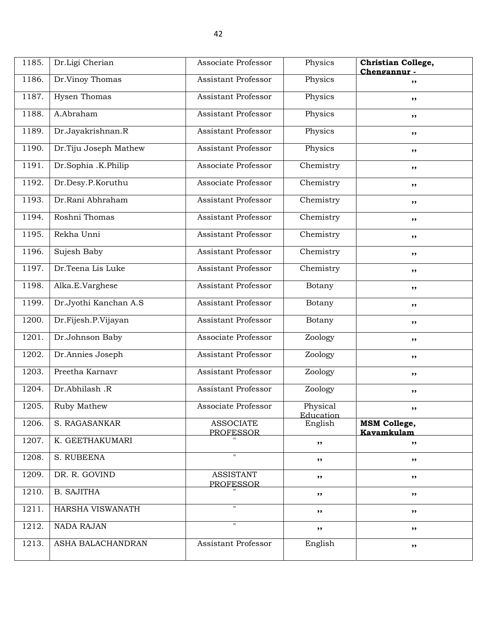| 1185. | Dr.Ligi Cherian       | Associate Professor                  | Physics                      | Christian College,<br>Chengannur- |
|-------|-----------------------|--------------------------------------|------------------------------|-----------------------------------|
| 1186. | Dr.Vinoy Thomas       | Assistant Professor                  | Physics                      | ,,                                |
| 1187. | <b>Hysen Thomas</b>   | <b>Assistant Professor</b>           | Physics                      | ,,                                |
| 1188. | A.Abraham             | <b>Assistant Professor</b>           | Physics                      | ,,                                |
| 1189. | Dr.Jayakrishnan.R     | Assistant Professor                  | Physics                      | ,,                                |
| 1190. | Dr.Tiju Joseph Mathew | Assistant Professor                  | Physics                      | ,,                                |
| 1191. | Dr.Sophia .K.Philip   | Associate Professor                  | Chemistry                    | $, \, \cdot$                      |
| 1192. | Dr.Desy.P.Koruthu     | Associate Professor                  | Chemistry                    | ,,                                |
| 1193. | Dr.Rani Abhraham      | <b>Assistant Professor</b>           | Chemistry                    | $, \,$                            |
| 1194. | Roshni Thomas         | Assistant Professor                  | Chemistry                    | ,,                                |
| 1195. | Rekha Unni            | Assistant Professor                  | Chemistry                    | ,,                                |
| 1196. | Sujesh Baby           | Assistant Professor                  | Chemistry                    | ,,                                |
| 1197. | Dr.Teena Lis Luke     | <b>Assistant Professor</b>           | Chemistry                    | ,,                                |
| 1198. | Alka.E.Varghese       | <b>Assistant Professor</b>           | Botany                       | ,,                                |
| 1199. | Dr.Jyothi Kanchan A.S | <b>Assistant Professor</b>           | Botany                       | ,,                                |
| 1200. | Dr.Fijesh.P.Vijayan   | Assistant Professor                  | Botany                       | ,,                                |
| 1201. | Dr.Johnson Baby       | Associate Professor                  | Zoology                      | $, \, \cdot$                      |
| 1202. | Dr.Annies Joseph      | Assistant Professor                  | Zoology                      | ,,                                |
| 1203. | Preetha Karnavr       | <b>Assistant Professor</b>           | Zoology                      | ,,                                |
| 1204. | Dr.Abhilash .R        | Assistant Professor                  | Zoology                      | ,,                                |
| 1205. | Ruby Mathew           | Associate Professor                  | Physical<br><u>Education</u> | ,,                                |
| 1206. | S. RAGASANKAR         | <b>ASSOCIATE</b><br><b>PROFESSOR</b> | English                      | <b>MSM College,</b><br>Kavamkulam |
| 1207. | K. GEETHAKUMARI       |                                      | ,,                           | , ,                               |
| 1208. | S. RUBEENA            | $\mathbf{H}$                         | ,,                           | ,,                                |
| 1209. | DR. R. GOVIND         | <b>ASSISTANT</b><br><b>PROFESSOR</b> | ,,                           | $, \, \,$                         |
| 1210. | <b>B. SAJITHA</b>     |                                      | ,,                           | ,,                                |
| 1211. | HARSHA VISWANATH      | $\mathbf{H}$                         | ,,                           | $, \, \cdot$                      |
| 1212. | <b>NADA RAJAN</b>     | $\pmb{\mathsf{H}}$                   | ,,                           | ,,                                |
| 1213. | ASHA BALACHANDRAN     | Assistant Professor                  | English                      | ,,                                |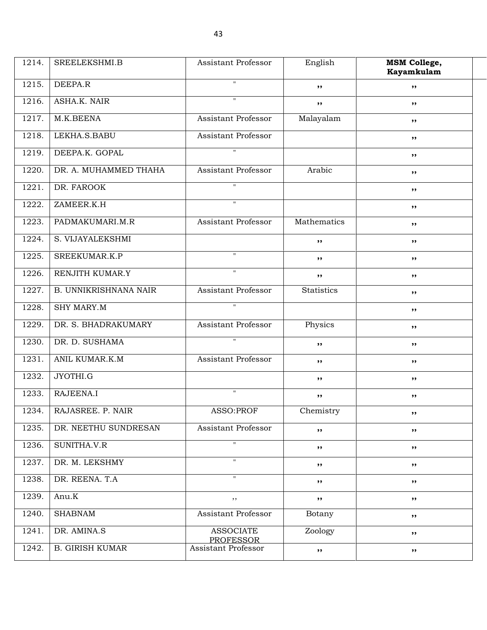| 1214. | SREELEKSHMI.B                | Assistant Professor                  | English           | <b>MSM College,</b><br>Kayamkulam |
|-------|------------------------------|--------------------------------------|-------------------|-----------------------------------|
| 1215. | DEEPA.R                      | $\mathbf{H}$                         | , ,               | , ,                               |
| 1216. | ASHA.K. NAIR                 | $^{\prime\prime}$                    | , ,               | ,,                                |
| 1217. | M.K.BEENA                    | Assistant Professor                  | Malayalam         | ,,                                |
| 1218. | LEKHA.S.BABU                 | Assistant Professor                  |                   | ,,                                |
| 1219. | DEEPA.K. GOPAL               | $\overline{u}$                       |                   | ,,                                |
| 1220. | DR. A. MUHAMMED THAHA        | Assistant Professor                  | Arabic            | ,,                                |
| 1221. | DR. FAROOK                   | $\pmb{\mathsf{H}}$                   |                   | ,,                                |
| 1222. | ZAMEER.K.H                   | $\boldsymbol{\mathsf{H}}$            |                   | ,,                                |
| 1223. | PADMAKUMARI.M.R              | Assistant Professor                  | Mathematics       | ,,                                |
| 1224. | S. VIJAYALEKSHMI             |                                      | ,,                | ,,                                |
| 1225. | SREEKUMAR, K.P               | $\mathbf{H}$                         | ,,                | ,,                                |
| 1226. | RENJITH KUMAR.Y              | $^{\prime\prime}$                    | , ,               | ,,                                |
| 1227. | <b>B. UNNIKRISHNANA NAIR</b> | Assistant Professor                  | <b>Statistics</b> | ,,                                |
| 1228. | SHY MARY.M                   | $\pmb{\mathsf{H}}$                   |                   | ,,                                |
| 1229. | DR. S. BHADRAKUMARY          | Assistant Professor                  | Physics           | ,,                                |
| 1230. | DR. D. SUSHAMA               | $\mathbf{H}$                         | ,,                | ,,                                |
| 1231. | ANIL KUMAR.K.M               | Assistant Professor                  | , ,               | ,,                                |
| 1232. | JYOTHI.G                     |                                      | , ,               | ,,                                |
| 1233. | RAJEENA.I                    | $\pmb{\mathsf{H}}$                   | ,,                | ,,                                |
| 1234. | RAJASREE, P. NAIR            | ASSO: PROF                           | Chemistry         | ,,                                |
| 1235. | DR. NEETHU SUNDRESAN         | Assistant Professor                  | ,,                | ,,                                |
| 1236. | SUNITHA.V.R                  | $\mathbf{H}$                         | $, \, \cdot$      | ,,                                |
| 1237. | DR. M. LEKSHMY               | $\boldsymbol{\mathsf{H}}$            | ,,                | ,,                                |
| 1238. | DR. REENA. T.A               | $^{\prime\prime}$                    | ,,                | ,,                                |
| 1239. | Anu.K                        | $, \,$                               | ,,                | ,,                                |
| 1240. | <b>SHABNAM</b>               | Assistant Professor                  | Botany            | ,,                                |
| 1241. | DR. AMINA.S                  | <b>ASSOCIATE</b><br><b>PROFESSOR</b> | Zoology           | ,,                                |
| 1242. | <b>B. GIRISH KUMAR</b>       | Assistant Professor                  | ,,                | ,,                                |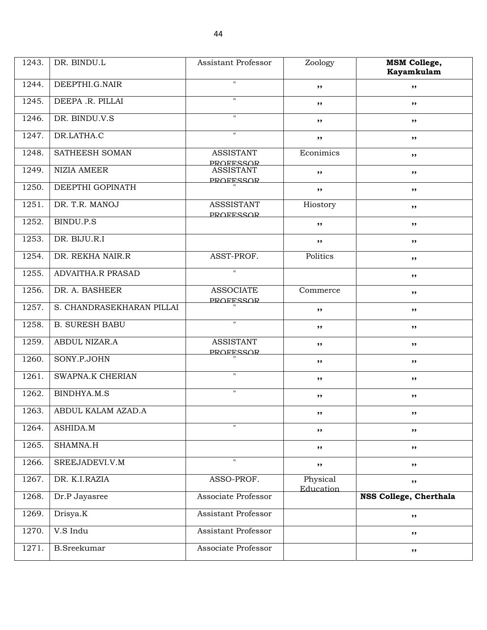| 1243. | DR. BINDU.L               | Assistant Professor                   | Zoology               | <b>MSM College,</b><br>Kayamkulam |
|-------|---------------------------|---------------------------------------|-----------------------|-----------------------------------|
| 1244. | DEEPTHI.G.NAIR            | $\pmb{\mathsf{H}}$                    | ,,                    | ,,                                |
| 1245. | DEEPA .R. PILLAI          | $\pmb{\mathsf{H}}$                    | ,,                    | ,,                                |
| 1246. | DR. BINDU.V.S             | $\mathbf{H}$                          | ,,                    | ,,                                |
| 1247. | DR.LATHA.C                | $\overline{\mathbf{u}}$               | ,,                    | $, \, \,$                         |
| 1248. | SATHEESH SOMAN            | <b>ASSISTANT</b><br><b>PROFESSOR</b>  | Econimics             | ,,                                |
| 1249. | NIZIA AMEER               | <b>ASSISTANT</b><br><b>PROFESSOR</b>  | ,,                    | $, \, \,$                         |
| 1250. | DEEPTHI GOPINATH          |                                       | , ,                   | ,,                                |
| 1251. | DR. T.R. MANOJ            | <b>ASSSISTANT</b><br><b>PROFESSOR</b> | Hiostory              | ,,                                |
| 1252. | BINDU.P.S                 |                                       | ,,                    | ,,                                |
| 1253. | DR. BIJU.R.I              |                                       | $, \, \cdot$          | ,,                                |
| 1254. | DR. REKHA NAIR.R          | ASST-PROF.                            | Politics              | $, \, \,$                         |
| 1255. | <b>ADVAITHA.R PRASAD</b>  | $\pmb{\mathsf{H}}$                    |                       | ,,                                |
| 1256. | DR. A. BASHEER            | <b>ASSOCIATE</b><br><b>PROFFSSOR</b>  | Commerce              | ,,                                |
| 1257. | S. CHANDRASEKHARAN PILLAI |                                       | ,,                    | ,,                                |
| 1258. | <b>B. SURESH BABU</b>     | $\pmb{\mathsf{H}}$                    | ,,                    | $, \, \,$                         |
| 1259. | ABDUL NIZAR.A             | <b>ASSISTANT</b><br><b>PROFESSOR</b>  | $, \, \cdot$          | $, \, \,$                         |
| 1260. | SONY.P.JOHN               |                                       | , ,                   | ,,                                |
| 1261. | <b>SWAPNA.K CHERIAN</b>   | $\mathbf{H}$                          | ,,                    | ,,                                |
| 1262. | BINDHYA.M.S               | $\mathbf H$                           | ,,                    | ,,                                |
| 1263. | ABDUL KALAM AZAD.A        |                                       | $, \, \,$             | $, \bullet$                       |
| 1264. | ASHIDA.M                  | $^{\dagger}$                          | ,,                    | ,,                                |
| 1265. | SHAMNA.H                  |                                       | ,,                    | ,,                                |
| 1266. | SREEJADEVI.V.M            | $\mathbf{H}$                          | $, \,$                | ,,                                |
| 1267. | DR. K.I.RAZIA             | ASSO-PROF.                            | Physical<br>Education | ,,                                |
| 1268. | Dr.P Jayasree             | Associate Professor                   |                       | NSS College, Cherthala            |
| 1269. | Drisya.K                  | Assistant Professor                   |                       | ,,                                |
| 1270. | V.S Indu                  | Assistant Professor                   |                       | ,,                                |
| 1271. | <b>B.Sreekumar</b>        | Associate Professor                   |                       | ,,                                |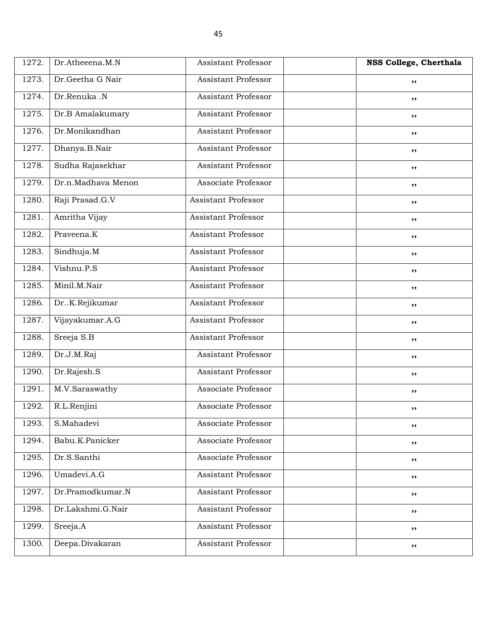| 1272. | Dr.Atheeena.M.N    | Assistant Professor        | NSS College, Cherthala |
|-------|--------------------|----------------------------|------------------------|
| 1273. | Dr.Geetha G Nair   | <b>Assistant Professor</b> | ,,                     |
| 1274. | Dr.Renuka .N       | <b>Assistant Professor</b> | ,,                     |
| 1275. | Dr.B Amalakumary   | <b>Assistant Professor</b> | $, \, \,$              |
| 1276. | Dr.Monikandhan     | <b>Assistant Professor</b> | $, \, \,$              |
| 1277. | Dhanya.B.Nair      | <b>Assistant Professor</b> | ,,                     |
| 1278. | Sudha Rajasekhar   | <b>Assistant Professor</b> | ,,                     |
| 1279. | Dr.n.Madhava Menon | Associate Professor        | ,,                     |
| 1280. | Raji Prasad.G.V    | <b>Assistant Professor</b> | $, \, \,$              |
| 1281. | Amritha Vijay      | <b>Assistant Professor</b> | $, \, \,$              |
| 1282. | Praveena.K         | <b>Assistant Professor</b> | ,,                     |
| 1283. | Sindhuja.M         | <b>Assistant Professor</b> | ,,                     |
| 1284. | Vishnu.P.S         | <b>Assistant Professor</b> | ,,                     |
| 1285. | Minil.M.Nair       | <b>Assistant Professor</b> | $, \, \,$              |
| 1286. | DrK.Rejikumar      | <b>Assistant Professor</b> | $, \, \,$              |
| 1287. | Vijayakumar.A.G    | <b>Assistant Professor</b> | ,,                     |
| 1288. | Sreeja S.B         | <b>Assistant Professor</b> | ,,                     |
| 1289. | Dr.J.M.Raj         | <b>Assistant Professor</b> | ,,                     |
| 1290. | Dr.Rajesh.S        | <b>Assistant Professor</b> | $, \, \,$              |
| 1291. | M.V.Saraswathy     | Associate Professor        | $, \, \,$              |
| 1292. | R.L.Renjini        | Associate Professor        | ,,                     |
| 1293. | S.Mahadevi         | Associate Professor        | ,,                     |
| 1294. | Babu.K.Panicker    | Associate Professor        | ,,                     |
| 1295. | Dr.S.Santhi        | Associate Professor        | ,,                     |
| 1296. | Umadevi.A.G        | Assistant Professor        | ,,                     |
| 1297. | Dr.Pramodkumar.N   | Assistant Professor        | ,,                     |
| 1298. | Dr.Lakshmi.G.Nair  | <b>Assistant Professor</b> | ,,                     |
| 1299. | Sreeja.A           | Assistant Professor        | ,,                     |
| 1300. | Deepa.Divakaran    | Assistant Professor        | ,,                     |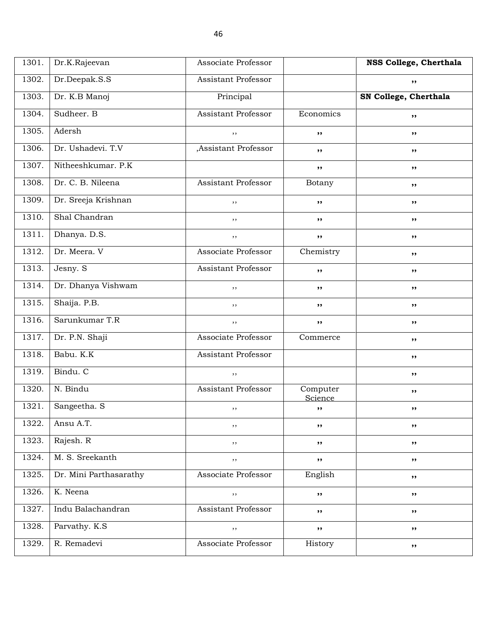| 1301. | Dr.K.Rajeevan          | Associate Professor        |                     | NSS College, Cherthala |
|-------|------------------------|----------------------------|---------------------|------------------------|
| 1302. | Dr.Deepak.S.S          | Assistant Professor        |                     | ,,                     |
| 1303. | Dr. K.B Manoj          | Principal                  |                     | SN College, Cherthala  |
| 1304. | Sudheer. B             | Assistant Professor        | Economics           | ,,                     |
| 1305. | Adersh                 | ,,                         | ,,                  | ,,                     |
| 1306. | Dr. Ushadevi. T.V      | ,Assistant Professor       | ,,                  | ,,                     |
| 1307. | Nitheeshkumar. P.K     |                            | $, \,$              | ,,                     |
| 1308. | Dr. C. B. Nileena      | Assistant Professor        | Botany              | ,,                     |
| 1309. | Dr. Sreeja Krishnan    | $, \,$                     | ,,                  | ,,                     |
| 1310. | Shal Chandran          | ,,                         | ,,                  | ,,                     |
| 1311. | Dhanya. D.S.           | $, \,$                     | ,,                  | ,,                     |
| 1312. | Dr. Meera. V           | Associate Professor        | Chemistry           | ,,                     |
| 1313. | Jesny. S               | <b>Assistant Professor</b> | ,,                  | ,,                     |
| 1314. | Dr. Dhanya Vishwam     | $, \,$                     | ,,                  | ,,                     |
| 1315. | Shaija. P.B.           | ,,                         | ,,                  | ,,                     |
| 1316. | Sarunkumar T.R         | $, \,$                     | ,,                  | ,,                     |
| 1317. | Dr. P.N. Shaji         | Associate Professor        | Commerce            | ,,                     |
| 1318. | Babu. K.K              | Assistant Professor        |                     | ,,                     |
| 1319. | Bindu. C               | $, \,$                     |                     | ,,                     |
| 1320. | N. Bindu               | Assistant Professor        | Computer<br>Science | ,,                     |
| 1321. | Sangeetha. S           | , ,                        | ,,                  | ,,                     |
| 1322. | Ansu A.T.              | $, \,$                     | $, \,$              | ,,                     |
| 1323. | Rajesh. R              | ,,                         | ,,                  | ,,                     |
| 1324. | M. S. Sreekanth        | $, \,$                     | $, \,$              | ,,                     |
| 1325. | Dr. Mini Parthasarathy | Associate Professor        | English             | ,,                     |
| 1326. | K. Neena               | $, \,$                     | $, \, \cdot$        | ,,                     |
| 1327. | Indu Balachandran      | Assistant Professor        | ,,                  | ,,                     |
| 1328. | Parvathy. K.S.         | $, \,$                     | $, \, \cdot$        | ,,                     |
| 1329. | R. Remadevi            | Associate Professor        | History             | ,,                     |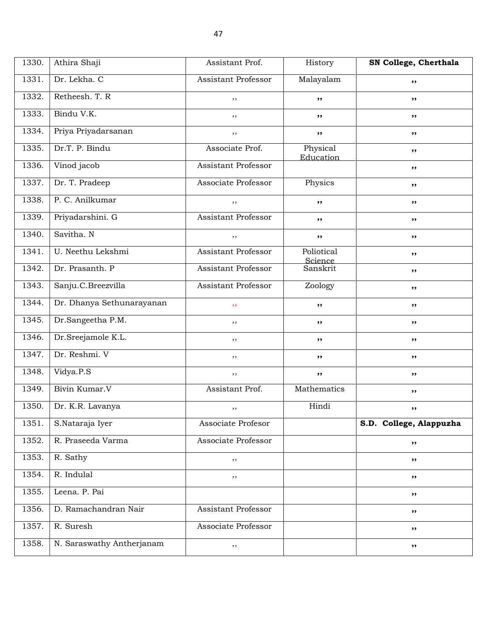| 1330. | Athira Shaji              | Assistant Prof.            | History               | SN College, Cherthala   |
|-------|---------------------------|----------------------------|-----------------------|-------------------------|
| 1331. | Dr. Lekha. C              | Assistant Professor        | Malayalam             | ,,                      |
| 1332. | Retheesh. T. R            | ,,                         | ,,                    | ,,                      |
| 1333. | Bindu V.K.                | $, \,$                     | ,,                    | ,,                      |
| 1334. | Priya Priyadarsanan       | ,,                         | ,,                    | ,,                      |
| 1335. | Dr.T. P. Bindu            | Associate Prof.            | Physical<br>Education | ,,                      |
| 1336. | Vinod jacob               | Assistant Professor        |                       | ,,                      |
| 1337. | Dr. T. Pradeep            | Associate Professor        | Physics               | ,,                      |
| 1338. | P. C. Anilkumar           | $, \,$                     | ,,                    | ,,                      |
| 1339. | Priyadarshini. G          | Assistant Professor        | ,,                    | ,,                      |
| 1340. | Savitha. N                | $, \,$                     | ,,                    | ,,                      |
| 1341. | U. Neethu Lekshmi         | Assistant Professor        | Poliotical<br>Science | ,,                      |
| 1342. | Dr. Prasanth. P           | <b>Assistant Professor</b> | Sanskrit              | ,,                      |
| 1343. | Sanju.C.Breezvilla        | Assistant Professor        | Zoology               | ,,                      |
| 1344. | Dr. Dhanya Sethunarayanan | , ,                        | ,,                    | ,,                      |
| 1345. | Dr.Sangeetha P.M.         | ,,                         | ,,                    | ,,                      |
| 1346. | Dr.Sreejamole K.L.        | $, \,$                     | ,,                    | ,,                      |
| 1347. | Dr. Reshmi. V             | ,,                         | ,,                    | ,,                      |
| 1348. | Vidya.P.S                 | $, \,$                     | $, \,$                | ,,                      |
| 1349. | Bivin Kumar.V             | Assistant Prof.            | Mathematics           | ,,                      |
| 1350. | Dr. K.R. Lavanya          | , ,                        | Hindi                 | ,,                      |
| 1351. | S.Nataraja Iyer           | Associate Profesor         |                       | S.D. College, Alappuzha |
| 1352. | R. Praseeda Varma         | Associate Professor        |                       | ,,                      |
| 1353. | R. Sathy                  | $, \,$                     |                       | ,,                      |
| 1354. | R. Indulal                | $, \,$                     |                       | ,,                      |
| 1355. | Leena. P. Pai             |                            |                       | ,,                      |
| 1356. | D. Ramachandran Nair      | Assistant Professor        |                       | ,,                      |
| 1357. | R. Suresh                 | Associate Professor        |                       | ,,                      |
| 1358. | N. Saraswathy Antherjanam | $, \,$                     |                       | ,,                      |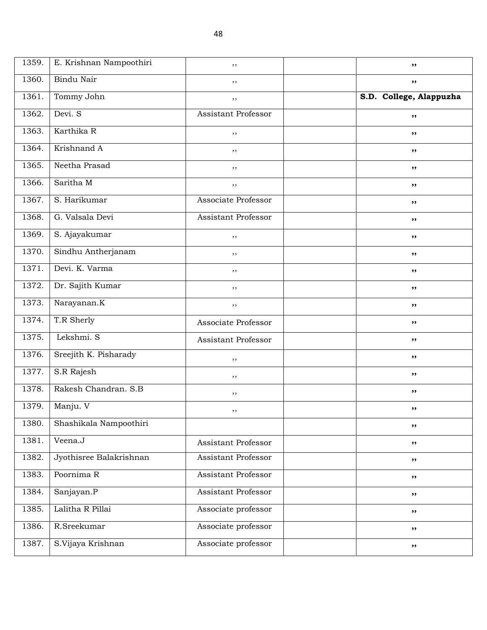| 1359. | E. Krishnan Nampoothiri | ,,                         | $, \, \cdot$            |
|-------|-------------------------|----------------------------|-------------------------|
| 1360. | Bindu Nair              | ,,                         | ,,                      |
| 1361. | Tommy John              | , ,                        | S.D. College, Alappuzha |
| 1362. | Devi. S                 | Assistant Professor        | $, \, \cdot$            |
| 1363. | Karthika R              | , ,                        | ,,                      |
| 1364. | Krishnand A             | ,,                         | $, \, \cdot$            |
| 1365. | Neetha Prasad           | $, \,$                     | $, \, \cdot$            |
| 1366. | Saritha M               | $, \,$                     | ,,                      |
| 1367. | S. Harikumar            | Associate Professor        | $, \, \cdot$            |
| 1368. | G. Valsala Devi         | Assistant Professor        | ,,                      |
| 1369. | S. Ajayakumar           | $, \,$                     | $, \, \cdot$            |
| 1370. | Sindhu Antherjanam      | ,,                         | $, \, \cdot$            |
| 1371. | Devi. K. Varma          | $, \,$                     | ,,                      |
| 1372. | Dr. Sajith Kumar        | ,,                         | $, \, \cdot$            |
| 1373. | Narayanan.K             | $, \,$                     | $, \, \cdot$            |
| 1374. | T.R Sherly              | Associate Professor        | $, \, \cdot$            |
| 1375. | Lekshmi. S              | Assistant Professor        | $, \, \cdot$            |
| 1376. | Sreejith K. Pisharady   | $, \,$                     | $, \, \cdot$            |
| 1377. | S.R Rajesh              | $, \,$                     | $, \, \cdot$            |
| 1378. | Rakesh Chandran, S.B.   | $, \,$                     | $, \, \cdot$            |
| 1379. | Manju. V                | ,,                         | ,,                      |
| 1380. | Shashikala Nampoothiri  |                            | ,,                      |
| 1381. | Veena.J                 | Assistant Professor        | ,,                      |
| 1382. | Jyothisree Balakrishnan | Assistant Professor        | ,,                      |
| 1383. | Poornima R              | Assistant Professor        | ,,                      |
| 1384. | Sanjayan.P              | <b>Assistant Professor</b> | ,,                      |
| 1385. | Lalitha R Pillai        | Associate professor        | ,,                      |
| 1386. | R.Sreekumar             | Associate professor        | ,,                      |
| 1387. | S.Vijaya Krishnan       | Associate professor        | ,,                      |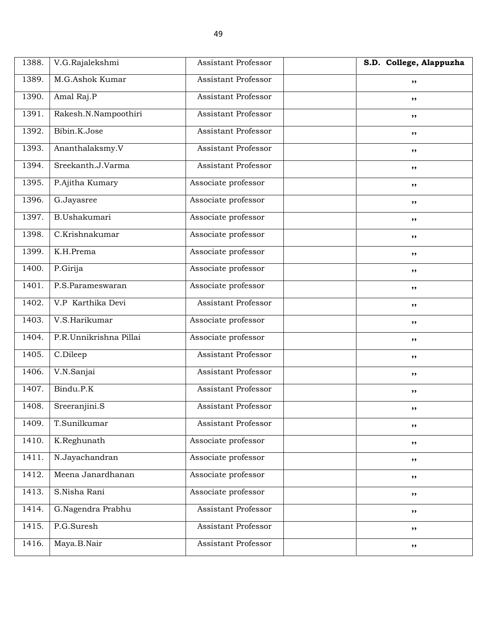| 1388. | V.G.Rajalekshmi        | Assistant Professor        | S.D. College, Alappuzha |
|-------|------------------------|----------------------------|-------------------------|
| 1389. | M.G.Ashok Kumar        | <b>Assistant Professor</b> | ,,                      |
| 1390. | Amal Raj.P             | <b>Assistant Professor</b> | $, \, \cdot$            |
| 1391. | Rakesh.N.Nampoothiri   | <b>Assistant Professor</b> | $, \, \cdot$            |
| 1392. | Bibin.K.Jose           | <b>Assistant Professor</b> | $, \, \cdot$            |
| 1393. | Ananthalaksmy.V        | Assistant Professor        | ,,                      |
| 1394. | Sreekanth.J.Varma      | <b>Assistant Professor</b> | ,,                      |
| 1395. | P.Ajitha Kumary        | Associate professor        | $, \, \cdot$            |
| 1396. | G.Jayasree             | Associate professor        | $, \, \cdot$            |
| 1397. | B.Ushakumari           | Associate professor        | $, \, \cdot$            |
| 1398. | C.Krishnakumar         | Associate professor        | ,,                      |
| 1399. | K.H.Prema              | Associate professor        | $, \,$                  |
| 1400. | P.Girija               | Associate professor        | $, \, \cdot$            |
| 1401. | P.S.Parameswaran       | Associate professor        | $, \, \cdot$            |
| 1402. | V.P Karthika Devi      | <b>Assistant Professor</b> | $, \, \cdot$            |
| 1403. | V.S.Harikumar          | Associate professor        | ,,                      |
| 1404. | P.R.Unnikrishna Pillai | Associate professor        | $, \,$                  |
| 1405. | C.Dileep               | <b>Assistant Professor</b> | $, \, \cdot$            |
| 1406. | V.N.Sanjai             | <b>Assistant Professor</b> | ,,                      |
| 1407. | Bindu.P.K              | <b>Assistant Professor</b> | ,,                      |
| 1408. | Sreeranjini.S          | <b>Assistant Professor</b> | $, \,$                  |
| 1409. | T.Sunilkumar           | Assistant Professor        | ,,                      |
| 1410. | K.Reghunath            | Associate professor        | ,,                      |
| 1411. | N.Jayachandran         | Associate professor        | ,,                      |
| 1412. | Meena Janardhanan      | Associate professor        | $, \,$                  |
| 1413. | S.Nisha Rani           | Associate professor        | ,,                      |
| 1414. | G.Nagendra Prabhu      | Assistant Professor        | $, \,$                  |
| 1415. | P.G.Suresh             | Assistant Professor        | ,,                      |
| 1416. | Maya.B.Nair            | Assistant Professor        | $, \,$                  |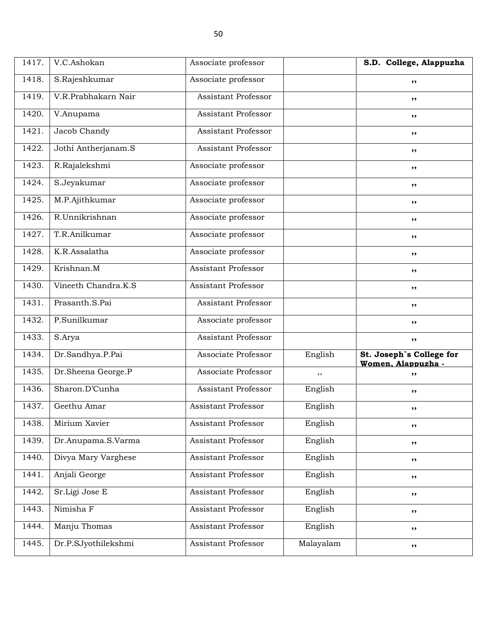| 1417. | V.C.Ashokan         | Associate professor        |           | S.D. College, Alappuzha                        |
|-------|---------------------|----------------------------|-----------|------------------------------------------------|
| 1418. | S.Rajeshkumar       | Associate professor        |           | ,,                                             |
| 1419. | V.R.Prabhakarn Nair | <b>Assistant Professor</b> |           | ,,                                             |
| 1420. | V.Anupama           | <b>Assistant Professor</b> |           | ,,                                             |
| 1421. | Jacob Chandy        | <b>Assistant Professor</b> |           | ,,                                             |
| 1422. | Jothi Antherjanam.S | <b>Assistant Professor</b> |           | ,,                                             |
| 1423. | R.Rajalekshmi       | Associate professor        |           | ,,                                             |
| 1424. | S.Jeyakumar         | Associate professor        |           | ,,                                             |
| 1425. | M.P.Ajithkumar      | Associate professor        |           | ,,                                             |
| 1426. | R.Unnikrishnan      | Associate professor        |           | ,,                                             |
| 1427. | T.R.Anilkumar       | Associate professor        |           | ,,                                             |
| 1428. | K.R.Assalatha       | Associate professor        |           | ,,                                             |
| 1429. | Krishnan.M          | <b>Assistant Professor</b> |           | ,,                                             |
| 1430. | Vineeth Chandra.K.S | <b>Assistant Professor</b> |           | ,,                                             |
| 1431. | Prasanth.S.Pai      | <b>Assistant Professor</b> |           | ,,                                             |
| 1432. | P.Sunilkumar        | Associate professor        |           | ,,                                             |
| 1433. | S.Arya              | <b>Assistant Professor</b> |           | ,,                                             |
| 1434. | Dr.Sandhya.P.Pai    | Associate Professor        | English   | St. Joseph's College for<br>Women. Alappuzha - |
| 1435. | Dr.Sheena George.P  | Associate Professor        | ,,        | ,,                                             |
| 1436. | Sharon.D'Cunha      | <b>Assistant Professor</b> | English   | ,,                                             |
| 1437. | Geethu Amar         | Assistant Professor        | English   | ,,                                             |
| 1438. | Mirium Xavier       | Assistant Professor        | English   | ,,                                             |
| 1439. | Dr.Anupama.S.Varma  | Assistant Professor        | English   | ,,                                             |
| 1440. | Divya Mary Varghese | Assistant Professor        | English   | ,,                                             |
| 1441. | Anjali George       | Assistant Professor        | English   | ,,                                             |
| 1442. | Sr.Ligi Jose E      | Assistant Professor        | English   | ,,                                             |
| 1443. | Nimisha F           | Assistant Professor        | English   | ,,                                             |
| 1444. | Manju Thomas        | Assistant Professor        | English   | ,,                                             |
| 1445. | Dr.P.SJyothilekshmi | <b>Assistant Professor</b> | Malayalam | ,,                                             |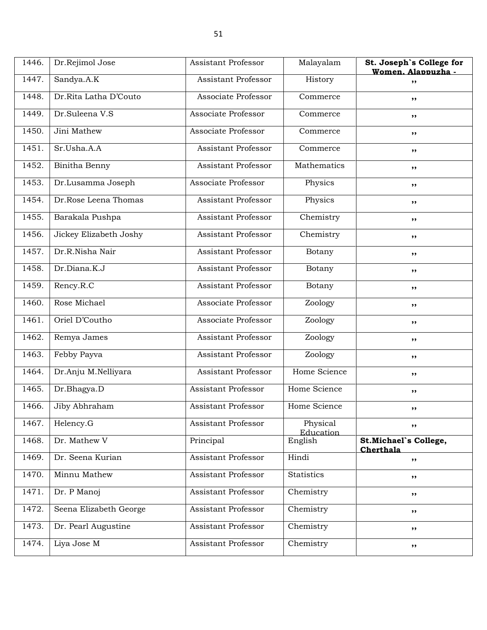| 1446. | Dr.Rejimol Jose        | Assistant Professor        | Malayalam             | St. Joseph's College for<br>Women, Alappuzha - |
|-------|------------------------|----------------------------|-----------------------|------------------------------------------------|
| 1447. | Sandya.A.K             | Assistant Professor        | History               | ,,                                             |
| 1448. | Dr.Rita Latha D'Couto  | Associate Professor        | Commerce              | ,,                                             |
| 1449. | Dr.Suleena V.S         | Associate Professor        | Commerce              | ,,                                             |
| 1450. | Jini Mathew            | Associate Professor        | Commerce              | ,,                                             |
| 1451. | Sr.Usha.A.A            | Assistant Professor        | Commerce              | ,,                                             |
| 1452. | Binitha Benny          | Assistant Professor        | Mathematics           | $, \, \,$                                      |
| 1453. | Dr.Lusamma Joseph      | Associate Professor        | Physics               | ,,                                             |
| 1454. | Dr.Rose Leena Thomas   | Assistant Professor        | Physics               | ,,                                             |
| 1455. | Barakala Pushpa        | <b>Assistant Professor</b> | Chemistry             | ,,                                             |
| 1456. | Jickey Elizabeth Joshy | <b>Assistant Professor</b> | Chemistry             | ,,                                             |
| 1457. | Dr.R.Nisha Nair        | Assistant Professor        | Botany                | ,,                                             |
| 1458. | Dr.Diana.K.J           | Assistant Professor        | Botany                | ,,                                             |
| 1459. | Rency.R.C              | <b>Assistant Professor</b> | Botany                | ,,                                             |
| 1460. | Rose Michael           | Associate Professor        | Zoology               | ,,                                             |
| 1461. | Oriel D'Coutho         | Associate Professor        | Zoology               | ,,                                             |
| 1462. | Remya James            | Assistant Professor        | Zoology               | $, \, \,$                                      |
| 1463. | Febby Payva            | Assistant Professor        | Zoology               | ,,                                             |
| 1464. | Dr.Anju M.Nelliyara    | <b>Assistant Professor</b> | Home Science          | ,,                                             |
| 1465. | Dr.Bhagya.D            | <b>Assistant Professor</b> | Home Science          | $, \, \,$                                      |
| 1466. | Jiby Abhraham          | Assistant Professor        | Home Science          | ,,                                             |
| 1467. | Helency.G              | Assistant Professor        | Physical<br>Education | ,,                                             |
| 1468. | Dr. Mathew V           | Principal                  | English               | St.Michael's College,<br>Cherthala             |
| 1469. | Dr. Seena Kurian       | <b>Assistant Professor</b> | Hindi                 | ,,                                             |
| 1470. | Minnu Mathew           | <b>Assistant Professor</b> | Statistics            | ,,                                             |
| 1471. | Dr. P Manoj            | Assistant Professor        | Chemistry             | ,,                                             |
| 1472. | Seena Elizabeth George | Assistant Professor        | Chemistry             | $, \, \,$                                      |
| 1473. | Dr. Pearl Augustine    | Assistant Professor        | Chemistry             | ,,                                             |
| 1474. | Liya Jose M            | Assistant Professor        | Chemistry             | ,,                                             |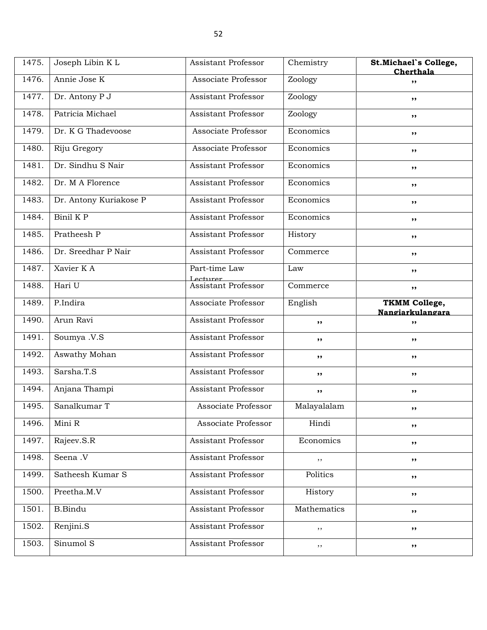| 1475. | Joseph Libin K L       | Assistant Professor              | Chemistry   | St.Michael's College,<br>Cherthala       |
|-------|------------------------|----------------------------------|-------------|------------------------------------------|
| 1476. | Annie Jose K           | Associate Professor              | Zoology     | ,,                                       |
| 1477. | Dr. Antony P J         | Assistant Professor              | Zoology     | ,,                                       |
| 1478. | Patricia Michael       | <b>Assistant Professor</b>       | Zoology     | $, \, \,$                                |
| 1479. | Dr. K G Thadevoose     | Associate Professor              | Economics   | ,,                                       |
| 1480. | Riju Gregory           | Associate Professor              | Economics   | ,,                                       |
| 1481. | Dr. Sindhu S Nair      | Assistant Professor              | Economics   | $, \, \,$                                |
| 1482. | Dr. M A Florence       | Assistant Professor              | Economics   | ,,                                       |
| 1483. | Dr. Antony Kuriakose P | <b>Assistant Professor</b>       | Economics   | ,,                                       |
| 1484. | Binil K P              | <b>Assistant Professor</b>       | Economics   | ,,                                       |
| 1485. | Pratheesh P            | Assistant Professor              | History     | ,,                                       |
| 1486. | Dr. Sreedhar P Nair    | Assistant Professor              | Commerce    | ,,                                       |
| 1487. | Xavier K A             | Part-time Law<br><u>Lecturer</u> | Law         | ,,                                       |
| 1488. | Hari U                 | <b>Assistant Professor</b>       | Commerce    | ,,                                       |
| 1489. | P.Indira               | Associate Professor              | English     | <b>TKMM College,</b><br>Nangiarkulangara |
| 1490. | Arun Ravi              | Assistant Professor              | ,,          | ,,                                       |
| 1491. | Soumya .V.S            | Assistant Professor              | ,,          | ,,                                       |
| 1492. | Aswathy Mohan          | Assistant Professor              | ,,          | ,,                                       |
| 1493. | Sarsha.T.S             | <b>Assistant Professor</b>       | ,,          | ,,                                       |
| 1494. | Anjana Thampi          | <b>Assistant Professor</b>       | ,,          | $, \, \,$                                |
| 1495. | Sanalkumar T           | Associate Professor              | Malayalalam | ,,                                       |
| 1496. | Mini R                 | Associate Professor              | Hindi       | ,,                                       |
| 1497. | Rajeev.S.R             | Assistant Professor              | Economics   | ,,                                       |
| 1498. | Seena .V               | <b>Assistant Professor</b>       | ,,          | ,,                                       |
| 1499. | Satheesh Kumar S       | Assistant Professor              | Politics    | ,,                                       |
| 1500. | Preetha.M.V            | Assistant Professor              | History     | ,,                                       |
| 1501. | <b>B.Bindu</b>         | Assistant Professor              | Mathematics | ,,                                       |
| 1502. | Renjini.S              | Assistant Professor              | ,,          | ,,                                       |
| 1503. | Sinumol S              | Assistant Professor              | ,,          | ,,                                       |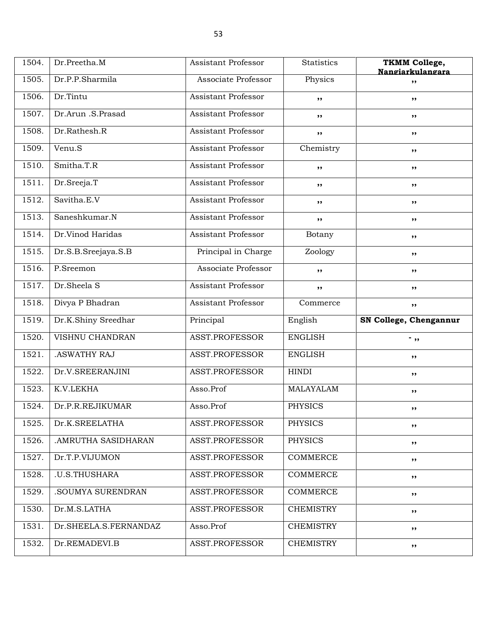| 1504. | Dr.Preetha.M          | <b>Assistant Professor</b> | <b>Statistics</b> | <b>TKMM College,</b><br>Nangiarkulangara |
|-------|-----------------------|----------------------------|-------------------|------------------------------------------|
| 1505. | Dr.P.P.Sharmila       | Associate Professor        | Physics           | ,,                                       |
| 1506. | Dr.Tintu              | Assistant Professor        | ,,                | ,,                                       |
| 1507. | Dr.Arun .S.Prasad     | <b>Assistant Professor</b> | ,,                | ,,                                       |
| 1508. | Dr.Rathesh.R          | Assistant Professor        | ,,                | ,,                                       |
| 1509. | Venu.S                | Assistant Professor        | Chemistry         | ,,                                       |
| 1510. | Smitha.T.R            | Assistant Professor        | ,,                | ,,                                       |
| 1511. | Dr.Sreeja.T           | Assistant Professor        | ,,                | ,,                                       |
| 1512. | Savitha.E.V           | <b>Assistant Professor</b> | ,,                | ,,                                       |
| 1513. | Saneshkumar.N         | <b>Assistant Professor</b> | ,,                | ,,                                       |
| 1514. | Dr.Vinod Haridas      | Assistant Professor        | Botany            | ,,                                       |
| 1515. | Dr.S.B.Sreejaya.S.B   | Principal in Charge        | Zoology           | ,,                                       |
| 1516. | P.Sreemon             | Associate Professor        | ,,                | ,,                                       |
| 1517. | Dr.Sheela S           | <b>Assistant Professor</b> | ,,                | ,,                                       |
| 1518. | Divya P Bhadran       | Assistant Professor        | Commerce          | ,,                                       |
| 1519. | Dr.K.Shiny Sreedhar   | Principal                  | English           | SN College, Chengannur                   |
| 1520. | VISHNU CHANDRAN       | ASST.PROFESSOR             | <b>ENGLISH</b>    | .,,                                      |
| 1521. |                       |                            |                   |                                          |
|       | .ASWATHY RAJ          | ASST.PROFESSOR             | <b>ENGLISH</b>    | ,,                                       |
| 1522. | Dr.V.SREERANJINI      | ASST.PROFESSOR             | <b>HINDI</b>      | ,,                                       |
| 1523. | K.V.LEKHA             | Asso.Prof                  | MALAYALAM         | ,,                                       |
| 1524. | Dr.P.R.REJIKUMAR      | Asso.Prof                  | <b>PHYSICS</b>    | ,,                                       |
| 1525. | Dr.K.SREELATHA        | ASST.PROFESSOR             | PHYSICS           | ,,                                       |
| 1526. | .AMRUTHA SASIDHARAN   | ASST.PROFESSOR             | PHYSICS           | ,,                                       |
| 1527. | Dr.T.P.VIJUMON        | ASST.PROFESSOR             | COMMERCE          | ,,                                       |
| 1528. | .U.S.THUSHARA         | ASST.PROFESSOR             | COMMERCE          | ,,                                       |
| 1529. | .SOUMYA SURENDRAN     | ASST.PROFESSOR             | COMMERCE          | ,,                                       |
| 1530. | Dr.M.S.LATHA          | ASST.PROFESSOR             | CHEMISTRY         | ,,                                       |
| 1531. | Dr.SHEELA.S.FERNANDAZ | Asso.Prof                  | <b>CHEMISTRY</b>  | ,,                                       |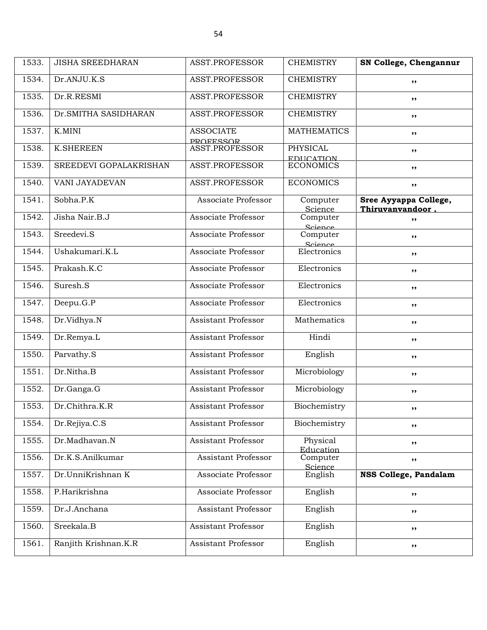| 1533. | <b>JISHA SREEDHARAN</b> | ASST.PROFESSOR                       | <b>CHEMISTRY</b>                    | SN College, Chengannur                    |
|-------|-------------------------|--------------------------------------|-------------------------------------|-------------------------------------------|
| 1534. | Dr.ANJU.K.S             | ASST.PROFESSOR                       | <b>CHEMISTRY</b>                    | ,,                                        |
| 1535. | Dr.R.RESMI              | <b>ASST.PROFESSOR</b>                | <b>CHEMISTRY</b>                    | ,,                                        |
| 1536. | Dr. SMITHA SASIDHARAN   | <b>ASST.PROFESSOR</b>                | <b>CHEMISTRY</b>                    | ,,                                        |
| 1537. | K.MINI                  | <b>ASSOCIATE</b><br><b>PROFFSSOR</b> | <b>MATHEMATICS</b>                  | $, \, \cdot$                              |
| 1538. | <b>K.SHEREEN</b>        | <b>ASST.PROFESSOR</b>                | <b>PHYSICAL</b><br><b>EDUCATION</b> | ,,                                        |
| 1539. | SREEDEVI GOPALAKRISHAN  | ASST.PROFESSOR                       | <b>ECONOMICS</b>                    | ,,                                        |
| 1540. | <b>VANI JAYADEVAN</b>   | <b>ASST.PROFESSOR</b>                | <b>ECONOMICS</b>                    | ,,                                        |
| 1541. | Sobha.P.K               | Associate Professor                  | Computer<br>Science                 | Sree Ayyappa College,<br>Thiruvanvandoor. |
| 1542. | Jisha Nair.B.J          | Associate Professor                  | Computer<br>Science                 | ,,                                        |
| 1543. | Sreedevi.S              | Associate Professor                  | Computer<br>Science                 | ,,                                        |
| 1544. | Ushakumari.K.L          | Associate Professor                  | Electronics                         | ,,                                        |
| 1545. | Prakash.K.C             | Associate Professor                  | Electronics                         | $, \, \cdot$                              |
| 1546. | Suresh.S                | Associate Professor                  | Electronics                         | $, \, \cdot$                              |
| 1547. | Deepu.G.P               | Associate Professor                  | Electronics                         | $, \, \cdot$                              |
| 1548. | Dr.Vidhya.N             | <b>Assistant Professor</b>           | Mathematics                         | ,,                                        |
| 1549. | Dr.Remya.L              | Assistant Professor                  | Hindi                               | ,,                                        |
| 1550. | Parvathy.S              | <b>Assistant Professor</b>           | English                             | ,,                                        |
| 1551. | Dr.Nitha.B              | <b>Assistant Professor</b>           | Microbiology                        | $, \, \cdot$                              |
| 1552. | Dr.Ganga.G              | <b>Assistant Professor</b>           | Microbiology                        | $, \, \cdot$                              |
| 1553. | Dr.Chithra.K.R          | Assistant Professor                  | Biochemistry                        | $, \, \cdot$                              |
| 1554. | Dr.Rejiya.C.S           | Assistant Professor                  | Biochemistry                        | ,,                                        |
| 1555. | Dr.Madhavan.N           | <b>Assistant Professor</b>           | Physical<br>Education               | $, \, \,$                                 |
| 1556. | Dr.K.S.Anilkumar        | <b>Assistant Professor</b>           | Computer<br>Science                 | ,,                                        |
| 1557. | Dr.UnniKrishnan K       | Associate Professor                  | English                             | NSS College, Pandalam                     |
| 1558. | P.Harikrishna           | Associate Professor                  | English                             | ,,                                        |
| 1559. | Dr.J.Anchana            | Assistant Professor                  | English                             | ,,                                        |
| 1560. | Sreekala.B              | Assistant Professor                  | English                             | ,,                                        |
| 1561. | Ranjith Krishnan.K.R    | Assistant Professor                  | English                             | ,,                                        |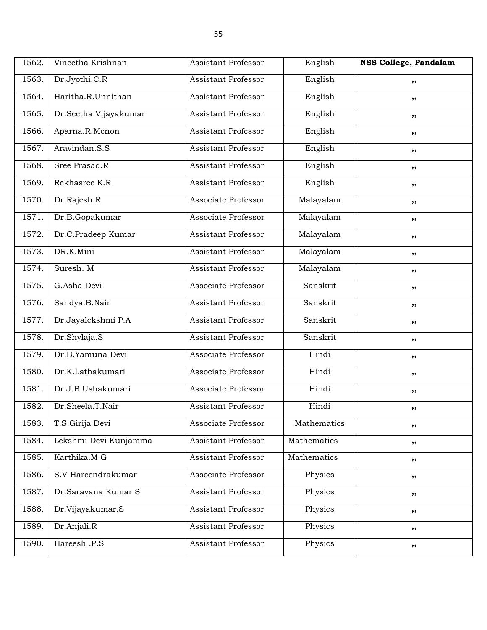| 1562. | Vineetha Krishnan     | Assistant Professor        | English     | NSS College, Pandalam |
|-------|-----------------------|----------------------------|-------------|-----------------------|
| 1563. | Dr.Jyothi.C.R         | Assistant Professor        | English     | ,,                    |
| 1564. | Haritha.R.Unnithan    | <b>Assistant Professor</b> | English     | ,,                    |
| 1565. | Dr.Seetha Vijayakumar | <b>Assistant Professor</b> | English     | ,,                    |
| 1566. | Aparna.R.Menon        | <b>Assistant Professor</b> | English     | ,,                    |
| 1567. | Aravindan.S.S         | <b>Assistant Professor</b> | English     | ,,                    |
| 1568. | Sree Prasad.R         | Assistant Professor        | English     | ,,                    |
| 1569. | Rekhasree K.R         | <b>Assistant Professor</b> | English     | ,,                    |
| 1570. | Dr.Rajesh.R           | Associate Professor        | Malayalam   | ,,                    |
| 1571. | Dr.B.Gopakumar        | Associate Professor        | Malayalam   | ,,                    |
| 1572. | Dr.C.Pradeep Kumar    | <b>Assistant Professor</b> | Malayalam   | ,,                    |
| 1573. | DR.K.Mini             | Assistant Professor        | Malayalam   | ,,                    |
| 1574. | Suresh. M             | Assistant Professor        | Malayalam   | ,,                    |
| 1575. | G.Asha Devi           | Associate Professor        | Sanskrit    | ,,                    |
| 1576. | Sandya.B.Nair         | <b>Assistant Professor</b> | Sanskrit    | ,,                    |
| 1577. | Dr.Jayalekshmi P.A    | Assistant Professor        | Sanskrit    | ,,                    |
| 1578. | Dr.Shylaja.S          | Assistant Professor        | Sanskrit    | ,,                    |
| 1579. | Dr.B.Yamuna Devi      | Associate Professor        | Hindi       | ,,                    |
| 1580. | Dr.K.Lathakumari      | Associate Professor        | Hindi       | ,,                    |
| 1581. | Dr.J.B.Ushakumari     | Associate Professor        | Hindi       | ,,                    |
| 1582. | Dr.Sheela.T.Nair      | Assistant Professor        | Hindi       | ,,                    |
| 1583. | T.S.Girija Devi       | Associate Professor        | Mathematics | ,,                    |
| 1584. | Lekshmi Devi Kunjamma | Assistant Professor        | Mathematics | ,,                    |
| 1585. | Karthika.M.G          | Assistant Professor        | Mathematics | ,,                    |
| 1586. | S.V Hareendrakumar    | Associate Professor        | Physics     | ,,                    |
| 1587. | Dr.Saravana Kumar S   | <b>Assistant Professor</b> | Physics     | ,,                    |
| 1588. | Dr.Vijayakumar.S      | Assistant Professor        | Physics     | ,,                    |
| 1589. | Dr.Anjali.R           | Assistant Professor        | Physics     | ,,                    |
| 1590. | Hareesh .P.S          | Assistant Professor        | Physics     | ,,                    |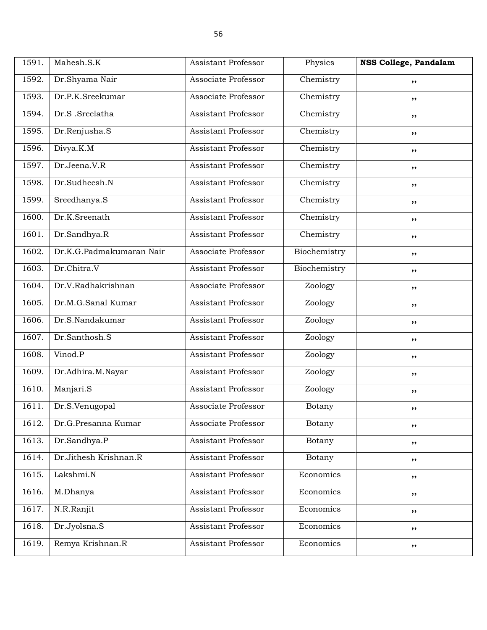| 1591. | Mahesh.S.K               | Assistant Professor        | Physics      | NSS College, Pandalam |
|-------|--------------------------|----------------------------|--------------|-----------------------|
| 1592. | Dr.Shyama Nair           | Associate Professor        | Chemistry    | ,,                    |
| 1593. | Dr.P.K.Sreekumar         | Associate Professor        | Chemistry    | ,,                    |
| 1594. | Dr.S.Sreelatha           | <b>Assistant Professor</b> | Chemistry    | ,,                    |
| 1595. | Dr.Renjusha.S            | <b>Assistant Professor</b> | Chemistry    | ,,                    |
| 1596. | Divya.K.M                | <b>Assistant Professor</b> | Chemistry    | ,,                    |
| 1597. | Dr.Jeena.V.R             | <b>Assistant Professor</b> | Chemistry    | ,,                    |
| 1598. | Dr.Sudheesh.N            | <b>Assistant Professor</b> | Chemistry    | ,,                    |
| 1599. | Sreedhanya.S             | <b>Assistant Professor</b> | Chemistry    | ,,                    |
| 1600. | Dr.K.Sreenath            | <b>Assistant Professor</b> | Chemistry    | $, \, \,$             |
| 1601. | Dr.Sandhya.R             | <b>Assistant Professor</b> | Chemistry    | ,,                    |
| 1602. | Dr.K.G.Padmakumaran Nair | Associate Professor        | Biochemistry | ,,                    |
| 1603. | Dr.Chitra.V              | Assistant Professor        | Biochemistry | ,,                    |
| 1604. | Dr.V.Radhakrishnan       | Associate Professor        | Zoology      | ,,                    |
| 1605. | Dr.M.G.Sanal Kumar       | <b>Assistant Professor</b> | Zoology      | $, \, \,$             |
| 1606. | Dr.S.Nandakumar          | <b>Assistant Professor</b> | Zoology      | ,,                    |
| 1607. | Dr.Santhosh.S            | <b>Assistant Professor</b> | Zoology      | ,,                    |
| 1608. | Vinod.P                  | Assistant Professor        | Zoology      | ,,                    |
| 1609. | Dr.Adhira.M.Nayar        | <b>Assistant Professor</b> | Zoology      | ,,                    |
| 1610. | Manjari.S                | <b>Assistant Professor</b> | Zoology      | ,,                    |
| 1611. | Dr.S.Venugopal           | Associate Professor        | Botany       | ,,                    |
| 1612. | Dr.G.Presanna Kumar      | Associate Professor        | Botany       | ,,                    |
| 1613. | Dr.Sandhya.P             | Assistant Professor        | Botany       | ,,                    |
| 1614. | Dr.Jithesh Krishnan.R    | Assistant Professor        | Botany       | ,,                    |
| 1615. | Lakshmi.N                | <b>Assistant Professor</b> | Economics    | ,,                    |
| 1616. | M.Dhanya                 | Assistant Professor        | Economics    | ,,                    |
| 1617. | N.R.Ranjit               | Assistant Professor        | Economics    | ,,                    |
| 1618. | Dr.Jyolsna.S             | Assistant Professor        | Economics    | ,,                    |
| 1619. | Remya Krishnan.R         | Assistant Professor        | Economics    | ,,                    |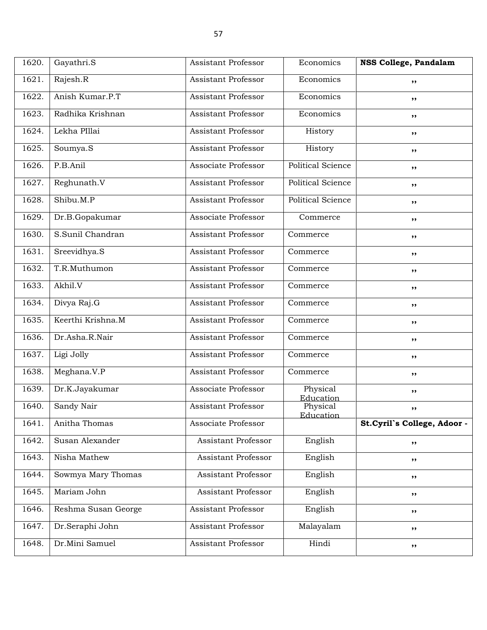| 1620. | Gayathri.S          | Assistant Professor        | Economics                | NSS College, Pandalam       |
|-------|---------------------|----------------------------|--------------------------|-----------------------------|
| 1621. | Rajesh.R            | <b>Assistant Professor</b> | Economics                | ,,                          |
| 1622. | Anish Kumar.P.T     | <b>Assistant Professor</b> | Economics                | ,,                          |
| 1623. | Radhika Krishnan    | <b>Assistant Professor</b> | Economics                | ,,                          |
| 1624. | Lekha PIllai        | <b>Assistant Professor</b> | History                  | $, \, \,$                   |
| 1625. | Soumya.S            | <b>Assistant Professor</b> | History                  | ,,                          |
| 1626. | P.B.Anil            | Associate Professor        | <b>Political Science</b> | ,,                          |
| 1627. | Reghunath.V         | <b>Assistant Professor</b> | <b>Political Science</b> | ,,                          |
| 1628. | Shibu.M.P           | <b>Assistant Professor</b> | <b>Political Science</b> | ,,                          |
| 1629. | Dr.B.Gopakumar      | Associate Professor        | Commerce                 | $, \, \,$                   |
| 1630. | S.Sunil Chandran    | <b>Assistant Professor</b> | Commerce                 | ,,                          |
| 1631. | Sreevidhya.S        | <b>Assistant Professor</b> | Commerce                 | ,,                          |
| 1632. | T.R.Muthumon        | <b>Assistant Professor</b> | Commerce                 | ,,                          |
| 1633. | Akhil.V             | <b>Assistant Professor</b> | Commerce                 | ,,                          |
| 1634. | Divya Raj.G         | <b>Assistant Professor</b> | Commerce                 | $, \, \,$                   |
| 1635. | Keerthi Krishna.M   | <b>Assistant Professor</b> | Commerce                 | ,,                          |
| 1636. | Dr.Asha.R.Nair      | <b>Assistant Professor</b> | Commerce                 | ,,                          |
| 1637. | Ligi Jolly          | <b>Assistant Professor</b> | Commerce                 | ,,                          |
| 1638. | Meghana.V.P         | <b>Assistant Professor</b> | Commerce                 | ,,                          |
| 1639. | Dr.K.Jayakumar      | Associate Professor        | Physical<br>Education    | $, \, \,$                   |
| 1640. | Sandy Nair          | Assistant Professor        | Physical<br>Education    | ,,                          |
| 1641. | Anitha Thomas       | Associate Professor        |                          | St.Cyril's College, Adoor - |
| 1642. | Susan Alexander     | Assistant Professor        | English                  | ,,                          |
| 1643. | Nisha Mathew        | <b>Assistant Professor</b> | English                  | ,,                          |
| 1644. | Sowmya Mary Thomas  | Assistant Professor        | English                  | $, \, \,$                   |
| 1645. | Mariam John         | Assistant Professor        | English                  | ,,                          |
| 1646. | Reshma Susan George | Assistant Professor        | English                  | ,,                          |
| 1647. | Dr.Seraphi John     | Assistant Professor        | Malayalam                | ,,                          |
| 1648. | Dr.Mini Samuel      | Assistant Professor        | Hindi                    | ,,                          |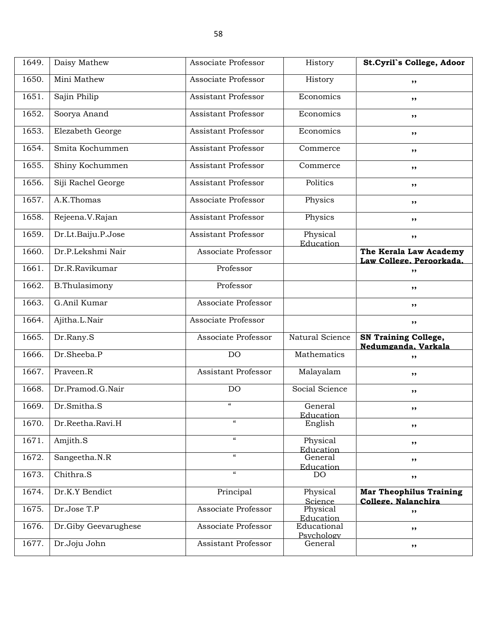| 1649. | Daisy Mathew         | Associate Professor                    | History                   | St.Cyril's College, Adoor                             |
|-------|----------------------|----------------------------------------|---------------------------|-------------------------------------------------------|
| 1650. | Mini Mathew          | Associate Professor                    | History                   | ,,                                                    |
| 1651. | Sajin Philip         | <b>Assistant Professor</b>             | Economics                 | ,,                                                    |
| 1652. | Soorya Anand         | Assistant Professor                    | Economics                 | ,,                                                    |
| 1653. | Elezabeth George     | <b>Assistant Professor</b>             | Economics                 | ,,                                                    |
| 1654. | Smita Kochummen      | <b>Assistant Professor</b>             | Commerce                  | ,,                                                    |
| 1655. | Shiny Kochummen      | <b>Assistant Professor</b>             | Commerce                  | ,,                                                    |
| 1656. | Siji Rachel George   | <b>Assistant Professor</b>             | Politics                  | ,,                                                    |
| 1657. | A.K.Thomas           | Associate Professor                    | Physics                   | ,,                                                    |
| 1658. | Rejeena.V.Rajan      | <b>Assistant Professor</b>             | Physics                   | ,,                                                    |
| 1659. | Dr.Lt.Baiju.P.Jose   | <b>Assistant Professor</b>             | Physical<br>Education     | ,,                                                    |
| 1660. | Dr.P.Lekshmi Nair    | Associate Professor                    |                           | The Kerala Law Academy<br>Law College. Peroorkada.    |
| 1661. | Dr.R.Ravikumar       | Professor                              |                           | , ,                                                   |
| 1662. | B.Thulasimony        | Professor                              |                           | ,,                                                    |
| 1663. | G.Anil Kumar         | Associate Professor                    |                           | ,,                                                    |
| 1664. | Ajitha.L.Nair        | Associate Professor                    |                           | ,,                                                    |
| 1665. | Dr.Rany.S            | Associate Professor                    | Natural Science           | <b>SN Training College,</b><br>Nedumganda, Varkala    |
| 1666. | Dr.Sheeba.P          | DO                                     | Mathematics               | ,,                                                    |
| 1667. | Praveen.R            | <b>Assistant Professor</b>             | Malayalam                 | ,,                                                    |
| 1668. | Dr.Pramod.G.Nair     | DO                                     | Social Science            | ,,                                                    |
| 1669. | Dr.Smitha.S          | $\epsilon\epsilon$                     | General<br>Education      | ,,                                                    |
| 1670. | Dr.Reetha.Ravi.H     | $\boldsymbol{\zeta}\boldsymbol{\zeta}$ | English                   | ,,                                                    |
| 1671. | Amjith.S             | $\boldsymbol{\mathcal{U}}$             | Physical<br>Education     | ,,                                                    |
| 1672. | Sangeetha.N.R        | $\boldsymbol{\mathcal{U}}$             | General<br>Education      | ,,                                                    |
| 1673. | Chithra.S            | $\pmb{\mathcal{C}}$                    | <b>DO</b>                 | $, \,$                                                |
| 1674. | Dr.K.Y Bendict       | Principal                              | Physical<br>Science       | <b>Mar Theophilus Training</b><br>College. Nalanchira |
| 1675. | Dr.Jose T.P          | Associate Professor                    | Physical<br>Education     | ,,                                                    |
| 1676. | Dr.Giby Geevarughese | Associate Professor                    | Educational<br>Psychology | ,,                                                    |
| 1677. | Dr.Joju John         | Assistant Professor                    | General                   | ,,                                                    |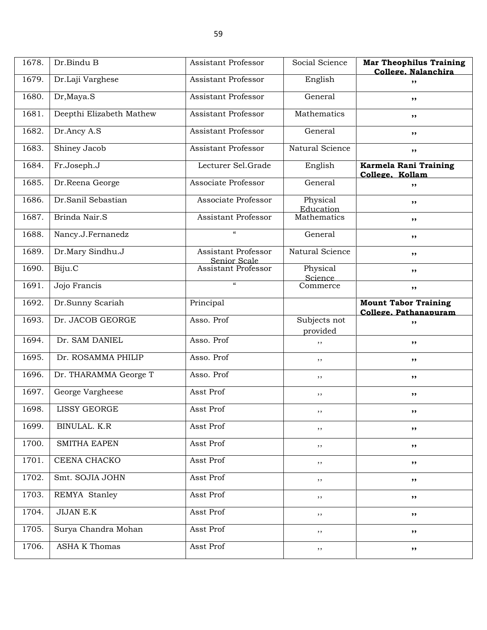| 1678. | Dr.Bindu B               | <b>Assistant Professor</b>          | Social Science           | <b>Mar Theophilus Training</b><br>College. Nalanchira |
|-------|--------------------------|-------------------------------------|--------------------------|-------------------------------------------------------|
| 1679. | Dr.Laji Varghese         | <b>Assistant Professor</b>          | English                  | ,,                                                    |
| 1680. | Dr, Maya.S               | <b>Assistant Professor</b>          | General                  | ,,                                                    |
| 1681. | Deepthi Elizabeth Mathew | <b>Assistant Professor</b>          | Mathematics              | ,,                                                    |
| 1682. | Dr.Ancy A.S              | <b>Assistant Professor</b>          | General                  | ,,                                                    |
| 1683. | Shiney Jacob             | <b>Assistant Professor</b>          | Natural Science          | ,,                                                    |
| 1684. | Fr.Joseph.J              | Lecturer Sel.Grade                  | English                  | Karmela Rani Training<br>College. Kollam              |
| 1685. | Dr.Reena George          | Associate Professor                 | General                  | ,,                                                    |
| 1686. | Dr.Sanil Sebastian       | Associate Professor                 | Physical<br>Education    | ,,                                                    |
| 1687. | Brinda Nair.S            | Assistant Professor                 | Mathematics              | ,,                                                    |
| 1688. | Nancy.J.Fernanedz        | $\boldsymbol{\mathcal{C}}$          | General                  | ,,                                                    |
| 1689. | Dr.Mary Sindhu.J         | Assistant Professor<br>Senior Scale | Natural Science          | ,,                                                    |
| 1690. | Biju.C                   | Assistant Professor                 | Physical<br>Science      | ,,                                                    |
| 1691. | Jojo Francis             | $\alpha$                            | Commerce                 | ,,                                                    |
| 1692. | Dr.Sunny Scariah         | Principal                           |                          | <b>Mount Tabor Training</b><br>College, Pathanapuram  |
| 1693. | Dr. JACOB GEORGE         | Asso. Prof                          | Subjects not<br>provided | ,,                                                    |
| 1694. | Dr. SAM DANIEL           | Asso. Prof                          | $, \,$                   | ,,                                                    |
| 1695. | Dr. ROSAMMA PHILIP       | Asso. Prof                          | ,,                       | ,,                                                    |
| 1696. | Dr. THARAMMA George T    | Asso. Prof                          | $, \,$                   | ,,                                                    |
| 1697. | George Vargheese         | Asst Prof                           | $, \,$                   | ,,                                                    |
| 1698. | <b>LISSY GEORGE</b>      | Asst Prof                           | $, \,$                   | ,,                                                    |
| 1699. | BINULAL. K.R             | Asst Prof                           | $, \,$                   | ,,                                                    |
| 1700. | <b>SMITHA EAPEN</b>      | Asst Prof                           | $, \,$                   | ,,                                                    |
| 1701. | CEENA CHACKO             | Asst Prof                           | $, \,$                   | ,,                                                    |
| 1702. | Smt. SOJIA JOHN          | Asst Prof                           | $, \,$                   | ,,                                                    |
| 1703. | REMYA Stanley            | Asst Prof                           | , ,                      | ,,                                                    |
| 1704. | <b>JIJAN E.K</b>         | Asst Prof                           | $, \,$                   | ,,                                                    |
| 1705. | Surya Chandra Mohan      | Asst Prof                           | $, \,$                   | ,,                                                    |
| 1706. | <b>ASHA K Thomas</b>     | Asst Prof                           | ,,                       | ,,                                                    |